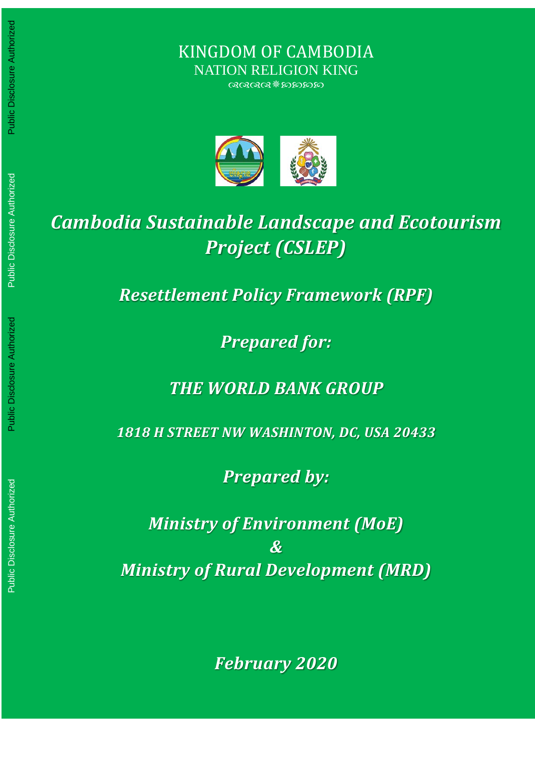KINGDOM OF CAMBODIA NATION RELIGION KING

 $@@@@{\$$  mand



# *Cambodia Sustainable Landscape and Ecotourism Project (CSLEP)*

*Resettlement Policy Framework (RPF)*

*Prepared for:* 

*THE WORLD BANK GROUP*

*1818 H STREET NW WASHINTON, DC, USA 20433*

*Prepared by:* 

*Ministry of Environment (MoE) & Ministry of Rural Development (MRD)*

*February 2020*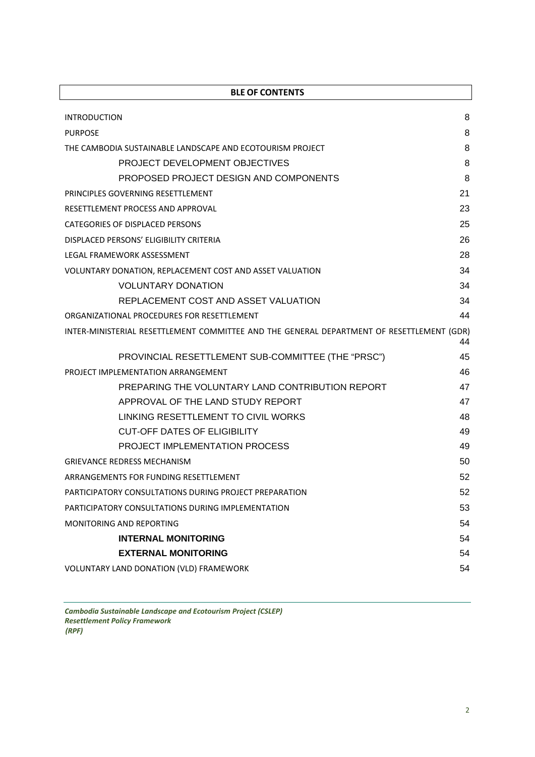| <b>BLE OF CONTENTS</b>                                                                    |    |
|-------------------------------------------------------------------------------------------|----|
| <b>INTRODUCTION</b>                                                                       | 8  |
| <b>PURPOSE</b>                                                                            | 8  |
| THE CAMBODIA SUSTAINABLE LANDSCAPE AND ECOTOURISM PROJECT                                 | 8  |
| PROJECT DEVELOPMENT OBJECTIVES                                                            | 8  |
| PROPOSED PROJECT DESIGN AND COMPONENTS                                                    | 8  |
| PRINCIPLES GOVERNING RESETTLEMENT                                                         | 21 |
| RESETTLEMENT PROCESS AND APPROVAL                                                         | 23 |
| CATEGORIES OF DISPLACED PERSONS                                                           | 25 |
| DISPLACED PERSONS' ELIGIBILITY CRITERIA                                                   | 26 |
| LEGAL FRAMEWORK ASSESSMENT                                                                | 28 |
| VOLUNTARY DONATION, REPLACEMENT COST AND ASSET VALUATION                                  | 34 |
| <b>VOLUNTARY DONATION</b>                                                                 | 34 |
| REPLACEMENT COST AND ASSET VALUATION                                                      | 34 |
| ORGANIZATIONAL PROCEDURES FOR RESETTLEMENT                                                | 44 |
| INTER-MINISTERIAL RESETTLEMENT COMMITTEE AND THE GENERAL DEPARTMENT OF RESETTLEMENT (GDR) | 44 |
| PROVINCIAL RESETTLEMENT SUB-COMMITTEE (THE "PRSC")                                        | 45 |
| PROJECT IMPLEMENTATION ARRANGEMENT                                                        | 46 |
| PREPARING THE VOLUNTARY LAND CONTRIBUTION REPORT                                          | 47 |
| APPROVAL OF THE LAND STUDY REPORT                                                         | 47 |
| LINKING RESETTLEMENT TO CIVIL WORKS                                                       | 48 |
| <b>CUT-OFF DATES OF ELIGIBILITY</b>                                                       | 49 |
| PROJECT IMPLEMENTATION PROCESS                                                            | 49 |
| <b>GRIEVANCE REDRESS MECHANISM</b>                                                        | 50 |
| ARRANGEMENTS FOR FUNDING RESETTLEMENT                                                     | 52 |
| PARTICIPATORY CONSULTATIONS DURING PROJECT PREPARATION                                    | 52 |
| PARTICIPATORY CONSULTATIONS DURING IMPLEMENTATION                                         | 53 |
| <b>MONITORING AND REPORTING</b>                                                           | 54 |
| <b>INTERNAL MONITORING</b>                                                                | 54 |
| <b>EXTERNAL MONITORING</b>                                                                | 54 |
| VOLUNTARY LAND DONATION (VLD) FRAMEWORK                                                   | 54 |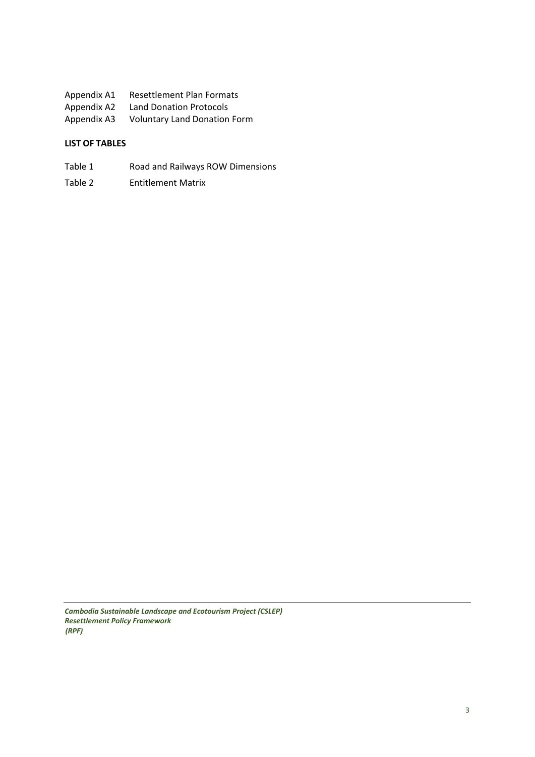- Appendix A1 Resettlement Plan Formats Appendix A2 Land Donation Protocols
- Appendix A3 Voluntary Land Donation Form

### **LIST OF TABLES**

- Table 1 Road and Railways ROW Dimensions
- Table 2 Entitlement Matrix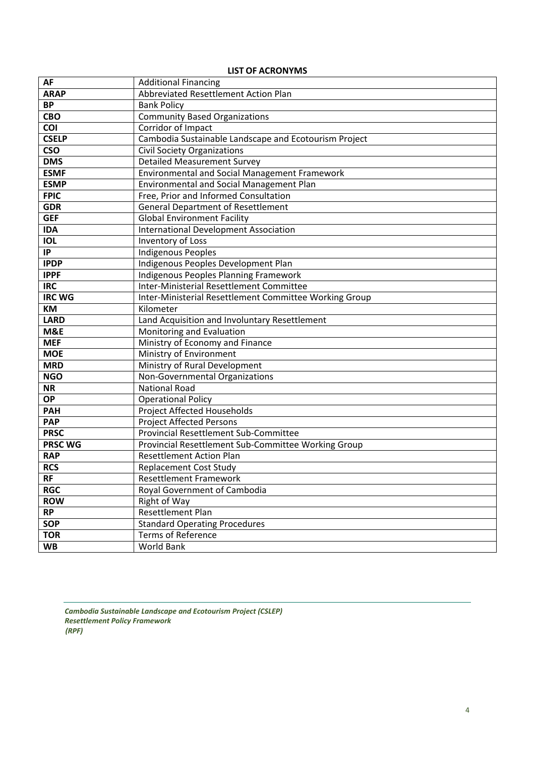| <b>AF</b>       | <b>Additional Financing</b>                            |  |  |  |  |
|-----------------|--------------------------------------------------------|--|--|--|--|
| <b>ARAP</b>     | Abbreviated Resettlement Action Plan                   |  |  |  |  |
| <b>BP</b>       | <b>Bank Policy</b>                                     |  |  |  |  |
| CBO             | <b>Community Based Organizations</b>                   |  |  |  |  |
| COI             | Corridor of Impact                                     |  |  |  |  |
| <b>CSELP</b>    | Cambodia Sustainable Landscape and Ecotourism Project  |  |  |  |  |
| <b>CSO</b>      | <b>Civil Society Organizations</b>                     |  |  |  |  |
| <b>DMS</b>      | <b>Detailed Measurement Survey</b>                     |  |  |  |  |
| <b>ESMF</b>     | Environmental and Social Management Framework          |  |  |  |  |
| <b>ESMP</b>     | Environmental and Social Management Plan               |  |  |  |  |
| <b>FPIC</b>     | Free, Prior and Informed Consultation                  |  |  |  |  |
| <b>GDR</b>      | <b>General Department of Resettlement</b>              |  |  |  |  |
| <b>GEF</b>      | <b>Global Environment Facility</b>                     |  |  |  |  |
| <b>IDA</b>      | <b>International Development Association</b>           |  |  |  |  |
| <b>IOL</b>      | Inventory of Loss                                      |  |  |  |  |
| IP              | <b>Indigenous Peoples</b>                              |  |  |  |  |
| <b>IPDP</b>     | Indigenous Peoples Development Plan                    |  |  |  |  |
| <b>IPPF</b>     | Indigenous Peoples Planning Framework                  |  |  |  |  |
| <b>IRC</b>      | Inter-Ministerial Resettlement Committee               |  |  |  |  |
| <b>IRC WG</b>   | Inter-Ministerial Resettlement Committee Working Group |  |  |  |  |
| KM              | Kilometer                                              |  |  |  |  |
| <b>LARD</b>     | Land Acquisition and Involuntary Resettlement          |  |  |  |  |
| M&E             | Monitoring and Evaluation                              |  |  |  |  |
| <b>MEF</b>      | Ministry of Economy and Finance                        |  |  |  |  |
| <b>MOE</b>      | Ministry of Environment                                |  |  |  |  |
| <b>MRD</b>      | Ministry of Rural Development                          |  |  |  |  |
| <b>NGO</b>      | Non-Governmental Organizations                         |  |  |  |  |
| <b>NR</b>       | <b>National Road</b>                                   |  |  |  |  |
| $\overline{OP}$ | <b>Operational Policy</b>                              |  |  |  |  |
| <b>PAH</b>      | Project Affected Households                            |  |  |  |  |
| <b>PAP</b>      | <b>Project Affected Persons</b>                        |  |  |  |  |
| <b>PRSC</b>     | Provincial Resettlement Sub-Committee                  |  |  |  |  |
| <b>PRSC WG</b>  | Provincial Resettlement Sub-Committee Working Group    |  |  |  |  |
| <b>RAP</b>      | <b>Resettlement Action Plan</b>                        |  |  |  |  |
| <b>RCS</b>      | <b>Replacement Cost Study</b>                          |  |  |  |  |
| <b>RF</b>       | <b>Resettlement Framework</b>                          |  |  |  |  |
| <b>RGC</b>      | Royal Government of Cambodia                           |  |  |  |  |
| <b>ROW</b>      | Right of Way                                           |  |  |  |  |
| <b>RP</b>       | Resettlement Plan                                      |  |  |  |  |
| <b>SOP</b>      | <b>Standard Operating Procedures</b>                   |  |  |  |  |
| <b>TOR</b>      | <b>Terms of Reference</b>                              |  |  |  |  |
| <b>WB</b>       | World Bank                                             |  |  |  |  |

#### **LIST OF ACRONYMS**

*Cambodia Sustainable Landscape and Ecotourism Project (CSLEP) Resettlement Policy Framework (RPF)*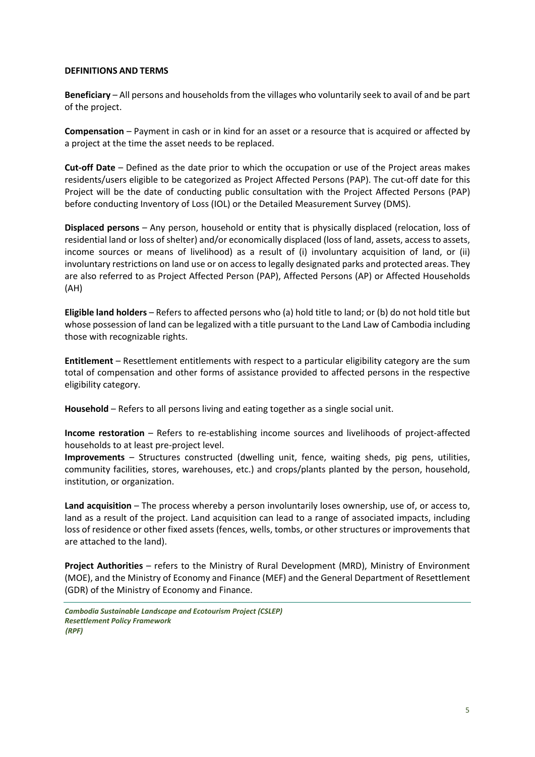#### **DEFINITIONS AND TERMS**

**Beneficiary** – All persons and households from the villages who voluntarily seek to avail of and be part of the project.

**Compensation** – Payment in cash or in kind for an asset or a resource that is acquired or affected by a project at the time the asset needs to be replaced.

**Cut-off Date** – Defined as the date prior to which the occupation or use of the Project areas makes residents/users eligible to be categorized as Project Affected Persons (PAP). The cut-off date for this Project will be the date of conducting public consultation with the Project Affected Persons (PAP) before conducting Inventory of Loss (IOL) or the Detailed Measurement Survey (DMS).

**Displaced persons** – Any person, household or entity that is physically displaced (relocation, loss of residential land or loss of shelter) and/or economically displaced (loss of land, assets, access to assets, income sources or means of livelihood) as a result of (i) involuntary acquisition of land, or (ii) involuntary restrictions on land use or on access to legally designated parks and protected areas. They are also referred to as Project Affected Person (PAP), Affected Persons (AP) or Affected Households (AH)

**Eligible land holders** – Refers to affected persons who (a) hold title to land; or (b) do not hold title but whose possession of land can be legalized with a title pursuant to the Land Law of Cambodia including those with recognizable rights.

**Entitlement** – Resettlement entitlements with respect to a particular eligibility category are the sum total of compensation and other forms of assistance provided to affected persons in the respective eligibility category.

**Household** – Refers to all persons living and eating together as a single social unit.

**Income restoration** – Refers to re-establishing income sources and livelihoods of project-affected households to at least pre-project level.

**Improvements** – Structures constructed (dwelling unit, fence, waiting sheds, pig pens, utilities, community facilities, stores, warehouses, etc.) and crops/plants planted by the person, household, institution, or organization.

**Land acquisition** – The process whereby a person involuntarily loses ownership, use of, or access to, land as a result of the project. Land acquisition can lead to a range of associated impacts, including loss of residence or other fixed assets (fences, wells, tombs, or other structures or improvements that are attached to the land).

**Project Authorities** – refers to the Ministry of Rural Development (MRD), Ministry of Environment (MOE), and the Ministry of Economy and Finance (MEF) and the General Department of Resettlement (GDR) of the Ministry of Economy and Finance.

*Cambodia Sustainable Landscape and Ecotourism Project (CSLEP) Resettlement Policy Framework (RPF)*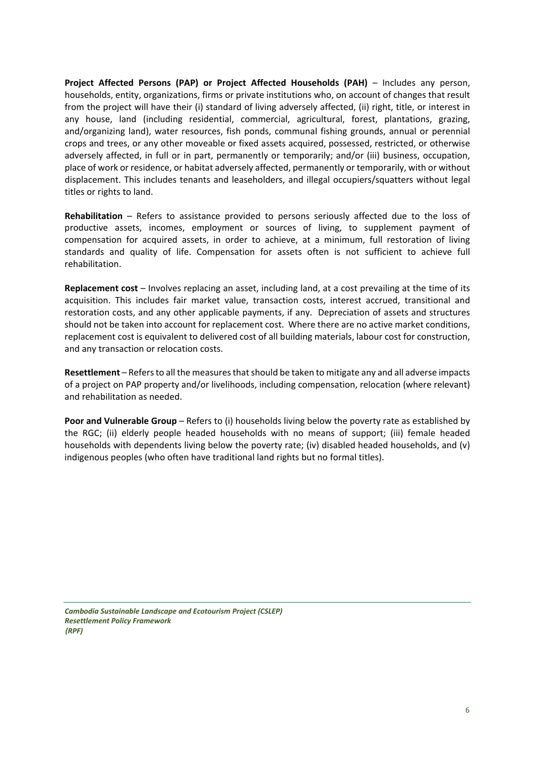**Project Affected Persons (PAP) or Project Affected Households (PAH)** – Includes any person, households, entity, organizations, firms or private institutions who, on account of changes that result from the project will have their (i) standard of living adversely affected, (ii) right, title, or interest in any house, land (including residential, commercial, agricultural, forest, plantations, grazing, and/organizing land), water resources, fish ponds, communal fishing grounds, annual or perennial crops and trees, or any other moveable or fixed assets acquired, possessed, restricted, or otherwise adversely affected, in full or in part, permanently or temporarily; and/or (iii) business, occupation, place of work or residence, or habitat adversely affected, permanently or temporarily, with or without displacement. This includes tenants and leaseholders, and illegal occupiers/squatters without legal titles or rights to land.

**Rehabilitation** – Refers to assistance provided to persons seriously affected due to the loss of productive assets, incomes, employment or sources of living, to supplement payment of compensation for acquired assets, in order to achieve, at a minimum, full restoration of living standards and quality of life. Compensation for assets often is not sufficient to achieve full rehabilitation.

**Replacement cost** – Involves replacing an asset, including land, at a cost prevailing at the time of its acquisition. This includes fair market value, transaction costs, interest accrued, transitional and restoration costs, and any other applicable payments, if any. Depreciation of assets and structures should not be taken into account for replacement cost. Where there are no active market conditions, replacement cost is equivalent to delivered cost of all building materials, labour cost for construction, and any transaction or relocation costs.

**Resettlement** – Refers to all the measures that should be taken to mitigate any and all adverse impacts of a project on PAP property and/or livelihoods, including compensation, relocation (where relevant) and rehabilitation as needed.

**Poor and Vulnerable Group** – Refers to (i) households living below the poverty rate as established by the RGC; (ii) elderly people headed households with no means of support; (iii) female headed households with dependents living below the poverty rate; (iv) disabled headed households, and (v) indigenous peoples (who often have traditional land rights but no formal titles).

*Cambodia Sustainable Landscape and Ecotourism Project (CSLEP) Resettlement Policy Framework (RPF)*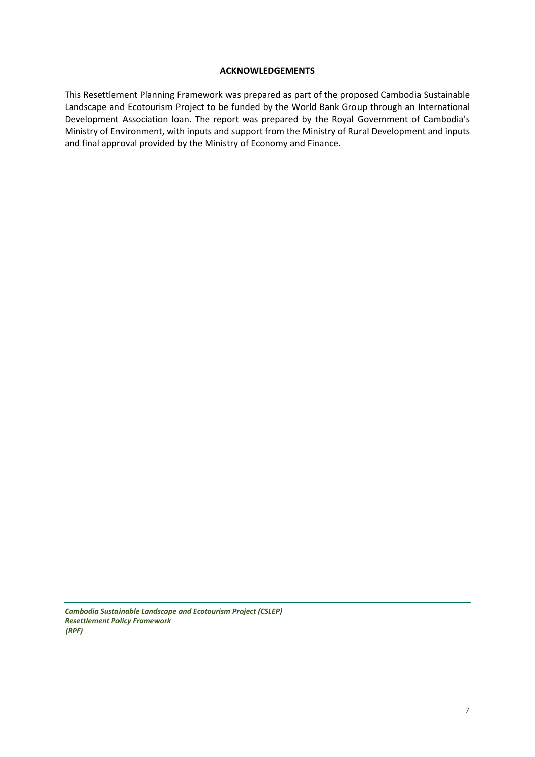#### **ACKNOWLEDGEMENTS**

This Resettlement Planning Framework was prepared as part of the proposed Cambodia Sustainable Landscape and Ecotourism Project to be funded by the World Bank Group through an International Development Association loan. The report was prepared by the Royal Government of Cambodia's Ministry of Environment, with inputs and support from the Ministry of Rural Development and inputs and final approval provided by the Ministry of Economy and Finance.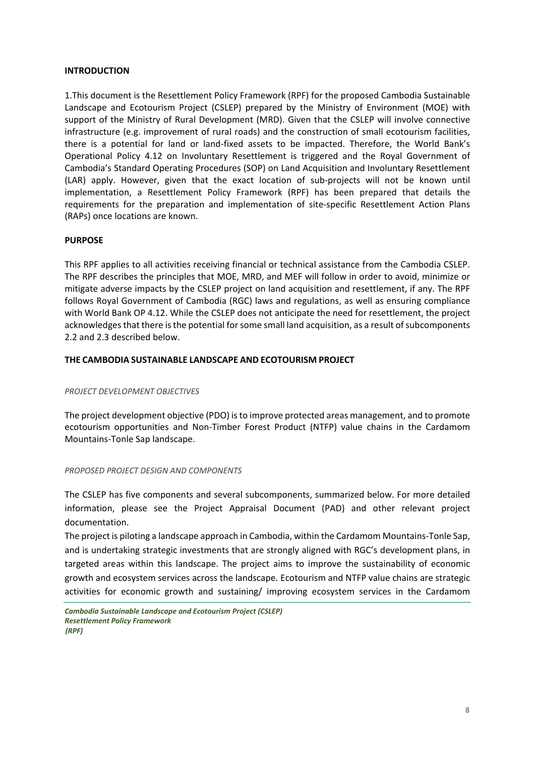#### <span id="page-7-0"></span>**INTRODUCTION**

1.This document is the Resettlement Policy Framework (RPF) for the proposed Cambodia Sustainable Landscape and Ecotourism Project (CSLEP) prepared by the Ministry of Environment (MOE) with support of the Ministry of Rural Development (MRD). Given that the CSLEP will involve connective infrastructure (e.g. improvement of rural roads) and the construction of small ecotourism facilities, there is a potential for land or land-fixed assets to be impacted. Therefore, the World Bank's Operational Policy 4.12 on Involuntary Resettlement is triggered and the Royal Government of Cambodia's Standard Operating Procedures (SOP) on Land Acquisition and Involuntary Resettlement (LAR) apply. However, given that the exact location of sub-projects will not be known until implementation, a Resettlement Policy Framework (RPF) has been prepared that details the requirements for the preparation and implementation of site-specific Resettlement Action Plans (RAPs) once locations are known.

#### <span id="page-7-1"></span>**PURPOSE**

This RPF applies to all activities receiving financial or technical assistance from the Cambodia CSLEP. The RPF describes the principles that MOE, MRD, and MEF will follow in order to avoid, minimize or mitigate adverse impacts by the CSLEP project on land acquisition and resettlement, if any. The RPF follows Royal Government of Cambodia (RGC) laws and regulations, as well as ensuring compliance with World Bank OP 4.12. While the CSLEP does not anticipate the need for resettlement, the project acknowledges that there is the potential for some small land acquisition, as a result of subcomponents 2.2 and 2.3 described below.

#### <span id="page-7-2"></span>**THE CAMBODIA SUSTAINABLE LANDSCAPE AND ECOTOURISM PROJECT**

#### <span id="page-7-3"></span>*PROJECT DEVELOPMENT OBJECTIVES*

The project development objective (PDO) is to improve protected areas management, and to promote ecotourism opportunities and Non-Timber Forest Product (NTFP) value chains in the Cardamom Mountains-Tonle Sap landscape.

#### <span id="page-7-4"></span>*PROPOSED PROJECT DESIGN AND COMPONENTS*

The CSLEP has five components and several subcomponents, summarized below. For more detailed information, please see the Project Appraisal Document (PAD) and other relevant project documentation.

The project is piloting a landscape approach in Cambodia, within the Cardamom Mountains-Tonle Sap, and is undertaking strategic investments that are strongly aligned with RGC's development plans, in targeted areas within this landscape. The project aims to improve the sustainability of economic growth and ecosystem services across the landscape. Ecotourism and NTFP value chains are strategic activities for economic growth and sustaining/ improving ecosystem services in the Cardamom

*Cambodia Sustainable Landscape and Ecotourism Project (CSLEP) Resettlement Policy Framework (RPF)*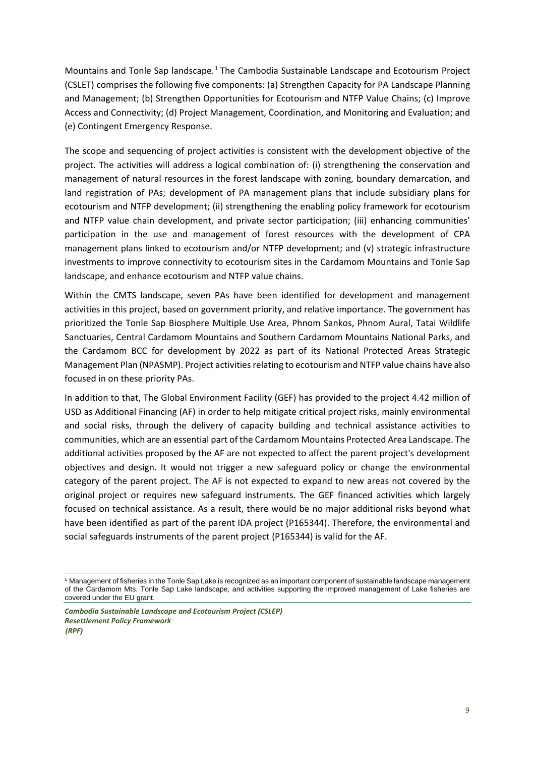Mountains and Tonle Sap landscape.[1](#page-8-0) The Cambodia Sustainable Landscape and Ecotourism Project (CSLET) comprises the following five components: (a) Strengthen Capacity for PA Landscape Planning and Management; (b) Strengthen Opportunities for Ecotourism and NTFP Value Chains; (c) Improve Access and Connectivity; (d) Project Management, Coordination, and Monitoring and Evaluation; and (e) Contingent Emergency Response.

The scope and sequencing of project activities is consistent with the development objective of the project. The activities will address a logical combination of: (i) strengthening the conservation and management of natural resources in the forest landscape with zoning, boundary demarcation, and land registration of PAs; development of PA management plans that include subsidiary plans for ecotourism and NTFP development; (ii) strengthening the enabling policy framework for ecotourism and NTFP value chain development, and private sector participation; (iii) enhancing communities' participation in the use and management of forest resources with the development of CPA management plans linked to ecotourism and/or NTFP development; and (v) strategic infrastructure investments to improve connectivity to ecotourism sites in the Cardamom Mountains and Tonle Sap landscape, and enhance ecotourism and NTFP value chains.

Within the CMTS landscape, seven PAs have been identified for development and management activities in this project, based on government priority, and relative importance. The government has prioritized the Tonle Sap Biosphere Multiple Use Area, Phnom Sankos, Phnom Aural, Tatai Wildlife Sanctuaries, Central Cardamom Mountains and Southern Cardamom Mountains National Parks, and the Cardamom BCC for development by 2022 as part of its National Protected Areas Strategic Management Plan (NPASMP). Project activities relating to ecotourism and NTFP value chains have also focused in on these priority PAs.

In addition to that, The Global Environment Facility (GEF) has provided to the project 4.42 million of USD as Additional Financing (AF) in order to help mitigate critical project risks, mainly environmental and social risks, through the delivery of capacity building and technical assistance activities to communities, which are an essential part of the Cardamom Mountains Protected Area Landscape. The additional activities proposed by the AF are not expected to affect the parent project's development objectives and design. It would not trigger a new safeguard policy or change the environmental category of the parent project. The AF is not expected to expand to new areas not covered by the original project or requires new safeguard instruments. The GEF financed activities which largely focused on technical assistance. As a result, there would be no major additional risks beyond what have been identified as part of the parent IDA project (P165344). Therefore, the environmental and social safeguards instruments of the parent project (P165344) is valid for the AF.

<span id="page-8-0"></span> <sup>1</sup> Management of fisheries in the Tonle Sap Lake is recognized as an important component of sustainable landscape management of the Cardamom Mts. Tonle Sap Lake landscape, and activities supporting the improved management of Lake fisheries are covered under the EU grant.

*Cambodia Sustainable Landscape and Ecotourism Project (CSLEP) Resettlement Policy Framework (RPF)*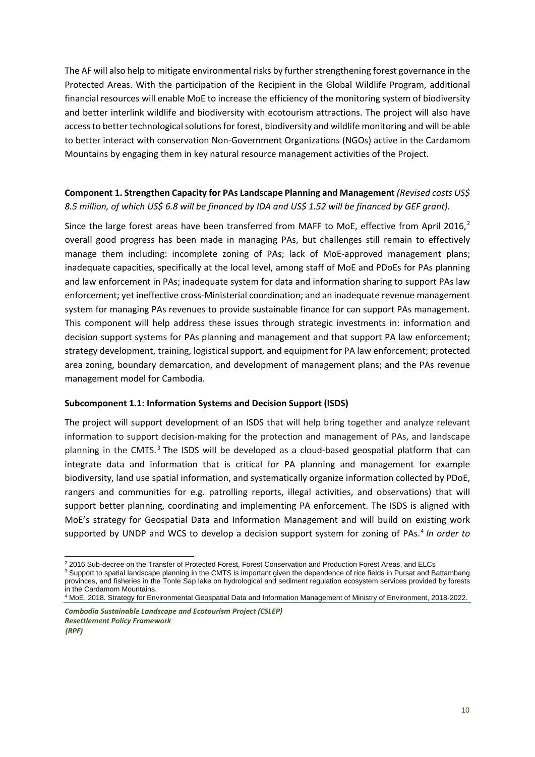The AF will also help to mitigate environmental risks by further strengthening forest governance in the Protected Areas. With the participation of the Recipient in the Global Wildlife Program, additional financial resources will enable MoE to increase the efficiency of the monitoring system of biodiversity and better interlink wildlife and biodiversity with ecotourism attractions. The project will also have access to better technological solutions for forest, biodiversity and wildlife monitoring and will be able to better interact with conservation Non-Government Organizations (NGOs) active in the Cardamom Mountains by engaging them in key natural resource management activities of the Project.

## **Component 1. Strengthen Capacity for PAs Landscape Planning and Management** *(Revised costs US\$ 8.5 million, of which US\$ 6.8 will be financed by IDA and US\$ 1.52 will be financed by GEF grant).*

Since the large forest areas have been transferred from MAFF to MoE, effective from April [2](#page-9-0)016, $^2$ overall good progress has been made in managing PAs, but challenges still remain to effectively manage them including: incomplete zoning of PAs; lack of MoE-approved management plans; inadequate capacities, specifically at the local level, among staff of MoE and PDoEs for PAs planning and law enforcement in PAs; inadequate system for data and information sharing to support PAs law enforcement; yet ineffective cross-Ministerial coordination; and an inadequate revenue management system for managing PAs revenues to provide sustainable finance for can support PAs management. This component will help address these issues through strategic investments in: information and decision support systems for PAs planning and management and that support PA law enforcement; strategy development, training, logistical support, and equipment for PA law enforcement; protected area zoning, boundary demarcation, and development of management plans; and the PAs revenue management model for Cambodia.

#### **Subcomponent 1.1: Information Systems and Decision Support (ISDS)**

The project will support development of an ISDS that will help bring together and analyze relevant information to support decision-making for the protection and management of PAs, and landscape planning in the CMTS. $3$  The ISDS will be developed as a cloud-based geospatial platform that can integrate data and information that is critical for PA planning and management for example biodiversity, land use spatial information, and systematically organize information collected by PDoE, rangers and communities for e.g. patrolling reports, illegal activities, and observations) that will support better planning, coordinating and implementing PA enforcement. The ISDS is aligned with MoE's strategy for Geospatial Data and Information Management and will build on existing work supported by UNDP and WCS to develop a decision support system for zoning of PAs.[4](#page-9-2) *In order to* 

<span id="page-9-1"></span><span id="page-9-0"></span><sup>&</sup>lt;sup>2</sup> 2016 Sub-decree on the Transfer of Protected Forest, Forest Conservation and Production Forest Areas, and ELCs <sup>3</sup> Support to spatial landscape planning in the CMTS is important given the dependence of rice fields in Pursat and Battambang provinces, and fisheries in the Tonle Sap lake on hydrological and sediment regulation ecosystem services provided by forests in the Cardamom Mountains.

<span id="page-9-2"></span>*Cambodia Sustainable Landscape and Ecotourism Project (CSLEP)* <sup>4</sup> MoE, 2018. Strategy for Environmental Geospatial Data and Information Management of Ministry of Environment, 2018-2022.

*Resettlement Policy Framework (RPF)*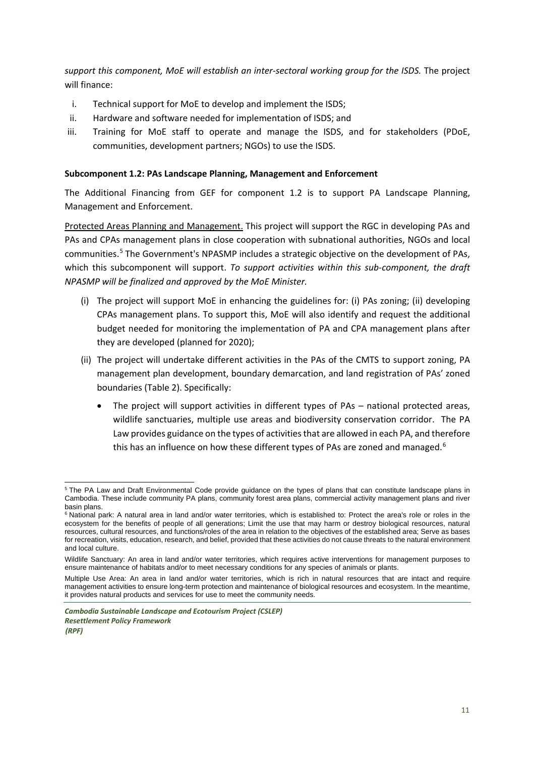*support this component, MoE will establish an inter-sectoral working group for the ISDS.* The project will finance:

- i. Technical support for MoE to develop and implement the ISDS;
- ii. Hardware and software needed for implementation of ISDS; and
- iii. Training for MoE staff to operate and manage the ISDS, and for stakeholders (PDoE, communities, development partners; NGOs) to use the ISDS.

#### **Subcomponent 1.2: PAs Landscape Planning, Management and Enforcement**

The Additional Financing from GEF for component 1.2 is to support PA Landscape Planning, Management and Enforcement.

Protected Areas Planning and Management. This project will support the RGC in developing PAs and PAs and CPAs management plans in close cooperation with subnational authorities, NGOs and local communities.[5](#page-10-0) The Government's NPASMP includes a strategic objective on the development of PAs, which this subcomponent will support. *To support activities within this sub-component, the draft NPASMP will be finalized and approved by the MoE Minister.*

- (i) The project will support MoE in enhancing the guidelines for: (i) PAs zoning; (ii) developing CPAs management plans. To support this, MoE will also identify and request the additional budget needed for monitoring the implementation of PA and CPA management plans after they are developed (planned for 2020);
- (ii) The project will undertake different activities in the PAs of the CMTS to support zoning, PA management plan development, boundary demarcation, and land registration of PAs' zoned boundaries (Table 2). Specifically:
	- The project will support activities in different types of PAs national protected areas, wildlife sanctuaries, multiple use areas and biodiversity conservation corridor. The PA Law provides guidance on the types of activities that are allowed in each PA, and therefore this has an influence on how these different types of PAs are zoned and managed.<sup>[6](#page-10-1)</sup>

<span id="page-10-0"></span><sup>&</sup>lt;sup>5</sup> The PA Law and Draft Environmental Code provide quidance on the types of plans that can constitute landscape plans in Cambodia. These include community PA plans, community forest area plans, commercial activity management plans and river basin plans.

<span id="page-10-1"></span><sup>&</sup>lt;sup>6</sup> National park: A natural area in land and/or water territories, which is established to: Protect the area's role or roles in the ecosystem for the benefits of people of all generations; Limit the use that may harm or destroy biological resources, natural resources, cultural resources, and functions/roles of the area in relation to the objectives of the established area; Serve as bases for recreation, visits, education, research, and belief, provided that these activities do not cause threats to the natural environment and local culture.

Wildlife Sanctuary: An area in land and/or water territories, which requires active interventions for management purposes to ensure maintenance of habitats and/or to meet necessary conditions for any species of animals or plants.

Multiple Use Area: An area in land and/or water territories, which is rich in natural resources that are intact and require management activities to ensure long-term protection and maintenance of biological resources and ecosystem. In the meantime, it provides natural products and services for use to meet the community needs.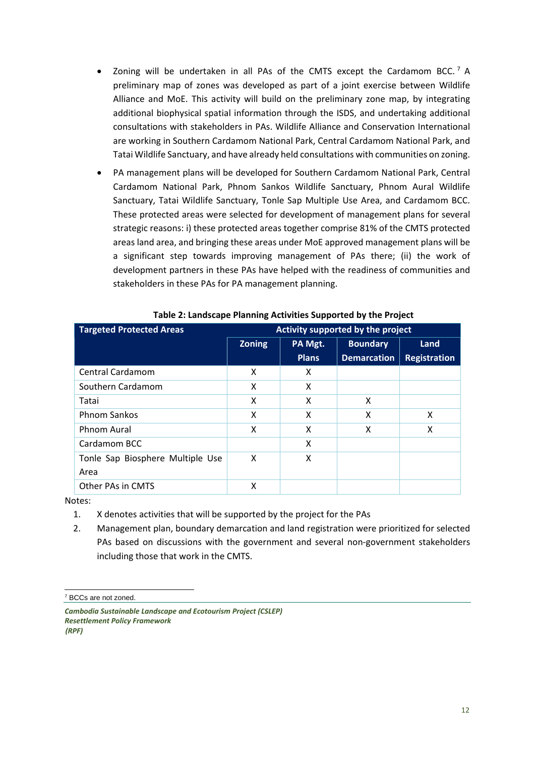- Zoning will be undertaken in all PAs of the CMTS except the Cardamom BCC.<sup>[7](#page-11-0)</sup> A preliminary map of zones was developed as part of a joint exercise between Wildlife Alliance and MoE. This activity will build on the preliminary zone map, by integrating additional biophysical spatial information through the ISDS, and undertaking additional consultations with stakeholders in PAs. Wildlife Alliance and Conservation International are working in Southern Cardamom National Park, Central Cardamom National Park, and Tatai Wildlife Sanctuary, and have already held consultations with communities on zoning.
- PA management plans will be developed for Southern Cardamom National Park, Central Cardamom National Park, Phnom Sankos Wildlife Sanctuary, Phnom Aural Wildlife Sanctuary, Tatai Wildlife Sanctuary, Tonle Sap Multiple Use Area, and Cardamom BCC. These protected areas were selected for development of management plans for several strategic reasons: i) these protected areas together comprise 81% of the CMTS protected areas land area, and bringing these areas under MoE approved management plans will be a significant step towards improving management of PAs there; (ii) the work of development partners in these PAs have helped with the readiness of communities and stakeholders in these PAs for PA management planning.

| <b>Targeted Protected Areas</b><br>Activity supported by the project |               |              |                    |                     |
|----------------------------------------------------------------------|---------------|--------------|--------------------|---------------------|
|                                                                      | <b>Zoning</b> | PA Mgt.      | <b>Boundary</b>    | Land                |
|                                                                      |               | <b>Plans</b> | <b>Demarcation</b> | <b>Registration</b> |
| <b>Central Cardamom</b>                                              | X             | X            |                    |                     |
| Southern Cardamom                                                    | x             | X            |                    |                     |
| Tatai                                                                | X             | X            | X                  |                     |
| <b>Phnom Sankos</b>                                                  | X             | x            | X                  | X                   |
| Phnom Aural                                                          | X             | X            | x                  | X                   |
| Cardamom BCC                                                         |               | X            |                    |                     |
| Tonle Sap Biosphere Multiple Use                                     | X             | x            |                    |                     |
| Area                                                                 |               |              |                    |                     |
| Other PAs in CMTS                                                    | x             |              |                    |                     |

#### **Table 2: Landscape Planning Activities Supported by the Project**

Notes:

- 1. X denotes activities that will be supported by the project for the PAs
- 2. Management plan, boundary demarcation and land registration were prioritized for selected PAs based on discussions with the government and several non-government stakeholders including those that work in the CMTS.

<span id="page-11-0"></span> <sup>7</sup> BCCs are not zoned.

*Cambodia Sustainable Landscape and Ecotourism Project (CSLEP) Resettlement Policy Framework (RPF)*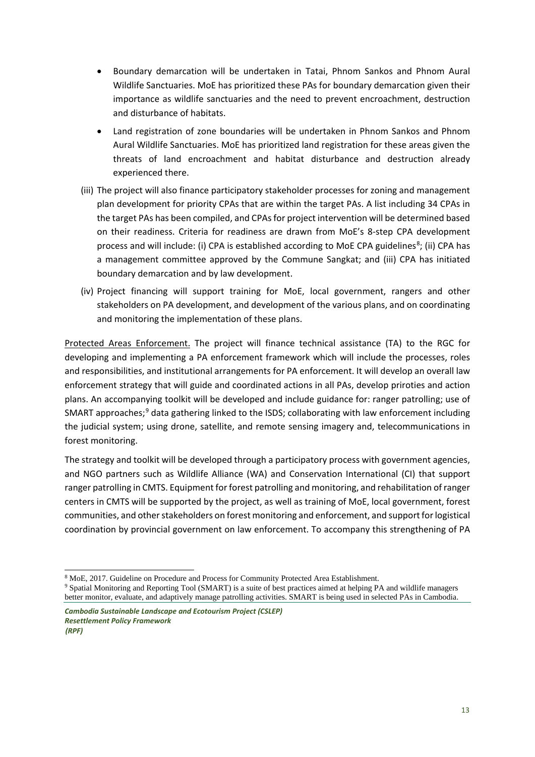- Boundary demarcation will be undertaken in Tatai, Phnom Sankos and Phnom Aural Wildlife Sanctuaries. MoE has prioritized these PAs for boundary demarcation given their importance as wildlife sanctuaries and the need to prevent encroachment, destruction and disturbance of habitats.
- Land registration of zone boundaries will be undertaken in Phnom Sankos and Phnom Aural Wildlife Sanctuaries. MoE has prioritized land registration for these areas given the threats of land encroachment and habitat disturbance and destruction already experienced there.
- (iii) The project will also finance participatory stakeholder processes for zoning and management plan development for priority CPAs that are within the target PAs. A list including 34 CPAs in the target PAs has been compiled, and CPAs for project intervention will be determined based on their readiness. Criteria for readiness are drawn from MoE's 8-step CPA development process and will include: (i) CPA is established according to MoE CPA guidelines<sup>[8](#page-12-0)</sup>; (ii) CPA has a management committee approved by the Commune Sangkat; and (iii) CPA has initiated boundary demarcation and by law development.
- (iv) Project financing will support training for MoE, local government, rangers and other stakeholders on PA development, and development of the various plans, and on coordinating and monitoring the implementation of these plans.

Protected Areas Enforcement. The project will finance technical assistance (TA) to the RGC for developing and implementing a PA enforcement framework which will include the processes, roles and responsibilities, and institutional arrangements for PA enforcement. It will develop an overall law enforcement strategy that will guide and coordinated actions in all PAs, develop priroties and action plans. An accompanying toolkit will be developed and include guidance for: ranger patrolling; use of SMART approaches; $9$  data gathering linked to the ISDS; collaborating with law enforcement including the judicial system; using drone, satellite, and remote sensing imagery and, telecommunications in forest monitoring.

The strategy and toolkit will be developed through a participatory process with government agencies, and NGO partners such as Wildlife Alliance (WA) and Conservation International (CI) that support ranger patrolling in CMTS. Equipment for forest patrolling and monitoring, and rehabilitation of ranger centers in CMTS will be supported by the project, as well as training of MoE, local government, forest communities, and other stakeholders on forest monitoring and enforcement, and support for logistical coordination by provincial government on law enforcement. To accompany this strengthening of PA

<sup>-</sup><sup>8</sup> MoE, 2017. Guideline on Procedure and Process for Community Protected Area Establishment.

<span id="page-12-1"></span><span id="page-12-0"></span><sup>9</sup> Spatial Monitoring and Reporting Tool (SMART) is a suite of best practices aimed at helping PA and wildlife managers better monitor, evaluate, and adaptively manage patrolling activities. SMART is being used in selected PAs in Cambodia.

*Cambodia Sustainable Landscape and Ecotourism Project (CSLEP) Resettlement Policy Framework (RPF)*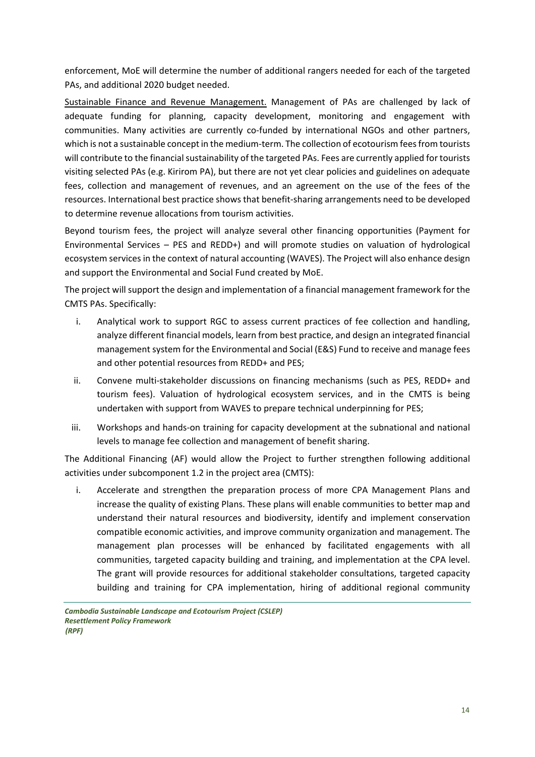enforcement, MoE will determine the number of additional rangers needed for each of the targeted PAs, and additional 2020 budget needed.

Sustainable Finance and Revenue Management. Management of PAs are challenged by lack of adequate funding for planning, capacity development, monitoring and engagement with communities. Many activities are currently co-funded by international NGOs and other partners, which is not a sustainable concept in the medium-term. The collection of ecotourism fees from tourists will contribute to the financial sustainability of the targeted PAs. Fees are currently applied for tourists visiting selected PAs (e.g. Kirirom PA), but there are not yet clear policies and guidelines on adequate fees, collection and management of revenues, and an agreement on the use of the fees of the resources. International best practice shows that benefit-sharing arrangements need to be developed to determine revenue allocations from tourism activities.

Beyond tourism fees, the project will analyze several other financing opportunities (Payment for Environmental Services – PES and REDD+) and will promote studies on valuation of hydrological ecosystem services in the context of natural accounting (WAVES). The Project will also enhance design and support the Environmental and Social Fund created by MoE.

The project will support the design and implementation of a financial management framework for the CMTS PAs. Specifically:

- i. Analytical work to support RGC to assess current practices of fee collection and handling, analyze different financial models, learn from best practice, and design an integrated financial management system for the Environmental and Social (E&S) Fund to receive and manage fees and other potential resources from REDD+ and PES;
- ii. Convene multi-stakeholder discussions on financing mechanisms (such as PES, REDD+ and tourism fees). Valuation of hydrological ecosystem services, and in the CMTS is being undertaken with support from WAVES to prepare technical underpinning for PES;
- iii. Workshops and hands-on training for capacity development at the subnational and national levels to manage fee collection and management of benefit sharing.

The Additional Financing (AF) would allow the Project to further strengthen following additional activities under subcomponent 1.2 in the project area (CMTS):

i. Accelerate and strengthen the preparation process of more CPA Management Plans and increase the quality of existing Plans. These plans will enable communities to better map and understand their natural resources and biodiversity, identify and implement conservation compatible economic activities, and improve community organization and management. The management plan processes will be enhanced by facilitated engagements with all communities, targeted capacity building and training, and implementation at the CPA level. The grant will provide resources for additional stakeholder consultations, targeted capacity building and training for CPA implementation, hiring of additional regional community

*Cambodia Sustainable Landscape and Ecotourism Project (CSLEP) Resettlement Policy Framework (RPF)*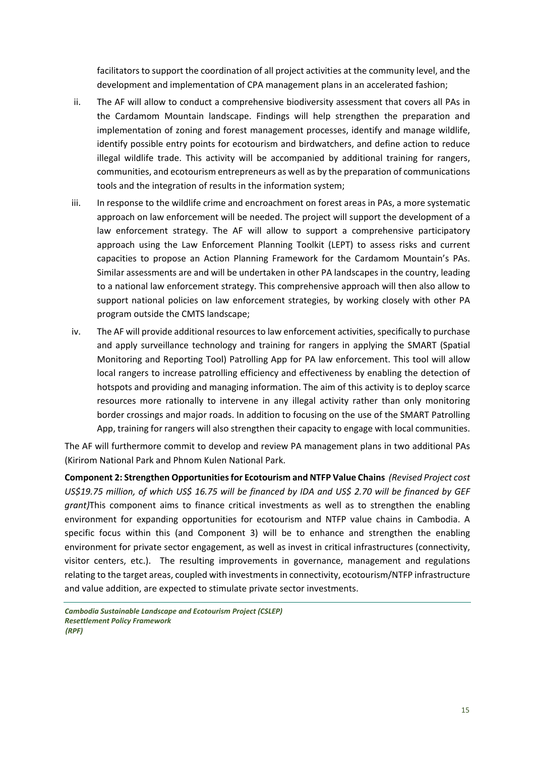facilitators to support the coordination of all project activities at the community level, and the development and implementation of CPA management plans in an accelerated fashion;

- ii. The AF will allow to conduct a comprehensive biodiversity assessment that covers all PAs in the Cardamom Mountain landscape. Findings will help strengthen the preparation and implementation of zoning and forest management processes, identify and manage wildlife, identify possible entry points for ecotourism and birdwatchers, and define action to reduce illegal wildlife trade. This activity will be accompanied by additional training for rangers, communities, and ecotourism entrepreneurs as well as by the preparation of communications tools and the integration of results in the information system;
- iii. In response to the wildlife crime and encroachment on forest areas in PAs, a more systematic approach on law enforcement will be needed. The project will support the development of a law enforcement strategy. The AF will allow to support a comprehensive participatory approach using the Law Enforcement Planning Toolkit (LEPT) to assess risks and current capacities to propose an Action Planning Framework for the Cardamom Mountain's PAs. Similar assessments are and will be undertaken in other PA landscapes in the country, leading to a national law enforcement strategy. This comprehensive approach will then also allow to support national policies on law enforcement strategies, by working closely with other PA program outside the CMTS landscape;
- iv. The AF will provide additional resources to law enforcement activities, specifically to purchase and apply surveillance technology and training for rangers in applying the SMART (Spatial Monitoring and Reporting Tool) Patrolling App for PA law enforcement. This tool will allow local rangers to increase patrolling efficiency and effectiveness by enabling the detection of hotspots and providing and managing information. The aim of this activity is to deploy scarce resources more rationally to intervene in any illegal activity rather than only monitoring border crossings and major roads. In addition to focusing on the use of the SMART Patrolling App, training for rangers will also strengthen their capacity to engage with local communities.

The AF will furthermore commit to develop and review PA management plans in two additional PAs (Kirirom National Park and Phnom Kulen National Park.

**Component 2: Strengthen Opportunities for Ecotourism and NTFP Value Chains** *(Revised Project cost US\$19.75 million, of which US\$ 16.75 will be financed by IDA and US\$ 2.70 will be financed by GEF grant)*This component aims to finance critical investments as well as to strengthen the enabling environment for expanding opportunities for ecotourism and NTFP value chains in Cambodia. A specific focus within this (and Component 3) will be to enhance and strengthen the enabling environment for private sector engagement, as well as invest in critical infrastructures (connectivity, visitor centers, etc.). The resulting improvements in governance, management and regulations relating to the target areas, coupled with investments in connectivity, ecotourism/NTFP infrastructure and value addition, are expected to stimulate private sector investments.

*Cambodia Sustainable Landscape and Ecotourism Project (CSLEP) Resettlement Policy Framework (RPF)*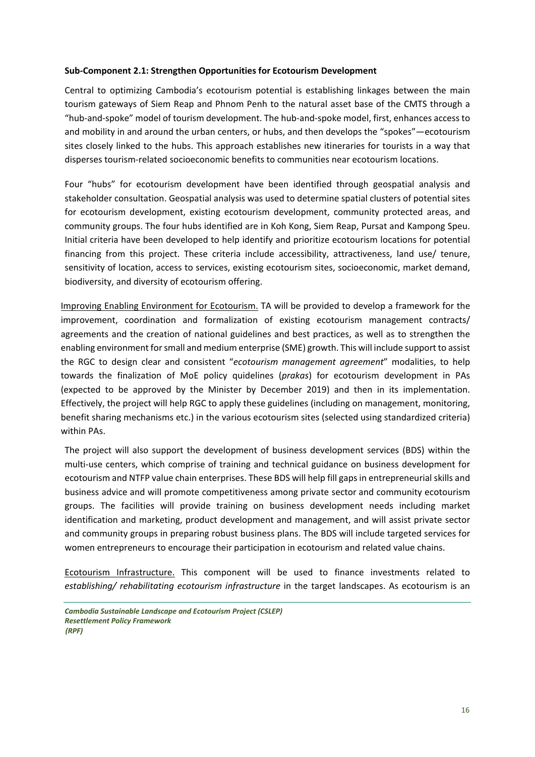#### **Sub-Component 2.1: Strengthen Opportunities for Ecotourism Development**

Central to optimizing Cambodia's ecotourism potential is establishing linkages between the main tourism gateways of Siem Reap and Phnom Penh to the natural asset base of the CMTS through a "hub-and-spoke" model of tourism development. The hub-and-spoke model, first, enhances access to and mobility in and around the urban centers, or hubs, and then develops the "spokes"—ecotourism sites closely linked to the hubs. This approach establishes new itineraries for tourists in a way that disperses tourism-related socioeconomic benefits to communities near ecotourism locations.

Four "hubs" for ecotourism development have been identified through geospatial analysis and stakeholder consultation. Geospatial analysis was used to determine spatial clusters of potential sites for ecotourism development, existing ecotourism development, community protected areas, and community groups. The four hubs identified are in Koh Kong, Siem Reap, Pursat and Kampong Speu. Initial criteria have been developed to help identify and prioritize ecotourism locations for potential financing from this project. These criteria include accessibility, attractiveness, land use/ tenure, sensitivity of location, access to services, existing ecotourism sites, socioeconomic, market demand, biodiversity, and diversity of ecotourism offering.

Improving Enabling Environment for Ecotourism. TA will be provided to develop a framework for the improvement, coordination and formalization of existing ecotourism management contracts/ agreements and the creation of national guidelines and best practices, as well as to strengthen the enabling environment for small and medium enterprise (SME) growth. This will include support to assist the RGC to design clear and consistent "*ecotourism management agreement*" modalities, to help towards the finalization of MoE policy quidelines (*prakas*) for ecotourism development in PAs (expected to be approved by the Minister by December 2019) and then in its implementation. Effectively, the project will help RGC to apply these guidelines (including on management, monitoring, benefit sharing mechanisms etc.) in the various ecotourism sites (selected using standardized criteria) within PAs.

The project will also support the development of business development services (BDS) within the multi-use centers, which comprise of training and technical guidance on business development for ecotourism and NTFP value chain enterprises. These BDS will help fill gaps in entrepreneurial skills and business advice and will promote competitiveness among private sector and community ecotourism groups. The facilities will provide training on business development needs including market identification and marketing, product development and management, and will assist private sector and community groups in preparing robust business plans. The BDS will include targeted services for women entrepreneurs to encourage their participation in ecotourism and related value chains.

Ecotourism Infrastructure. This component will be used to finance investments related to *establishing/ rehabilitating ecotourism infrastructure* in the target landscapes. As ecotourism is an

*Cambodia Sustainable Landscape and Ecotourism Project (CSLEP) Resettlement Policy Framework (RPF)*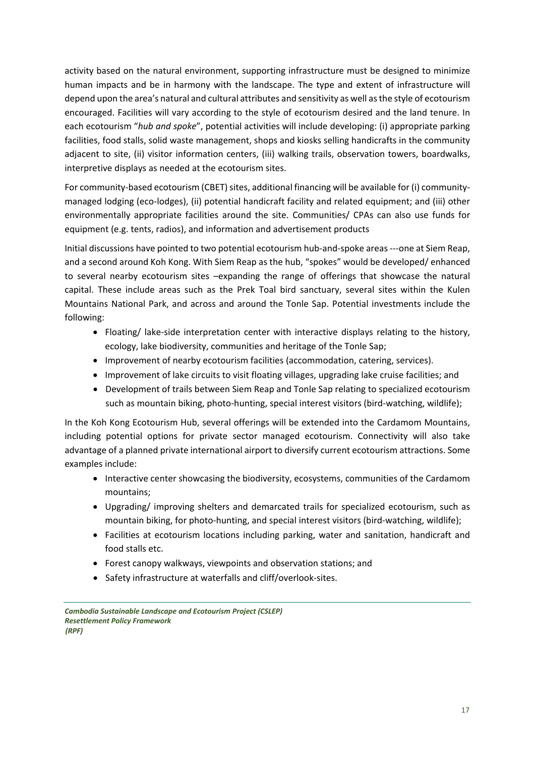activity based on the natural environment, supporting infrastructure must be designed to minimize human impacts and be in harmony with the landscape. The type and extent of infrastructure will depend upon the area's natural and cultural attributes and sensitivity as well as the style of ecotourism encouraged. Facilities will vary according to the style of ecotourism desired and the land tenure. In each ecotourism "*hub and spoke*", potential activities will include developing: (i) appropriate parking facilities, food stalls, solid waste management, shops and kiosks selling handicrafts in the community adjacent to site, (ii) visitor information centers, (iii) walking trails, observation towers, boardwalks, interpretive displays as needed at the ecotourism sites.

For community-based ecotourism (CBET) sites, additional financing will be available for (i) communitymanaged lodging (eco-lodges), (ii) potential handicraft facility and related equipment; and (iii) other environmentally appropriate facilities around the site. Communities/ CPAs can also use funds for equipment (e.g. tents, radios), and information and advertisement products

Initial discussions have pointed to two potential ecotourism hub-and-spoke areas ---one at Siem Reap, and a second around Koh Kong. With Siem Reap as the hub, "spokes" would be developed/ enhanced to several nearby ecotourism sites –expanding the range of offerings that showcase the natural capital. These include areas such as the Prek Toal bird sanctuary, several sites within the Kulen Mountains National Park, and across and around the Tonle Sap. Potential investments include the following:

- Floating/ lake-side interpretation center with interactive displays relating to the history, ecology, lake biodiversity, communities and heritage of the Tonle Sap;
- Improvement of nearby ecotourism facilities (accommodation, catering, services).
- Improvement of lake circuits to visit floating villages, upgrading lake cruise facilities; and
- Development of trails between Siem Reap and Tonle Sap relating to specialized ecotourism such as mountain biking, photo-hunting, special interest visitors (bird-watching, wildlife);

In the Koh Kong Ecotourism Hub, several offerings will be extended into the Cardamom Mountains, including potential options for private sector managed ecotourism. Connectivity will also take advantage of a planned private international airport to diversify current ecotourism attractions. Some examples include:

- Interactive center showcasing the biodiversity, ecosystems, communities of the Cardamom mountains;
- Upgrading/ improving shelters and demarcated trails for specialized ecotourism, such as mountain biking, for photo-hunting, and special interest visitors (bird-watching, wildlife);
- Facilities at ecotourism locations including parking, water and sanitation, handicraft and food stalls etc.
- Forest canopy walkways, viewpoints and observation stations; and
- Safety infrastructure at waterfalls and cliff/overlook-sites.

*Cambodia Sustainable Landscape and Ecotourism Project (CSLEP) Resettlement Policy Framework (RPF)*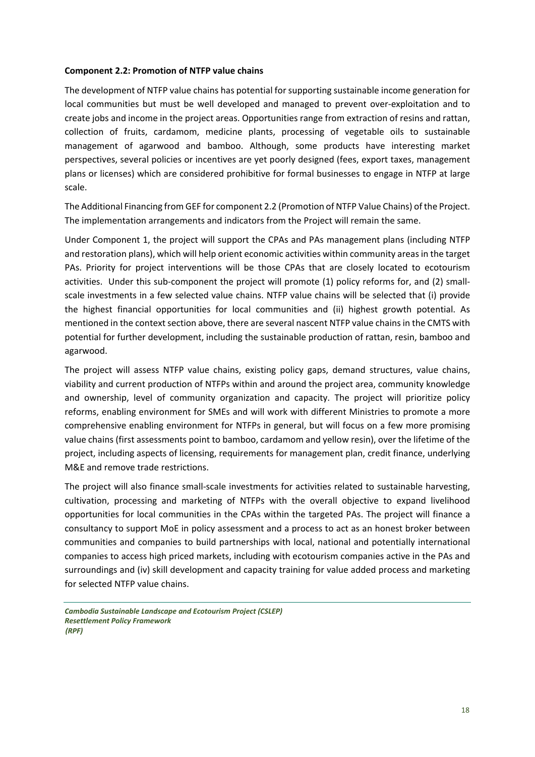#### **Component 2.2: Promotion of NTFP value chains**

The development of NTFP value chains has potential for supporting sustainable income generation for local communities but must be well developed and managed to prevent over-exploitation and to create jobs and income in the project areas. Opportunities range from extraction of resins and rattan, collection of fruits, cardamom, medicine plants, processing of vegetable oils to sustainable management of agarwood and bamboo. Although, some products have interesting market perspectives, several policies or incentives are yet poorly designed (fees, export taxes, management plans or licenses) which are considered prohibitive for formal businesses to engage in NTFP at large scale.

The Additional Financing from GEF for component 2.2 (Promotion of NTFP Value Chains) of the Project. The implementation arrangements and indicators from the Project will remain the same.

Under Component 1, the project will support the CPAs and PAs management plans (including NTFP and restoration plans), which will help orient economic activities within community areas in the target PAs. Priority for project interventions will be those CPAs that are closely located to ecotourism activities. Under this sub-component the project will promote (1) policy reforms for, and (2) smallscale investments in a few selected value chains. NTFP value chains will be selected that (i) provide the highest financial opportunities for local communities and (ii) highest growth potential. As mentioned in the context section above, there are several nascent NTFP value chains in the CMTS with potential for further development, including the sustainable production of rattan, resin, bamboo and agarwood.

The project will assess NTFP value chains, existing policy gaps, demand structures, value chains, viability and current production of NTFPs within and around the project area, community knowledge and ownership, level of community organization and capacity. The project will prioritize policy reforms, enabling environment for SMEs and will work with different Ministries to promote a more comprehensive enabling environment for NTFPs in general, but will focus on a few more promising value chains (first assessments point to bamboo, cardamom and yellow resin), over the lifetime of the project, including aspects of licensing, requirements for management plan, credit finance, underlying M&E and remove trade restrictions.

The project will also finance small-scale investments for activities related to sustainable harvesting, cultivation, processing and marketing of NTFPs with the overall objective to expand livelihood opportunities for local communities in the CPAs within the targeted PAs. The project will finance a consultancy to support MoE in policy assessment and a process to act as an honest broker between communities and companies to build partnerships with local, national and potentially international companies to access high priced markets, including with ecotourism companies active in the PAs and surroundings and (iv) skill development and capacity training for value added process and marketing for selected NTFP value chains.

*Cambodia Sustainable Landscape and Ecotourism Project (CSLEP) Resettlement Policy Framework (RPF)*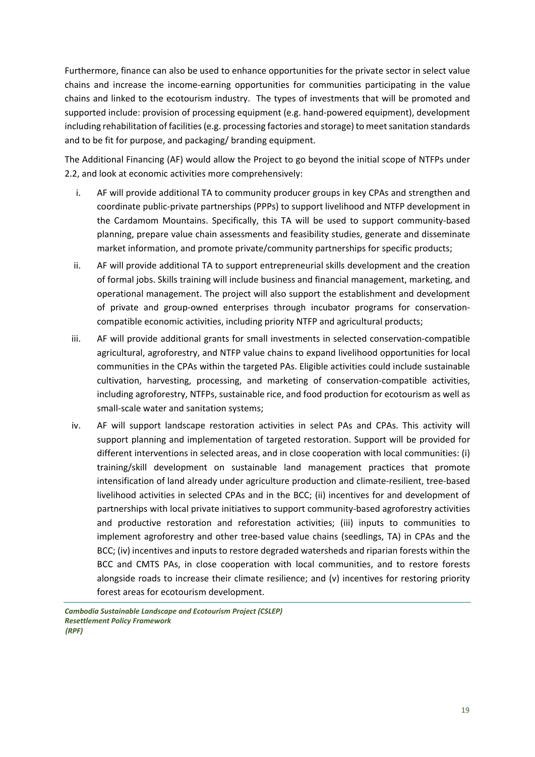Furthermore, finance can also be used to enhance opportunities for the private sector in select value chains and increase the income-earning opportunities for communities participating in the value chains and linked to the ecotourism industry. The types of investments that will be promoted and supported include: provision of processing equipment (e.g. hand-powered equipment), development including rehabilitation of facilities (e.g. processing factories and storage) to meet sanitation standards and to be fit for purpose, and packaging/ branding equipment.

The Additional Financing (AF) would allow the Project to go beyond the initial scope of NTFPs under 2.2, and look at economic activities more comprehensively:

- i. AF will provide additional TA to community producer groups in key CPAs and strengthen and coordinate public-private partnerships (PPPs) to support livelihood and NTFP development in the Cardamom Mountains. Specifically, this TA will be used to support community-based planning, prepare value chain assessments and feasibility studies, generate and disseminate market information, and promote private/community partnerships for specific products;
- ii. AF will provide additional TA to support entrepreneurial skills development and the creation of formal jobs. Skills training will include business and financial management, marketing, and operational management. The project will also support the establishment and development of private and group-owned enterprises through incubator programs for conservationcompatible economic activities, including priority NTFP and agricultural products;
- iii. AF will provide additional grants for small investments in selected conservation-compatible agricultural, agroforestry, and NTFP value chains to expand livelihood opportunities for local communities in the CPAs within the targeted PAs. Eligible activities could include sustainable cultivation, harvesting, processing, and marketing of conservation-compatible activities, including agroforestry, NTFPs, sustainable rice, and food production for ecotourism as well as small-scale water and sanitation systems;
- iv. AF will support landscape restoration activities in select PAs and CPAs. This activity will support planning and implementation of targeted restoration. Support will be provided for different interventions in selected areas, and in close cooperation with local communities: (i) training/skill development on sustainable land management practices that promote intensification of land already under agriculture production and climate-resilient, tree-based livelihood activities in selected CPAs and in the BCC; (ii) incentives for and development of partnerships with local private initiatives to support community-based agroforestry activities and productive restoration and reforestation activities; (iii) inputs to communities to implement agroforestry and other tree-based value chains (seedlings, TA) in CPAs and the BCC; (iv) incentives and inputs to restore degraded watersheds and riparian forests within the BCC and CMTS PAs, in close cooperation with local communities, and to restore forests alongside roads to increase their climate resilience; and (v) incentives for restoring priority forest areas for ecotourism development.

*Cambodia Sustainable Landscape and Ecotourism Project (CSLEP) Resettlement Policy Framework (RPF)*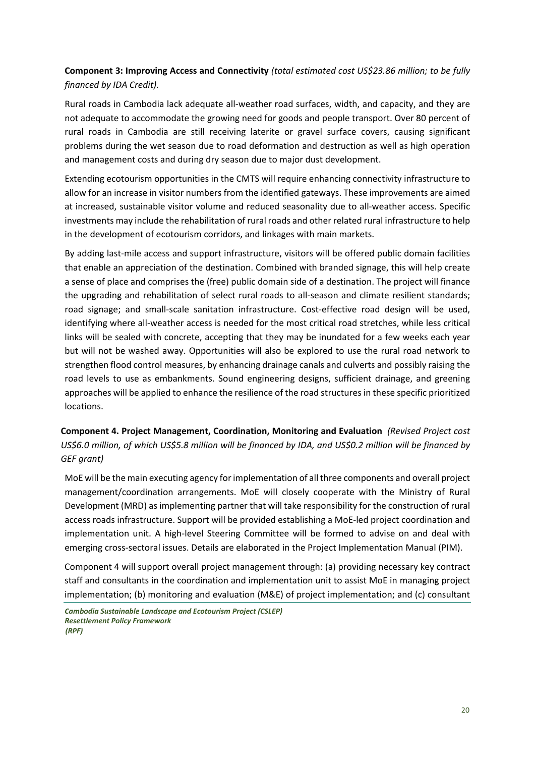**Component 3: Improving Access and Connectivity** *(total estimated cost US\$23.86 million; to be fully financed by IDA Credit).*

Rural roads in Cambodia lack adequate all-weather road surfaces, width, and capacity, and they are not adequate to accommodate the growing need for goods and people transport. Over 80 percent of rural roads in Cambodia are still receiving laterite or gravel surface covers, causing significant problems during the wet season due to road deformation and destruction as well as high operation and management costs and during dry season due to major dust development.

Extending ecotourism opportunities in the CMTS will require enhancing connectivity infrastructure to allow for an increase in visitor numbers from the identified gateways. These improvements are aimed at increased, sustainable visitor volume and reduced seasonality due to all-weather access. Specific investments may include the rehabilitation of rural roads and other related rural infrastructure to help in the development of ecotourism corridors, and linkages with main markets.

By adding last-mile access and support infrastructure, visitors will be offered public domain facilities that enable an appreciation of the destination. Combined with branded signage, this will help create a sense of place and comprises the (free) public domain side of a destination. The project will finance the upgrading and rehabilitation of select rural roads to all-season and climate resilient standards; road signage; and small-scale sanitation infrastructure. Cost-effective road design will be used, identifying where all-weather access is needed for the most critical road stretches, while less critical links will be sealed with concrete, accepting that they may be inundated for a few weeks each year but will not be washed away. Opportunities will also be explored to use the rural road network to strengthen flood control measures, by enhancing drainage canals and culverts and possibly raising the road levels to use as embankments. Sound engineering designs, sufficient drainage, and greening approaches will be applied to enhance the resilience of the road structures in these specific prioritized locations.

**Component 4. Project Management, Coordination, Monitoring and Evaluation** *(Revised Project cost US\$6.0 million, of which US\$5.8 million will be financed by IDA, and US\$0.2 million will be financed by GEF grant)*

MoE will be the main executing agency for implementation of all three components and overall project management/coordination arrangements. MoE will closely cooperate with the Ministry of Rural Development (MRD) as implementing partner that will take responsibility for the construction of rural access roads infrastructure. Support will be provided establishing a MoE-led project coordination and implementation unit. A high-level Steering Committee will be formed to advise on and deal with emerging cross-sectoral issues. Details are elaborated in the Project Implementation Manual (PIM).

Component 4 will support overall project management through: (a) providing necessary key contract staff and consultants in the coordination and implementation unit to assist MoE in managing project implementation; (b) monitoring and evaluation (M&E) of project implementation; and (c) consultant

*Cambodia Sustainable Landscape and Ecotourism Project (CSLEP) Resettlement Policy Framework (RPF)*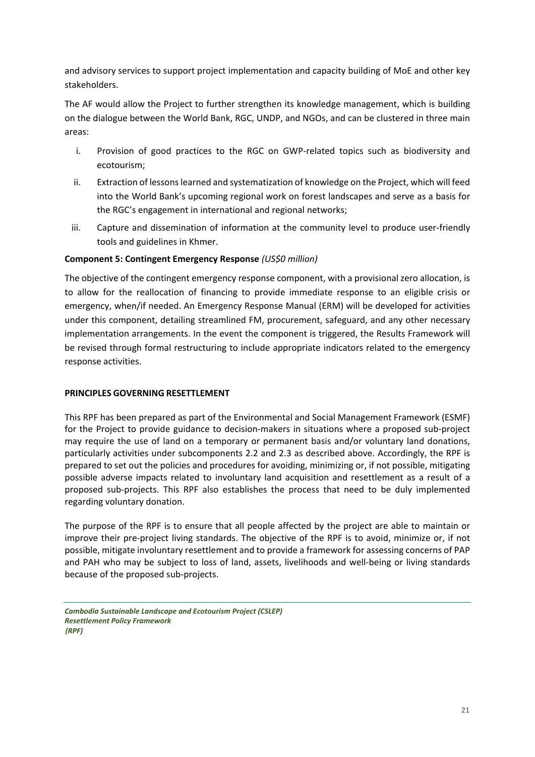and advisory services to support project implementation and capacity building of MoE and other key stakeholders.

The AF would allow the Project to further strengthen its knowledge management, which is building on the dialogue between the World Bank, RGC, UNDP, and NGOs, and can be clustered in three main areas:

- i. Provision of good practices to the RGC on GWP-related topics such as biodiversity and ecotourism;
- ii. Extraction of lessons learned and systematization of knowledge on the Project, which will feed into the World Bank's upcoming regional work on forest landscapes and serve as a basis for the RGC's engagement in international and regional networks;
- iii. Capture and dissemination of information at the community level to produce user-friendly tools and guidelines in Khmer.

### **Component 5: Contingent Emergency Response** *(US\$0 million)*

The objective of the contingent emergency response component, with a provisional zero allocation, is to allow for the reallocation of financing to provide immediate response to an eligible crisis or emergency, when/if needed. An Emergency Response Manual (ERM) will be developed for activities under this component, detailing streamlined FM, procurement, safeguard, and any other necessary implementation arrangements. In the event the component is triggered, the Results Framework will be revised through formal restructuring to include appropriate indicators related to the emergency response activities.

### <span id="page-20-0"></span>**PRINCIPLES GOVERNING RESETTLEMENT**

This RPF has been prepared as part of the Environmental and Social Management Framework (ESMF) for the Project to provide guidance to decision-makers in situations where a proposed sub-project may require the use of land on a temporary or permanent basis and/or voluntary land donations, particularly activities under subcomponents 2.2 and 2.3 as described above. Accordingly, the RPF is prepared to set out the policies and procedures for avoiding, minimizing or, if not possible, mitigating possible adverse impacts related to involuntary land acquisition and resettlement as a result of a proposed sub-projects. This RPF also establishes the process that need to be duly implemented regarding voluntary donation.

The purpose of the RPF is to ensure that all people affected by the project are able to maintain or improve their pre-project living standards. The objective of the RPF is to avoid, minimize or, if not possible, mitigate involuntary resettlement and to provide a framework for assessing concerns of PAP and PAH who may be subject to loss of land, assets, livelihoods and well-being or living standards because of the proposed sub-projects.

*Cambodia Sustainable Landscape and Ecotourism Project (CSLEP) Resettlement Policy Framework (RPF)*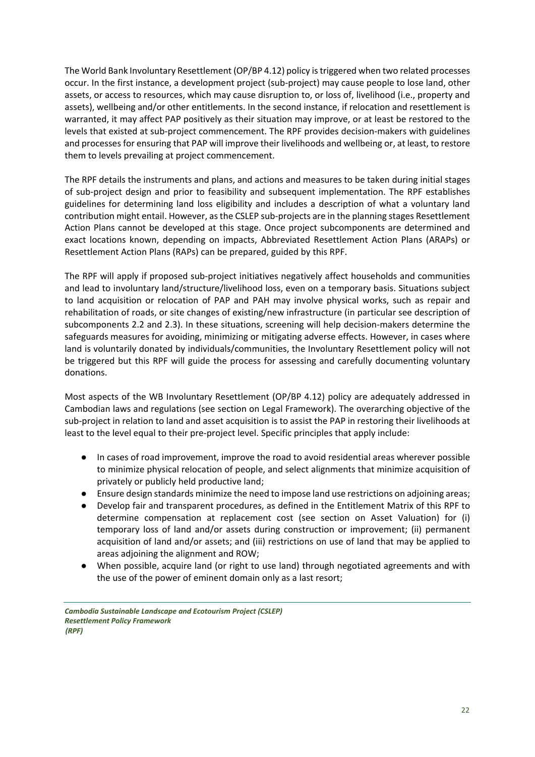The World Bank Involuntary Resettlement (OP/BP 4.12) policy is triggered when two related processes occur. In the first instance, a development project (sub-project) may cause people to lose land, other assets, or access to resources, which may cause disruption to, or loss of, livelihood (i.e., property and assets), wellbeing and/or other entitlements. In the second instance, if relocation and resettlement is warranted, it may affect PAP positively as their situation may improve, or at least be restored to the levels that existed at sub-project commencement. The RPF provides decision-makers with guidelines and processes for ensuring that PAP will improve their livelihoods and wellbeing or, at least, to restore them to levels prevailing at project commencement.

The RPF details the instruments and plans, and actions and measures to be taken during initial stages of sub-project design and prior to feasibility and subsequent implementation. The RPF establishes guidelines for determining land loss eligibility and includes a description of what a voluntary land contribution might entail. However, as the CSLEP sub-projects are in the planning stages Resettlement Action Plans cannot be developed at this stage. Once project subcomponents are determined and exact locations known, depending on impacts, Abbreviated Resettlement Action Plans (ARAPs) or Resettlement Action Plans (RAPs) can be prepared, guided by this RPF.

The RPF will apply if proposed sub-project initiatives negatively affect households and communities and lead to involuntary land/structure/livelihood loss, even on a temporary basis. Situations subject to land acquisition or relocation of PAP and PAH may involve physical works, such as repair and rehabilitation of roads, or site changes of existing/new infrastructure (in particular see description of subcomponents 2.2 and 2.3). In these situations, screening will help decision-makers determine the safeguards measures for avoiding, minimizing or mitigating adverse effects. However, in cases where land is voluntarily donated by individuals/communities, the Involuntary Resettlement policy will not be triggered but this RPF will guide the process for assessing and carefully documenting voluntary donations.

Most aspects of the WB Involuntary Resettlement (OP/BP 4.12) policy are adequately addressed in Cambodian laws and regulations (see section on Legal Framework). The overarching objective of the sub-project in relation to land and asset acquisition is to assist the PAP in restoring their livelihoods at least to the level equal to their pre-project level. Specific principles that apply include:

- In cases of road improvement, improve the road to avoid residential areas wherever possible to minimize physical relocation of people, and select alignments that minimize acquisition of privately or publicly held productive land;
- Ensure design standards minimize the need to impose land use restrictions on adjoining areas;
- Develop fair and transparent procedures, as defined in the Entitlement Matrix of this RPF to determine compensation at replacement cost (see section on Asset Valuation) for (i) temporary loss of land and/or assets during construction or improvement; (ii) permanent acquisition of land and/or assets; and (iii) restrictions on use of land that may be applied to areas adjoining the alignment and ROW;
- When possible, acquire land (or right to use land) through negotiated agreements and with the use of the power of eminent domain only as a last resort;

*Cambodia Sustainable Landscape and Ecotourism Project (CSLEP) Resettlement Policy Framework (RPF)*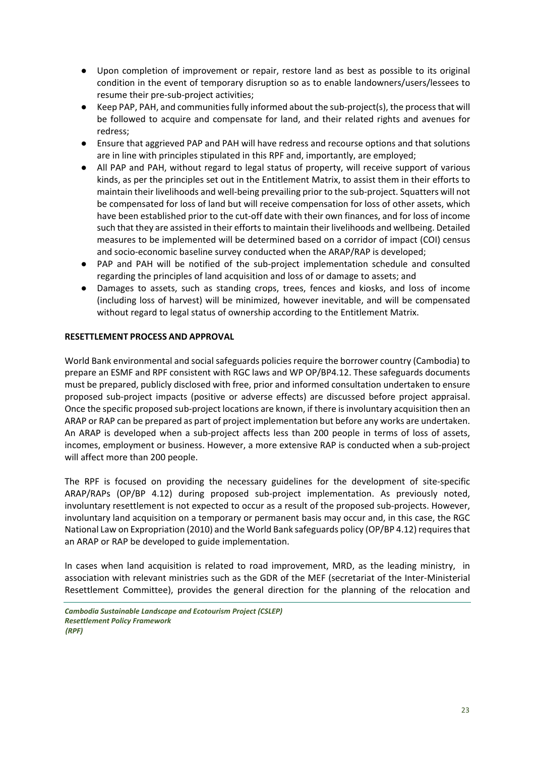- Upon completion of improvement or repair, restore land as best as possible to its original condition in the event of temporary disruption so as to enable landowners/users/lessees to resume their pre-sub-project activities;
- Keep PAP, PAH, and communities fully informed about the sub-project(s), the process that will be followed to acquire and compensate for land, and their related rights and avenues for redress;
- Ensure that aggrieved PAP and PAH will have redress and recourse options and that solutions are in line with principles stipulated in this RPF and, importantly, are employed;
- All PAP and PAH, without regard to legal status of property, will receive support of various kinds, as per the principles set out in the Entitlement Matrix, to assist them in their efforts to maintain their livelihoods and well-being prevailing prior to the sub-project. Squatters will not be compensated for loss of land but will receive compensation for loss of other assets, which have been established prior to the cut-off date with their own finances, and for loss of income such that they are assisted in their efforts to maintain their livelihoods and wellbeing. Detailed measures to be implemented will be determined based on a corridor of impact (COI) census and socio-economic baseline survey conducted when the ARAP/RAP is developed;
- PAP and PAH will be notified of the sub-project implementation schedule and consulted regarding the principles of land acquisition and loss of or damage to assets; and
- Damages to assets, such as standing crops, trees, fences and kiosks, and loss of income (including loss of harvest) will be minimized, however inevitable, and will be compensated without regard to legal status of ownership according to the Entitlement Matrix.

#### <span id="page-22-0"></span>**RESETTLEMENT PROCESS AND APPROVAL**

World Bank environmental and social safeguards policies require the borrower country (Cambodia) to prepare an ESMF and RPF consistent with RGC laws and WP OP/BP4.12. These safeguards documents must be prepared, publicly disclosed with free, prior and informed consultation undertaken to ensure proposed sub-project impacts (positive or adverse effects) are discussed before project appraisal. Once the specific proposed sub-project locations are known, if there is involuntary acquisition then an ARAP or RAP can be prepared as part of project implementation but before any works are undertaken. An ARAP is developed when a sub-project affects less than 200 people in terms of loss of assets, incomes, employment or business. However, a more extensive RAP is conducted when a sub-project will affect more than 200 people.

The RPF is focused on providing the necessary guidelines for the development of site-specific ARAP/RAPs (OP/BP 4.12) during proposed sub-project implementation. As previously noted, involuntary resettlement is not expected to occur as a result of the proposed sub-projects. However, involuntary land acquisition on a temporary or permanent basis may occur and, in this case, the RGC National Law on Expropriation (2010) and the World Bank safeguards policy (OP/BP 4.12) requires that an ARAP or RAP be developed to guide implementation.

In cases when land acquisition is related to road improvement, MRD, as the leading ministry, in association with relevant ministries such as the GDR of the MEF (secretariat of the Inter-Ministerial Resettlement Committee), provides the general direction for the planning of the relocation and

*Cambodia Sustainable Landscape and Ecotourism Project (CSLEP) Resettlement Policy Framework (RPF)*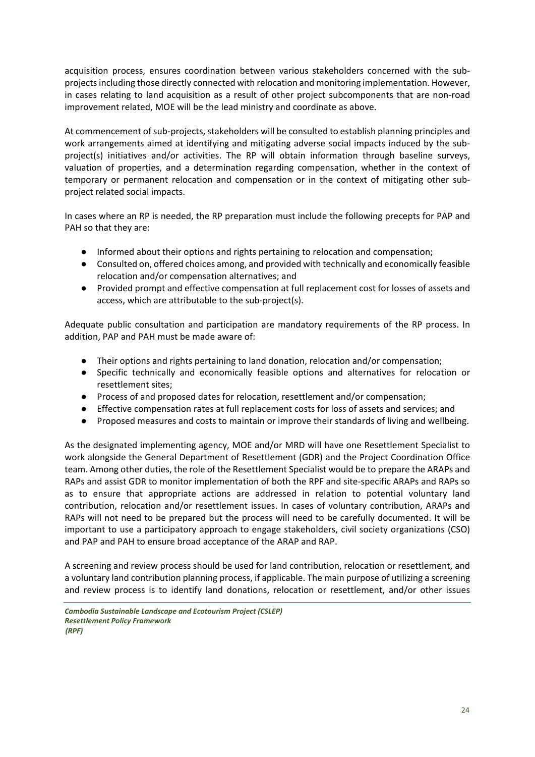acquisition process, ensures coordination between various stakeholders concerned with the subprojects including those directly connected with relocation and monitoring implementation. However, in cases relating to land acquisition as a result of other project subcomponents that are non-road improvement related, MOE will be the lead ministry and coordinate as above.

At commencement of sub-projects, stakeholders will be consulted to establish planning principles and work arrangements aimed at identifying and mitigating adverse social impacts induced by the subproject(s) initiatives and/or activities. The RP will obtain information through baseline surveys, valuation of properties, and a determination regarding compensation, whether in the context of temporary or permanent relocation and compensation or in the context of mitigating other subproject related social impacts.

In cases where an RP is needed, the RP preparation must include the following precepts for PAP and PAH so that they are:

- Informed about their options and rights pertaining to relocation and compensation;
- Consulted on, offered choices among, and provided with technically and economically feasible relocation and/or compensation alternatives; and
- Provided prompt and effective compensation at full replacement cost for losses of assets and access, which are attributable to the sub-project(s).

Adequate public consultation and participation are mandatory requirements of the RP process. In addition, PAP and PAH must be made aware of:

- Their options and rights pertaining to land donation, relocation and/or compensation;
- Specific technically and economically feasible options and alternatives for relocation or resettlement sites;
- Process of and proposed dates for relocation, resettlement and/or compensation;
- Effective compensation rates at full replacement costs for loss of assets and services; and
- Proposed measures and costs to maintain or improve their standards of living and wellbeing.

As the designated implementing agency, MOE and/or MRD will have one Resettlement Specialist to work alongside the General Department of Resettlement (GDR) and the Project Coordination Office team. Among other duties, the role of the Resettlement Specialist would be to prepare the ARAPs and RAPs and assist GDR to monitor implementation of both the RPF and site-specific ARAPs and RAPs so as to ensure that appropriate actions are addressed in relation to potential voluntary land contribution, relocation and/or resettlement issues. In cases of voluntary contribution, ARAPs and RAPs will not need to be prepared but the process will need to be carefully documented. It will be important to use a participatory approach to engage stakeholders, civil society organizations (CSO) and PAP and PAH to ensure broad acceptance of the ARAP and RAP.

A screening and review process should be used for land contribution, relocation or resettlement, and a voluntary land contribution planning process, if applicable. The main purpose of utilizing a screening and review process is to identify land donations, relocation or resettlement, and/or other issues

*Cambodia Sustainable Landscape and Ecotourism Project (CSLEP) Resettlement Policy Framework (RPF)*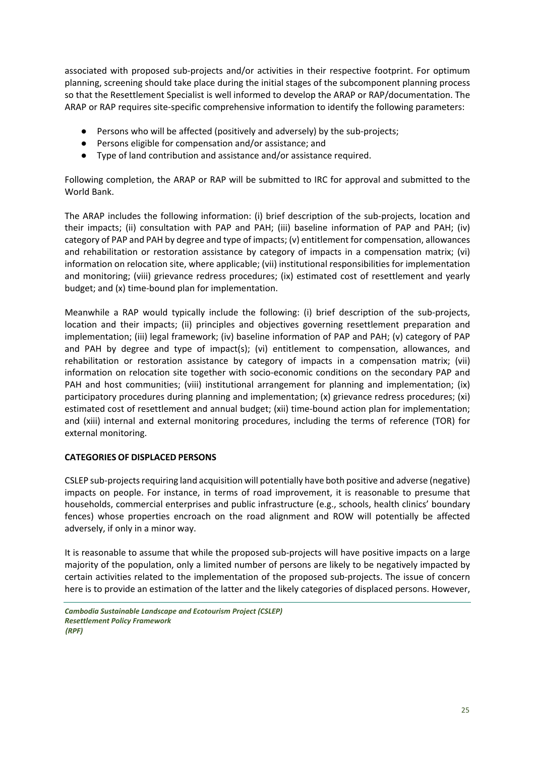associated with proposed sub-projects and/or activities in their respective footprint. For optimum planning, screening should take place during the initial stages of the subcomponent planning process so that the Resettlement Specialist is well informed to develop the ARAP or RAP/documentation. The ARAP or RAP requires site-specific comprehensive information to identify the following parameters:

- Persons who will be affected (positively and adversely) by the sub-projects;
- Persons eligible for compensation and/or assistance; and
- Type of land contribution and assistance and/or assistance required.

Following completion, the ARAP or RAP will be submitted to IRC for approval and submitted to the World Bank.

The ARAP includes the following information: (i) brief description of the sub-projects, location and their impacts; (ii) consultation with PAP and PAH; (iii) baseline information of PAP and PAH; (iv) category of PAP and PAH by degree and type of impacts; (v) entitlement for compensation, allowances and rehabilitation or restoration assistance by category of impacts in a compensation matrix; (vi) information on relocation site, where applicable; (vii) institutional responsibilities for implementation and monitoring; (viii) grievance redress procedures; (ix) estimated cost of resettlement and yearly budget; and (x) time-bound plan for implementation.

Meanwhile a RAP would typically include the following: (i) brief description of the sub-projects, location and their impacts; (ii) principles and objectives governing resettlement preparation and implementation; (iii) legal framework; (iv) baseline information of PAP and PAH; (v) category of PAP and PAH by degree and type of impact(s); (vi) entitlement to compensation, allowances, and rehabilitation or restoration assistance by category of impacts in a compensation matrix; (vii) information on relocation site together with socio-economic conditions on the secondary PAP and PAH and host communities; (viii) institutional arrangement for planning and implementation; (ix) participatory procedures during planning and implementation; (x) grievance redress procedures; (xi) estimated cost of resettlement and annual budget; (xii) time-bound action plan for implementation; and (xiii) internal and external monitoring procedures, including the terms of reference (TOR) for external monitoring.

### <span id="page-24-0"></span>**CATEGORIES OF DISPLACED PERSONS**

CSLEP sub-projects requiring land acquisition will potentially have both positive and adverse (negative) impacts on people. For instance, in terms of road improvement, it is reasonable to presume that households, commercial enterprises and public infrastructure (e.g., schools, health clinics' boundary fences) whose properties encroach on the road alignment and ROW will potentially be affected adversely, if only in a minor way.

It is reasonable to assume that while the proposed sub-projects will have positive impacts on a large majority of the population, only a limited number of persons are likely to be negatively impacted by certain activities related to the implementation of the proposed sub-projects. The issue of concern here is to provide an estimation of the latter and the likely categories of displaced persons. However,

*Cambodia Sustainable Landscape and Ecotourism Project (CSLEP) Resettlement Policy Framework (RPF)*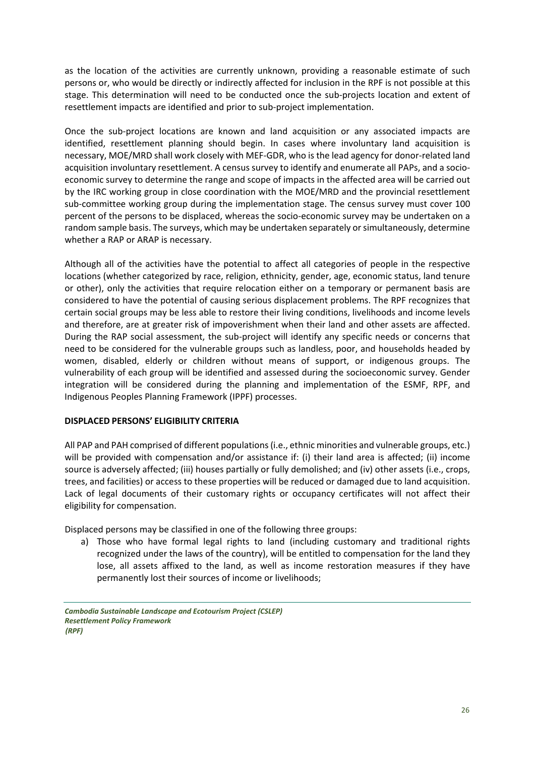as the location of the activities are currently unknown, providing a reasonable estimate of such persons or, who would be directly or indirectly affected for inclusion in the RPF is not possible at this stage. This determination will need to be conducted once the sub-projects location and extent of resettlement impacts are identified and prior to sub-project implementation.

Once the sub-project locations are known and land acquisition or any associated impacts are identified, resettlement planning should begin. In cases where involuntary land acquisition is necessary, MOE/MRD shall work closely with MEF-GDR, who is the lead agency for donor-related land acquisition involuntary resettlement. A census survey to identify and enumerate all PAPs, and a socioeconomic survey to determine the range and scope of impacts in the affected area will be carried out by the IRC working group in close coordination with the MOE/MRD and the provincial resettlement sub-committee working group during the implementation stage. The census survey must cover 100 percent of the persons to be displaced, whereas the socio-economic survey may be undertaken on a random sample basis. The surveys, which may be undertaken separately or simultaneously, determine whether a RAP or ARAP is necessary.

Although all of the activities have the potential to affect all categories of people in the respective locations (whether categorized by race, religion, ethnicity, gender, age, economic status, land tenure or other), only the activities that require relocation either on a temporary or permanent basis are considered to have the potential of causing serious displacement problems. The RPF recognizes that certain social groups may be less able to restore their living conditions, livelihoods and income levels and therefore, are at greater risk of impoverishment when their land and other assets are affected. During the RAP social assessment, the sub-project will identify any specific needs or concerns that need to be considered for the vulnerable groups such as landless, poor, and households headed by women, disabled, elderly or children without means of support, or indigenous groups. The vulnerability of each group will be identified and assessed during the socioeconomic survey. Gender integration will be considered during the planning and implementation of the ESMF, RPF, and Indigenous Peoples Planning Framework (IPPF) processes.

#### <span id="page-25-0"></span>**DISPLACED PERSONS' ELIGIBILITY CRITERIA**

All PAP and PAH comprised of different populations (i.e., ethnic minorities and vulnerable groups, etc.) will be provided with compensation and/or assistance if: (i) their land area is affected; (ii) income source is adversely affected; (iii) houses partially or fully demolished; and (iv) other assets (i.e., crops, trees, and facilities) or access to these properties will be reduced or damaged due to land acquisition. Lack of legal documents of their customary rights or occupancy certificates will not affect their eligibility for compensation.

Displaced persons may be classified in one of the following three groups:

a) Those who have formal legal rights to land (including customary and traditional rights recognized under the laws of the country), will be entitled to compensation for the land they lose, all assets affixed to the land, as well as income restoration measures if they have permanently lost their sources of income or livelihoods;

*Cambodia Sustainable Landscape and Ecotourism Project (CSLEP) Resettlement Policy Framework (RPF)*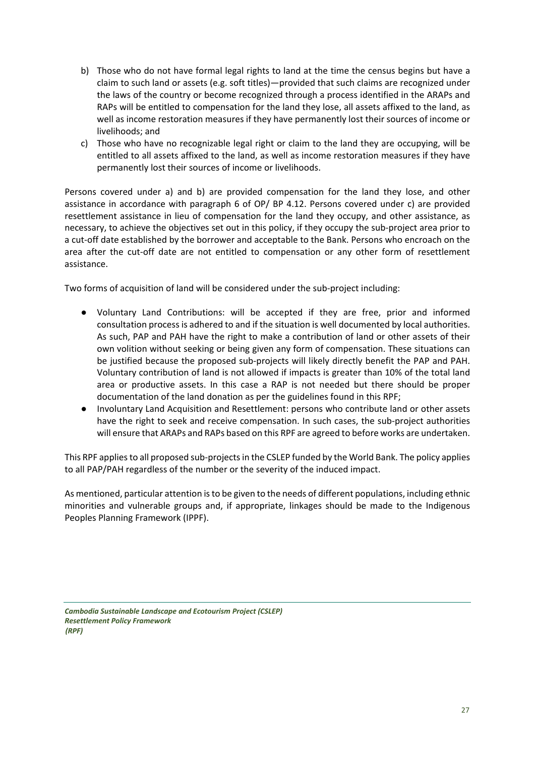- b) Those who do not have formal legal rights to land at the time the census begins but have a claim to such land or assets (e.g. soft titles)—provided that such claims are recognized under the laws of the country or become recognized through a process identified in the ARAPs and RAPs will be entitled to compensation for the land they lose, all assets affixed to the land, as well as income restoration measures if they have permanently lost their sources of income or livelihoods; and
- c) Those who have no recognizable legal right or claim to the land they are occupying, will be entitled to all assets affixed to the land, as well as income restoration measures if they have permanently lost their sources of income or livelihoods.

Persons covered under a) and b) are provided compensation for the land they lose, and other assistance in accordance with paragraph 6 of OP/ BP 4.12. Persons covered under c) are provided resettlement assistance in lieu of compensation for the land they occupy, and other assistance, as necessary, to achieve the objectives set out in this policy, if they occupy the sub-project area prior to a cut-off date established by the borrower and acceptable to the Bank. Persons who encroach on the area after the cut-off date are not entitled to compensation or any other form of resettlement assistance.

Two forms of acquisition of land will be considered under the sub-project including:

- Voluntary Land Contributions: will be accepted if they are free, prior and informed consultation process is adhered to and if the situation is well documented by local authorities. As such, PAP and PAH have the right to make a contribution of land or other assets of their own volition without seeking or being given any form of compensation. These situations can be justified because the proposed sub-projects will likely directly benefit the PAP and PAH. Voluntary contribution of land is not allowed if impacts is greater than 10% of the total land area or productive assets. In this case a RAP is not needed but there should be proper documentation of the land donation as per the guidelines found in this RPF;
- Involuntary Land Acquisition and Resettlement: persons who contribute land or other assets have the right to seek and receive compensation. In such cases, the sub-project authorities will ensure that ARAPs and RAPs based on this RPF are agreed to before works are undertaken.

This RPF applies to all proposed sub-projects in the CSLEP funded by the World Bank. The policy applies to all PAP/PAH regardless of the number or the severity of the induced impact.

As mentioned, particular attention is to be given to the needs of different populations, including ethnic minorities and vulnerable groups and, if appropriate, linkages should be made to the Indigenous Peoples Planning Framework (IPPF).

*Cambodia Sustainable Landscape and Ecotourism Project (CSLEP) Resettlement Policy Framework (RPF)*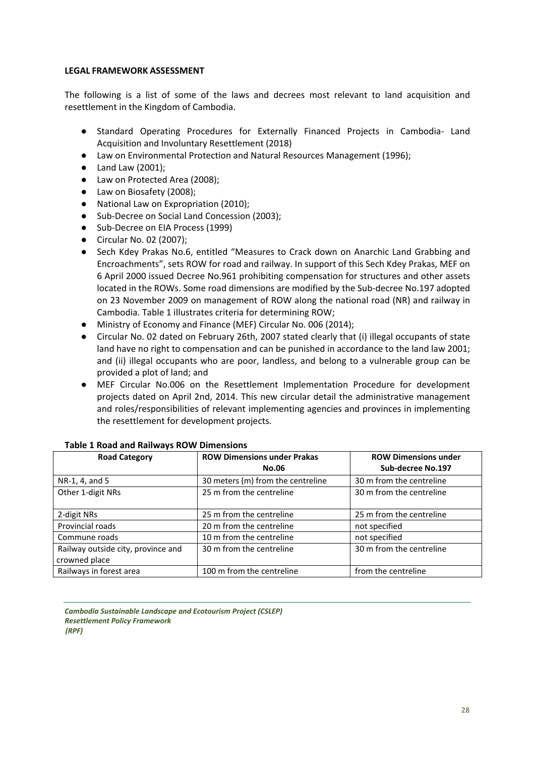#### <span id="page-27-0"></span>**LEGAL FRAMEWORK ASSESSMENT**

The following is a list of some of the laws and decrees most relevant to land acquisition and resettlement in the Kingdom of Cambodia.

- Standard Operating Procedures for Externally Financed Projects in Cambodia- Land Acquisition and Involuntary Resettlement (2018)
- Law on Environmental Protection and Natural Resources Management (1996);
- Land Law (2001);
- Law on Protected Area (2008);
- Law on Biosafety (2008);
- National Law on Expropriation (2010);
- Sub-Decree on Social Land Concession (2003);
- Sub-Decree on EIA Process (1999)
- Circular No. 02 (2007);
- Sech Kdey Prakas No.6, entitled "Measures to Crack down on Anarchic Land Grabbing and Encroachments", sets ROW for road and railway. In support of this Sech Kdey Prakas, MEF on 6 April 2000 issued Decree No.961 prohibiting compensation for structures and other assets located in the ROWs. Some road dimensions are modified by the Sub-decree No.197 adopted on 23 November 2009 on management of ROW along the national road (NR) and railway in Cambodia. Table 1 illustrates criteria for determining ROW;
- Ministry of Economy and Finance (MEF) Circular No. 006 (2014);
- Circular No. 02 dated on February 26th, 2007 stated clearly that (i) illegal occupants of state land have no right to compensation and can be punished in accordance to the land law 2001; and (ii) illegal occupants who are poor, landless, and belong to a vulnerable group can be provided a plot of land; and
- MEF Circular No.006 on the Resettlement Implementation Procedure for development projects dated on April 2nd, 2014. This new circular detail the administrative management and roles/responsibilities of relevant implementing agencies and provinces in implementing the resettlement for development projects.

| <b>Road Category</b>               | <b>ROW Dimensions under Prakas</b> | <b>ROW Dimensions under</b> |  |
|------------------------------------|------------------------------------|-----------------------------|--|
|                                    | <b>No.06</b>                       | Sub-decree No.197           |  |
| NR-1, 4, and 5                     | 30 meters (m) from the centreline  | 30 m from the centreline    |  |
| Other 1-digit NRs                  | 25 m from the centreline           | 30 m from the centreline    |  |
| 2-digit NRs                        | 25 m from the centreline           | 25 m from the centreline    |  |
| Provincial roads                   | 20 m from the centreline           | not specified               |  |
| Commune roads                      | 10 m from the centreline           | not specified               |  |
| Railway outside city, province and | 30 m from the centreline           | 30 m from the centreline    |  |
| crowned place                      |                                    |                             |  |
| Railways in forest area            | 100 m from the centreline          | from the centreline         |  |

#### **Table 1 Road and Railways ROW Dimensions**

*Cambodia Sustainable Landscape and Ecotourism Project (CSLEP) Resettlement Policy Framework (RPF)*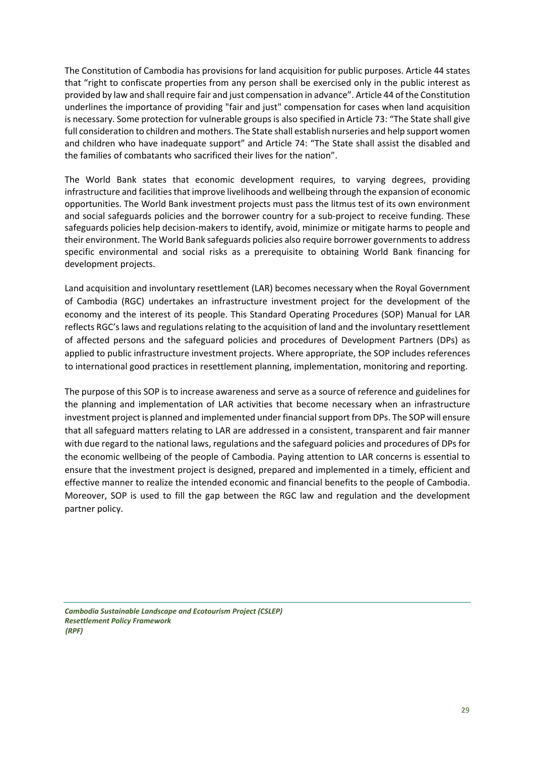The Constitution of Cambodia has provisions for land acquisition for public purposes. Article 44 states that "right to confiscate properties from any person shall be exercised only in the public interest as provided by law and shall require fair and just compensation in advance". Article 44 of the Constitution underlines the importance of providing "fair and just" compensation for cases when land acquisition is necessary. Some protection for vulnerable groups is also specified in Article 73: "The State shall give full consideration to children and mothers. The State shall establish nurseries and help support women and children who have inadequate support" and Article 74: "The State shall assist the disabled and the families of combatants who sacrificed their lives for the nation".

The World Bank states that economic development requires, to varying degrees, providing infrastructure and facilities that improve livelihoods and wellbeing through the expansion of economic opportunities. The World Bank investment projects must pass the litmus test of its own environment and social safeguards policies and the borrower country for a sub-project to receive funding. These safeguards policies help decision-makers to identify, avoid, minimize or mitigate harms to people and their environment. The World Bank safeguards policies also require borrower governments to address specific environmental and social risks as a prerequisite to obtaining World Bank financing for development projects.

Land acquisition and involuntary resettlement (LAR) becomes necessary when the Royal Government of Cambodia (RGC) undertakes an infrastructure investment project for the development of the economy and the interest of its people. This Standard Operating Procedures (SOP) Manual for LAR reflects RGC's laws and regulations relating to the acquisition of land and the involuntary resettlement of affected persons and the safeguard policies and procedures of Development Partners (DPs) as applied to public infrastructure investment projects. Where appropriate, the SOP includes references to international good practices in resettlement planning, implementation, monitoring and reporting.

The purpose of this SOP is to increase awareness and serve as a source of reference and guidelines for the planning and implementation of LAR activities that become necessary when an infrastructure investment project is planned and implemented under financial support from DPs. The SOP will ensure that all safeguard matters relating to LAR are addressed in a consistent, transparent and fair manner with due regard to the national laws, regulations and the safeguard policies and procedures of DPs for the economic wellbeing of the people of Cambodia. Paying attention to LAR concerns is essential to ensure that the investment project is designed, prepared and implemented in a timely, efficient and effective manner to realize the intended economic and financial benefits to the people of Cambodia. Moreover, SOP is used to fill the gap between the RGC law and regulation and the development partner policy.

*Cambodia Sustainable Landscape and Ecotourism Project (CSLEP) Resettlement Policy Framework (RPF)*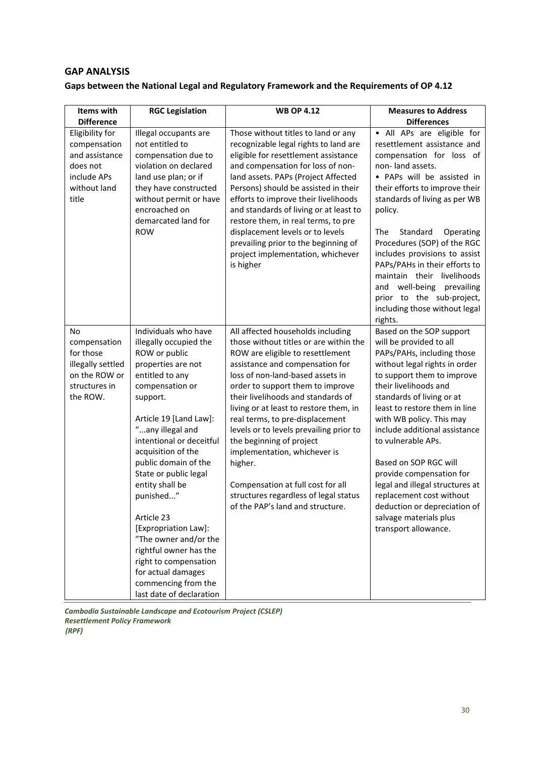### **GAP ANALYSIS**

## **Gaps between the National Legal and Regulatory Framework and the Requirements of OP 4.12**

| Items with                                                                                            | <b>RGC Legislation</b>                                                                                                                                                                                                                                                                                                                                                                                                                                                                                              | <b>WB OP 4.12</b>                                                                                                                                                                                                                                                                                                                                                                                                                                                                                                                                                                 | <b>Measures to Address</b>                                                                                                                                                                                                                                                                                                                                                                                                                                                                                                                  |
|-------------------------------------------------------------------------------------------------------|---------------------------------------------------------------------------------------------------------------------------------------------------------------------------------------------------------------------------------------------------------------------------------------------------------------------------------------------------------------------------------------------------------------------------------------------------------------------------------------------------------------------|-----------------------------------------------------------------------------------------------------------------------------------------------------------------------------------------------------------------------------------------------------------------------------------------------------------------------------------------------------------------------------------------------------------------------------------------------------------------------------------------------------------------------------------------------------------------------------------|---------------------------------------------------------------------------------------------------------------------------------------------------------------------------------------------------------------------------------------------------------------------------------------------------------------------------------------------------------------------------------------------------------------------------------------------------------------------------------------------------------------------------------------------|
| <b>Difference</b>                                                                                     |                                                                                                                                                                                                                                                                                                                                                                                                                                                                                                                     |                                                                                                                                                                                                                                                                                                                                                                                                                                                                                                                                                                                   | <b>Differences</b>                                                                                                                                                                                                                                                                                                                                                                                                                                                                                                                          |
| Eligibility for<br>compensation<br>and assistance<br>does not<br>include APs<br>without land<br>title | Illegal occupants are<br>not entitled to<br>compensation due to<br>violation on declared<br>land use plan; or if<br>they have constructed<br>without permit or have<br>encroached on<br>demarcated land for<br><b>ROW</b>                                                                                                                                                                                                                                                                                           | Those without titles to land or any<br>recognizable legal rights to land are<br>eligible for resettlement assistance<br>and compensation for loss of non-<br>land assets. PAPs (Project Affected<br>Persons) should be assisted in their<br>efforts to improve their livelihoods<br>and standards of living or at least to<br>restore them, in real terms, to pre<br>displacement levels or to levels<br>prevailing prior to the beginning of<br>project implementation, whichever<br>is higher                                                                                   | · All APs are eligible for<br>resettlement assistance and<br>compensation for loss of<br>non-land assets.<br>• PAPs will be assisted in<br>their efforts to improve their<br>standards of living as per WB<br>policy.<br>The<br>Standard<br>Operating<br>Procedures (SOP) of the RGC<br>includes provisions to assist<br>PAPs/PAHs in their efforts to<br>maintain their livelihoods<br>well-being prevailing<br>and<br>prior to the sub-project,<br>including those without legal                                                          |
| No<br>compensation<br>for those<br>illegally settled<br>on the ROW or<br>structures in<br>the ROW.    | Individuals who have<br>illegally occupied the<br>ROW or public<br>properties are not<br>entitled to any<br>compensation or<br>support.<br>Article 19 [Land Law]:<br>"any illegal and<br>intentional or deceitful<br>acquisition of the<br>public domain of the<br>State or public legal<br>entity shall be<br>punished"<br>Article 23<br>[Expropriation Law]:<br>"The owner and/or the<br>rightful owner has the<br>right to compensation<br>for actual damages<br>commencing from the<br>last date of declaration | All affected households including<br>those without titles or are within the<br>ROW are eligible to resettlement<br>assistance and compensation for<br>loss of non-land-based assets in<br>order to support them to improve<br>their livelihoods and standards of<br>living or at least to restore them, in<br>real terms, to pre-displacement<br>levels or to levels prevailing prior to<br>the beginning of project<br>implementation, whichever is<br>higher.<br>Compensation at full cost for all<br>structures regardless of legal status<br>of the PAP's land and structure. | rights.<br>Based on the SOP support<br>will be provided to all<br>PAPs/PAHs, including those<br>without legal rights in order<br>to support them to improve<br>their livelihoods and<br>standards of living or at<br>least to restore them in line<br>with WB policy. This may<br>include additional assistance<br>to vulnerable APs.<br>Based on SOP RGC will<br>provide compensation for<br>legal and illegal structures at<br>replacement cost without<br>deduction or depreciation of<br>salvage materials plus<br>transport allowance. |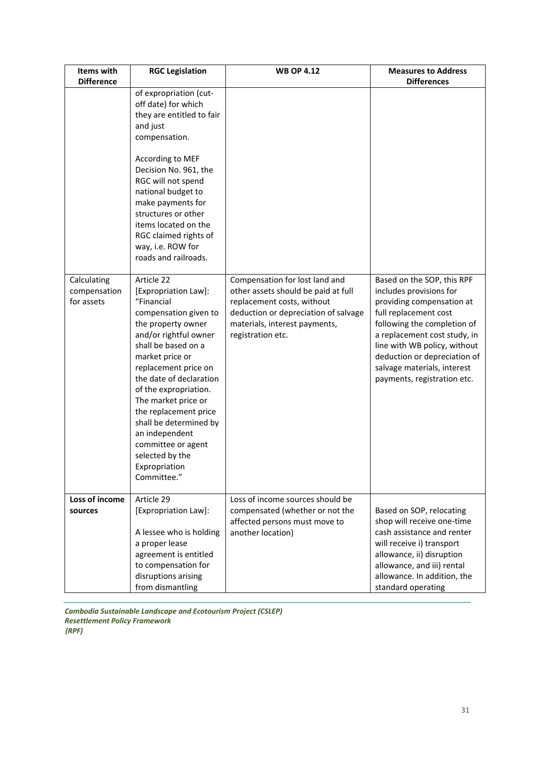| Items with<br><b>Difference</b>           | <b>RGC Legislation</b>                                                                                                                                                                                                                                                                                                                                                                                              | <b>WB OP 4.12</b>                                                                                                                                                                                 | <b>Measures to Address</b><br><b>Differences</b>                                                                                                                                                                                                                                                         |
|-------------------------------------------|---------------------------------------------------------------------------------------------------------------------------------------------------------------------------------------------------------------------------------------------------------------------------------------------------------------------------------------------------------------------------------------------------------------------|---------------------------------------------------------------------------------------------------------------------------------------------------------------------------------------------------|----------------------------------------------------------------------------------------------------------------------------------------------------------------------------------------------------------------------------------------------------------------------------------------------------------|
|                                           | of expropriation (cut-<br>off date) for which<br>they are entitled to fair<br>and just<br>compensation.<br>According to MEF<br>Decision No. 961, the<br>RGC will not spend<br>national budget to<br>make payments for<br>structures or other<br>items located on the<br>RGC claimed rights of<br>way, i.e. ROW for<br>roads and railroads.                                                                          |                                                                                                                                                                                                   |                                                                                                                                                                                                                                                                                                          |
| Calculating<br>compensation<br>for assets | Article 22<br>[Expropriation Law]:<br>"Financial<br>compensation given to<br>the property owner<br>and/or rightful owner<br>shall be based on a<br>market price or<br>replacement price on<br>the date of declaration<br>of the expropriation.<br>The market price or<br>the replacement price<br>shall be determined by<br>an independent<br>committee or agent<br>selected by the<br>Expropriation<br>Committee." | Compensation for lost land and<br>other assets should be paid at full<br>replacement costs, without<br>deduction or depreciation of salvage<br>materials, interest payments,<br>registration etc. | Based on the SOP, this RPF<br>includes provisions for<br>providing compensation at<br>full replacement cost<br>following the completion of<br>a replacement cost study, in<br>line with WB policy, without<br>deduction or depreciation of<br>salvage materials, interest<br>payments, registration etc. |
| Loss of income<br>sources                 | Article 29<br>[Expropriation Law]:<br>A lessee who is holding<br>a proper lease<br>agreement is entitled<br>to compensation for<br>disruptions arising<br>from dismantling                                                                                                                                                                                                                                          | Loss of income sources should be<br>compensated (whether or not the<br>affected persons must move to<br>another location)                                                                         | Based on SOP, relocating<br>shop will receive one-time<br>cash assistance and renter<br>will receive i) transport<br>allowance, ii) disruption<br>allowance, and iii) rental<br>allowance. In addition, the<br>standard operating                                                                        |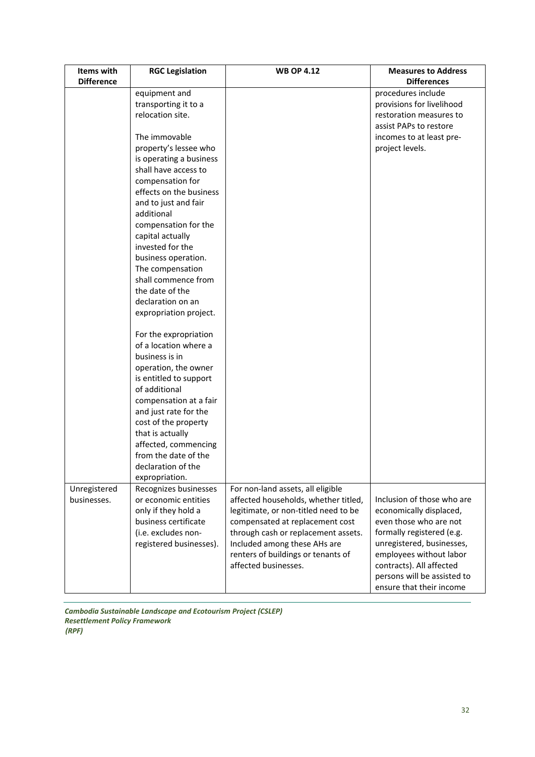| Items with                  | <b>RGC Legislation</b>                                                                                                                                                                                                                                                                                                                                                             | <b>WB OP 4.12</b>                                                                                                                                                                                                                                                                         | <b>Measures to Address</b>                                                                                                                                                                                                                                  |
|-----------------------------|------------------------------------------------------------------------------------------------------------------------------------------------------------------------------------------------------------------------------------------------------------------------------------------------------------------------------------------------------------------------------------|-------------------------------------------------------------------------------------------------------------------------------------------------------------------------------------------------------------------------------------------------------------------------------------------|-------------------------------------------------------------------------------------------------------------------------------------------------------------------------------------------------------------------------------------------------------------|
| <b>Difference</b>           |                                                                                                                                                                                                                                                                                                                                                                                    |                                                                                                                                                                                                                                                                                           | <b>Differences</b>                                                                                                                                                                                                                                          |
|                             | equipment and<br>transporting it to a<br>relocation site.                                                                                                                                                                                                                                                                                                                          |                                                                                                                                                                                                                                                                                           | procedures include<br>provisions for livelihood<br>restoration measures to<br>assist PAPs to restore                                                                                                                                                        |
|                             | The immovable<br>property's lessee who<br>is operating a business<br>shall have access to<br>compensation for<br>effects on the business<br>and to just and fair<br>additional<br>compensation for the<br>capital actually<br>invested for the<br>business operation.<br>The compensation<br>shall commence from<br>the date of the<br>declaration on an<br>expropriation project. |                                                                                                                                                                                                                                                                                           | incomes to at least pre-<br>project levels.                                                                                                                                                                                                                 |
|                             | For the expropriation<br>of a location where a<br>business is in<br>operation, the owner<br>is entitled to support<br>of additional<br>compensation at a fair<br>and just rate for the<br>cost of the property<br>that is actually<br>affected, commencing<br>from the date of the<br>declaration of the<br>expropriation.                                                         |                                                                                                                                                                                                                                                                                           |                                                                                                                                                                                                                                                             |
| Unregistered<br>businesses. | Recognizes businesses<br>or economic entities<br>only if they hold a<br>business certificate<br>(i.e. excludes non-<br>registered businesses).                                                                                                                                                                                                                                     | For non-land assets, all eligible<br>affected households, whether titled,<br>legitimate, or non-titled need to be<br>compensated at replacement cost<br>through cash or replacement assets.<br>Included among these AHs are<br>renters of buildings or tenants of<br>affected businesses. | Inclusion of those who are<br>economically displaced,<br>even those who are not<br>formally registered (e.g.<br>unregistered, businesses,<br>employees without labor<br>contracts). All affected<br>persons will be assisted to<br>ensure that their income |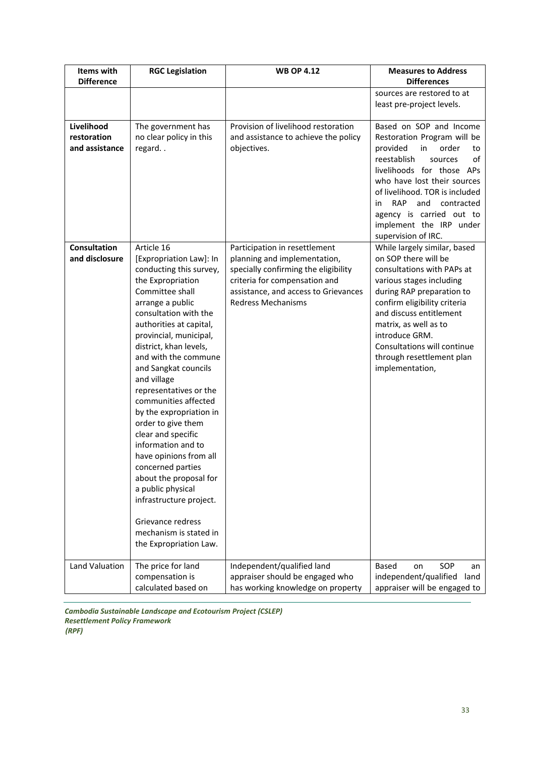| Items with                                  | <b>RGC Legislation</b>                                                                                                                                                                                                                                                                                                                                                                                                                                                                                                                                                                                                                               | <b>WB OP 4.12</b>                                                                                                                                                                                           | <b>Measures to Address</b>                                                                                                                                                                                                                                                                                                            |
|---------------------------------------------|------------------------------------------------------------------------------------------------------------------------------------------------------------------------------------------------------------------------------------------------------------------------------------------------------------------------------------------------------------------------------------------------------------------------------------------------------------------------------------------------------------------------------------------------------------------------------------------------------------------------------------------------------|-------------------------------------------------------------------------------------------------------------------------------------------------------------------------------------------------------------|---------------------------------------------------------------------------------------------------------------------------------------------------------------------------------------------------------------------------------------------------------------------------------------------------------------------------------------|
| <b>Difference</b>                           |                                                                                                                                                                                                                                                                                                                                                                                                                                                                                                                                                                                                                                                      |                                                                                                                                                                                                             | <b>Differences</b>                                                                                                                                                                                                                                                                                                                    |
|                                             |                                                                                                                                                                                                                                                                                                                                                                                                                                                                                                                                                                                                                                                      |                                                                                                                                                                                                             | sources are restored to at<br>least pre-project levels.                                                                                                                                                                                                                                                                               |
| Livelihood<br>restoration<br>and assistance | The government has<br>no clear policy in this<br>regard                                                                                                                                                                                                                                                                                                                                                                                                                                                                                                                                                                                              | Provision of livelihood restoration<br>and assistance to achieve the policy<br>objectives.                                                                                                                  | Based on SOP and Income<br>Restoration Program will be<br>in<br>provided<br>order<br>to<br>reestablish<br>of<br>sources<br>livelihoods for those APs<br>who have lost their sources<br>of livelihood. TOR is included<br>RAP<br>and<br>in<br>contracted<br>agency is carried out to<br>implement the IRP under<br>supervision of IRC. |
| <b>Consultation</b><br>and disclosure       | Article 16<br>[Expropriation Law]: In<br>conducting this survey,<br>the Expropriation<br>Committee shall<br>arrange a public<br>consultation with the<br>authorities at capital,<br>provincial, municipal,<br>district, khan levels,<br>and with the commune<br>and Sangkat councils<br>and village<br>representatives or the<br>communities affected<br>by the expropriation in<br>order to give them<br>clear and specific<br>information and to<br>have opinions from all<br>concerned parties<br>about the proposal for<br>a public physical<br>infrastructure project.<br>Grievance redress<br>mechanism is stated in<br>the Expropriation Law. | Participation in resettlement<br>planning and implementation,<br>specially confirming the eligibility<br>criteria for compensation and<br>assistance, and access to Grievances<br><b>Redress Mechanisms</b> | While largely similar, based<br>on SOP there will be<br>consultations with PAPs at<br>various stages including<br>during RAP preparation to<br>confirm eligibility criteria<br>and discuss entitlement<br>matrix, as well as to<br>introduce GRM.<br>Consultations will continue<br>through resettlement plan<br>implementation,      |
| Land Valuation                              | The price for land<br>compensation is<br>calculated based on                                                                                                                                                                                                                                                                                                                                                                                                                                                                                                                                                                                         | Independent/qualified land<br>appraiser should be engaged who<br>has working knowledge on property                                                                                                          | SOP<br><b>Based</b><br>on<br>an<br>independent/qualified<br>land<br>appraiser will be engaged to                                                                                                                                                                                                                                      |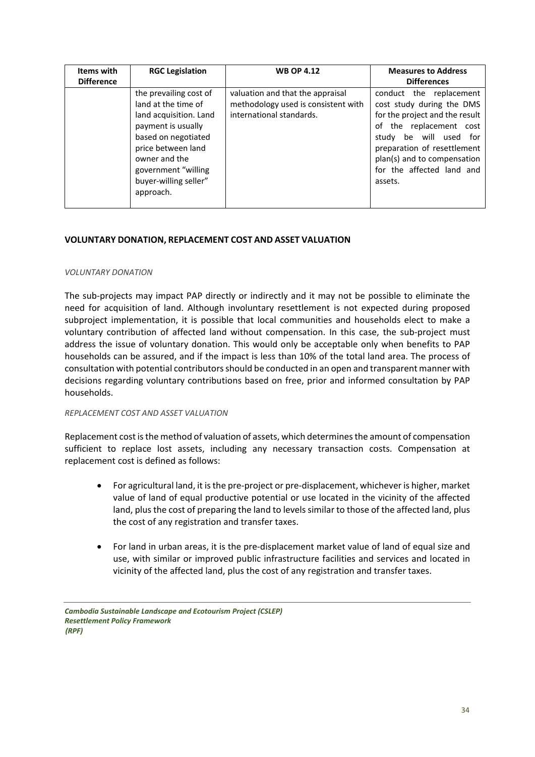| Items with<br><b>Difference</b> | <b>RGC Legislation</b>                                                                                                                                                                                                   | <b>WB OP 4.12</b>                                                                                   | <b>Measures to Address</b><br><b>Differences</b>                                                                                                                                                                                                     |
|---------------------------------|--------------------------------------------------------------------------------------------------------------------------------------------------------------------------------------------------------------------------|-----------------------------------------------------------------------------------------------------|------------------------------------------------------------------------------------------------------------------------------------------------------------------------------------------------------------------------------------------------------|
|                                 | the prevailing cost of<br>land at the time of<br>land acquisition. Land<br>payment is usually<br>based on negotiated<br>price between land<br>owner and the<br>government "willing<br>buyer-willing seller"<br>approach. | valuation and that the appraisal<br>methodology used is consistent with<br>international standards. | conduct the replacement<br>cost study during the DMS<br>for the project and the result<br>of the replacement cost<br>be will used for<br>studv<br>preparation of resettlement<br>plan(s) and to compensation<br>for the affected land and<br>assets. |

#### <span id="page-33-0"></span>**VOLUNTARY DONATION, REPLACEMENT COST AND ASSET VALUATION**

#### <span id="page-33-1"></span>*VOLUNTARY DONATION*

The sub-projects may impact PAP directly or indirectly and it may not be possible to eliminate the need for acquisition of land. Although involuntary resettlement is not expected during proposed subproject implementation, it is possible that local communities and households elect to make a voluntary contribution of affected land without compensation. In this case, the sub-project must address the issue of voluntary donation. This would only be acceptable only when benefits to PAP households can be assured, and if the impact is less than 10% of the total land area. The process of consultation with potential contributors should be conducted in an open and transparent manner with decisions regarding voluntary contributions based on free, prior and informed consultation by PAP households.

#### <span id="page-33-2"></span>*REPLACEMENT COST AND ASSET VALUATION*

Replacement cost is the method of valuation of assets, which determines the amount of compensation sufficient to replace lost assets, including any necessary transaction costs. Compensation at replacement cost is defined as follows:

- For agricultural land, it is the pre-project or pre-displacement, whichever is higher, market value of land of equal productive potential or use located in the vicinity of the affected land, plus the cost of preparing the land to levels similar to those of the affected land, plus the cost of any registration and transfer taxes.
- For land in urban areas, it is the pre-displacement market value of land of equal size and use, with similar or improved public infrastructure facilities and services and located in vicinity of the affected land, plus the cost of any registration and transfer taxes.

*Cambodia Sustainable Landscape and Ecotourism Project (CSLEP) Resettlement Policy Framework (RPF)*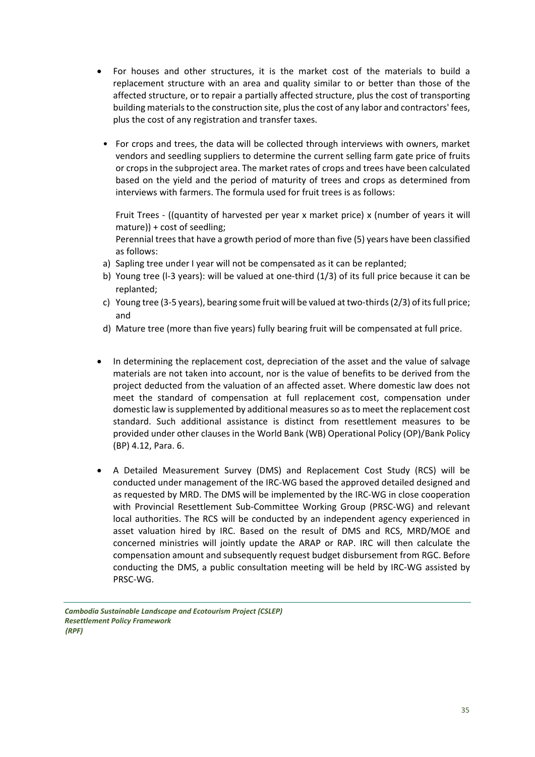- For houses and other structures, it is the market cost of the materials to build a replacement structure with an area and quality similar to or better than those of the affected structure, or to repair a partially affected structure, plus the cost of transporting building materials to the construction site, plus the cost of any labor and contractors' fees, plus the cost of any registration and transfer taxes.
	- For crops and trees, the data will be collected through interviews with owners, market vendors and seedling suppliers to determine the current selling farm gate price of fruits or crops in the subproject area. The market rates of crops and trees have been calculated based on the yield and the period of maturity of trees and crops as determined from interviews with farmers. The formula used for fruit trees is as follows:

Fruit Trees - ((quantity of harvested per year x market price) x (number of years it will mature)) + cost of seedling;

Perennial trees that have a growth period of more than five (5) years have been classified as follows:

- a) Sapling tree under I year will not be compensated as it can be replanted;
- b) Young tree (l-3 years): will be valued at one-third (1/3) of its full price because it can be replanted;
- c) Young tree (3-5 years), bearing some fruit will be valued at two-thirds (2/3) of its full price; and
- d) Mature tree (more than five years) fully bearing fruit will be compensated at full price.
- In determining the replacement cost, depreciation of the asset and the value of salvage materials are not taken into account, nor is the value of benefits to be derived from the project deducted from the valuation of an affected asset. Where domestic law does not meet the standard of compensation at full replacement cost, compensation under domestic law is supplemented by additional measures so as to meet the replacement cost standard. Such additional assistance is distinct from resettlement measures to be provided under other clauses in the World Bank (WB) Operational Policy (OP)/Bank Policy (BP) 4.12, Para. 6.
- A Detailed Measurement Survey (DMS) and Replacement Cost Study (RCS) will be conducted under management of the IRC-WG based the approved detailed designed and as requested by MRD. The DMS will be implemented by the IRC-WG in close cooperation with Provincial Resettlement Sub-Committee Working Group (PRSC-WG) and relevant local authorities. The RCS will be conducted by an independent agency experienced in asset valuation hired by IRC. Based on the result of DMS and RCS, MRD/MOE and concerned ministries will jointly update the ARAP or RAP. IRC will then calculate the compensation amount and subsequently request budget disbursement from RGC. Before conducting the DMS, a public consultation meeting will be held by IRC-WG assisted by PRSC-WG.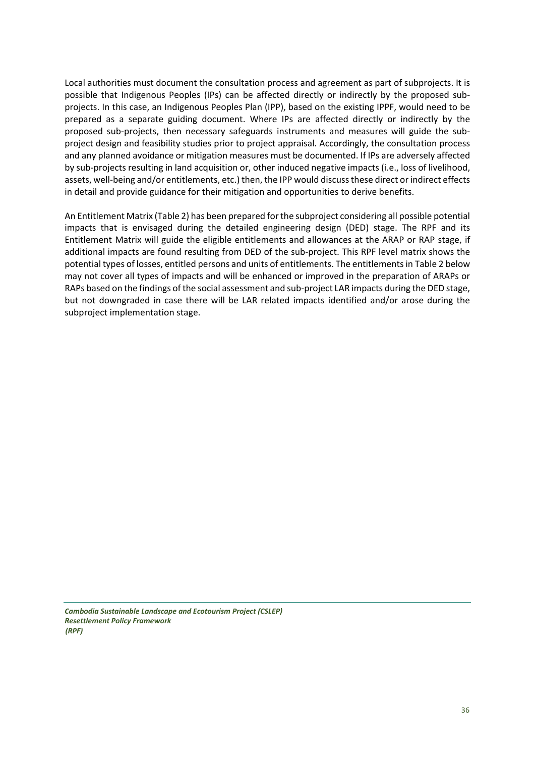Local authorities must document the consultation process and agreement as part of subprojects. It is possible that Indigenous Peoples (IPs) can be affected directly or indirectly by the proposed subprojects. In this case, an Indigenous Peoples Plan (IPP), based on the existing IPPF, would need to be prepared as a separate guiding document. Where IPs are affected directly or indirectly by the proposed sub-projects, then necessary safeguards instruments and measures will guide the subproject design and feasibility studies prior to project appraisal. Accordingly, the consultation process and any planned avoidance or mitigation measures must be documented. If IPs are adversely affected by sub-projects resulting in land acquisition or, other induced negative impacts (i.e., loss of livelihood, assets, well-being and/or entitlements, etc.) then, the IPP would discuss these direct or indirect effects in detail and provide guidance for their mitigation and opportunities to derive benefits.

An Entitlement Matrix (Table 2) has been prepared for the subproject considering all possible potential impacts that is envisaged during the detailed engineering design (DED) stage. The RPF and its Entitlement Matrix will guide the eligible entitlements and allowances at the ARAP or RAP stage, if additional impacts are found resulting from DED of the sub-project. This RPF level matrix shows the potential types of losses, entitled persons and units of entitlements. The entitlements in Table 2 below may not cover all types of impacts and will be enhanced or improved in the preparation of ARAPs or RAPs based on the findings of the social assessment and sub-project LAR impacts during the DED stage, but not downgraded in case there will be LAR related impacts identified and/or arose during the subproject implementation stage.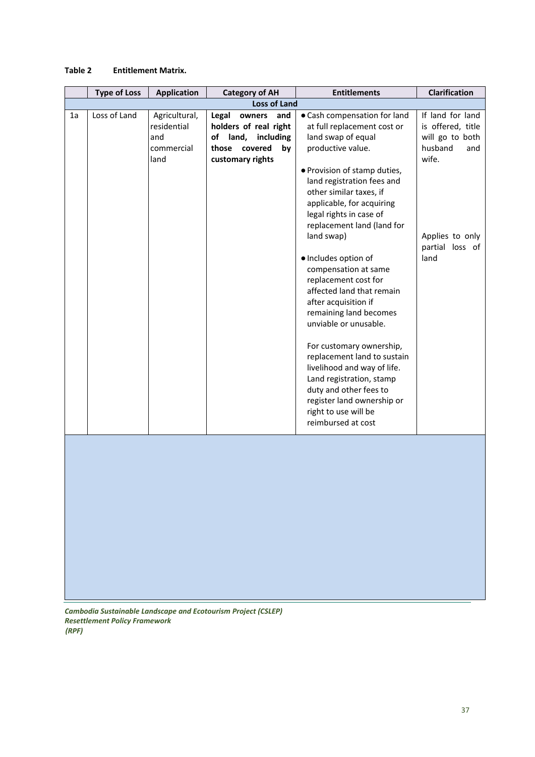#### **Table 2 Entitlement Matrix.**

|    | <b>Type of Loss</b> | <b>Application</b> | <b>Category of AH</b>  | <b>Entitlements</b>          | Clarification     |
|----|---------------------|--------------------|------------------------|------------------------------|-------------------|
|    |                     |                    | <b>Loss of Land</b>    |                              |                   |
| 1a | Loss of Land        | Agricultural,      | Legal<br>and<br>owners | • Cash compensation for land | If land for land  |
|    |                     | residential        | holders of real right  | at full replacement cost or  | is offered, title |
|    |                     | and                | including<br>of land,  | land swap of equal           | will go to both   |
|    |                     | commercial         | covered<br>those<br>by | productive value.            | husband<br>and    |
|    |                     | land               | customary rights       |                              | wife.             |
|    |                     |                    |                        | · Provision of stamp duties, |                   |
|    |                     |                    |                        | land registration fees and   |                   |
|    |                     |                    |                        | other similar taxes, if      |                   |
|    |                     |                    |                        | applicable, for acquiring    |                   |
|    |                     |                    |                        | legal rights in case of      |                   |
|    |                     |                    |                        | replacement land (land for   |                   |
|    |                     |                    |                        | land swap)                   | Applies to only   |
|    |                     |                    |                        |                              | partial loss of   |
|    |                     |                    |                        | · Includes option of         | land              |
|    |                     |                    |                        | compensation at same         |                   |
|    |                     |                    |                        | replacement cost for         |                   |
|    |                     |                    |                        | affected land that remain    |                   |
|    |                     |                    |                        | after acquisition if         |                   |
|    |                     |                    |                        | remaining land becomes       |                   |
|    |                     |                    |                        | unviable or unusable.        |                   |
|    |                     |                    |                        |                              |                   |
|    |                     |                    |                        | For customary ownership,     |                   |
|    |                     |                    |                        | replacement land to sustain  |                   |
|    |                     |                    |                        | livelihood and way of life.  |                   |
|    |                     |                    |                        | Land registration, stamp     |                   |
|    |                     |                    |                        | duty and other fees to       |                   |
|    |                     |                    |                        | register land ownership or   |                   |
|    |                     |                    |                        | right to use will be         |                   |
|    |                     |                    |                        | reimbursed at cost           |                   |
|    |                     |                    |                        |                              |                   |
|    |                     |                    |                        |                              |                   |
|    |                     |                    |                        |                              |                   |
|    |                     |                    |                        |                              |                   |
|    |                     |                    |                        |                              |                   |
|    |                     |                    |                        |                              |                   |
|    |                     |                    |                        |                              |                   |
|    |                     |                    |                        |                              |                   |
|    |                     |                    |                        |                              |                   |
|    |                     |                    |                        |                              |                   |
|    |                     |                    |                        |                              |                   |
|    |                     |                    |                        |                              |                   |
|    |                     |                    |                        |                              |                   |
|    |                     |                    |                        |                              |                   |
|    |                     |                    |                        |                              |                   |
|    |                     |                    |                        |                              |                   |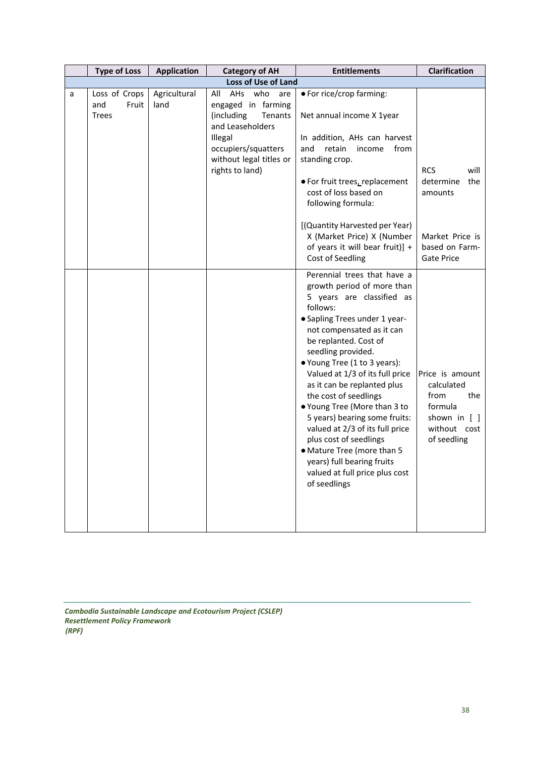|   | <b>Type of Loss</b>           | <b>Application</b>   | <b>Category of AH</b>                                                        | <b>Entitlements</b>                                                                                                                                                                                                                                                                                                                                                                                                                                                                                                                                                                    | Clarification                                                                                          |
|---|-------------------------------|----------------------|------------------------------------------------------------------------------|----------------------------------------------------------------------------------------------------------------------------------------------------------------------------------------------------------------------------------------------------------------------------------------------------------------------------------------------------------------------------------------------------------------------------------------------------------------------------------------------------------------------------------------------------------------------------------------|--------------------------------------------------------------------------------------------------------|
|   |                               |                      | Loss of Use of Land                                                          |                                                                                                                                                                                                                                                                                                                                                                                                                                                                                                                                                                                        |                                                                                                        |
| a | Loss of Crops<br>Fruit<br>and | Agricultural<br>land | All<br>AHs who<br>are<br>engaged in farming                                  | • For rice/crop farming:                                                                                                                                                                                                                                                                                                                                                                                                                                                                                                                                                               |                                                                                                        |
|   | <b>Trees</b>                  |                      | (including)<br>Tenants<br>and Leaseholders                                   | Net annual income X 1year                                                                                                                                                                                                                                                                                                                                                                                                                                                                                                                                                              |                                                                                                        |
|   |                               |                      | Illegal<br>occupiers/squatters<br>without legal titles or<br>rights to land) | In addition, AHs can harvest<br>retain<br>from<br>and<br>income<br>standing crop.<br>· For fruit trees, replacement<br>cost of loss based on<br>following formula:                                                                                                                                                                                                                                                                                                                                                                                                                     | <b>RCS</b><br>will<br>determine<br>the<br>amounts                                                      |
|   |                               |                      |                                                                              | [(Quantity Harvested per Year)<br>X (Market Price) X (Number<br>of years it will bear fruit)] +<br>Cost of Seedling                                                                                                                                                                                                                                                                                                                                                                                                                                                                    | Market Price is<br>based on Farm-<br>Gate Price                                                        |
|   |                               |                      |                                                                              | Perennial trees that have a<br>growth period of more than<br>5 years are classified as<br>follows:<br>• Sapling Trees under 1 year-<br>not compensated as it can<br>be replanted. Cost of<br>seedling provided.<br>• Young Tree (1 to 3 years):<br>Valued at 1/3 of its full price<br>as it can be replanted plus<br>the cost of seedlings<br>● Young Tree (More than 3 to<br>5 years) bearing some fruits:<br>valued at 2/3 of its full price<br>plus cost of seedlings<br>• Mature Tree (more than 5<br>years) full bearing fruits<br>valued at full price plus cost<br>of seedlings | Price is amount<br>calculated<br>from<br>the<br>formula<br>shown in [ ]<br>without cost<br>of seedling |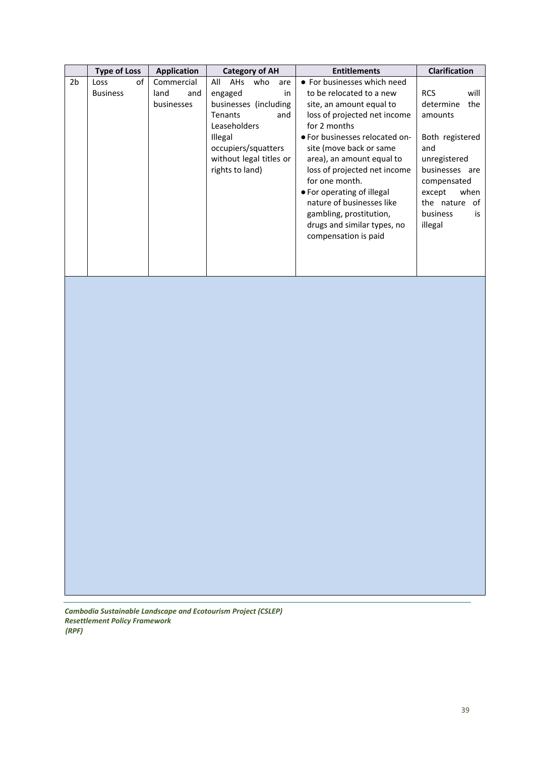|                | <b>Type of Loss</b>           | <b>Application</b>                      | <b>Category of AH</b>                                                                                                                                                                              | <b>Entitlements</b>                                                                                                                                                                                                                                                                                                                                                                                                          | <b>Clarification</b>                                                                                                                                                                            |
|----------------|-------------------------------|-----------------------------------------|----------------------------------------------------------------------------------------------------------------------------------------------------------------------------------------------------|------------------------------------------------------------------------------------------------------------------------------------------------------------------------------------------------------------------------------------------------------------------------------------------------------------------------------------------------------------------------------------------------------------------------------|-------------------------------------------------------------------------------------------------------------------------------------------------------------------------------------------------|
| 2 <sub>b</sub> | of<br>Loss<br><b>Business</b> | Commercial<br>land<br>and<br>businesses | All<br>AHs<br>who<br>are<br>engaged<br>in<br>businesses (including<br><b>Tenants</b><br>and<br>Leaseholders<br><b>Illegal</b><br>occupiers/squatters<br>without legal titles or<br>rights to land) | • For businesses which need<br>to be relocated to a new<br>site, an amount equal to<br>loss of projected net income<br>for 2 months<br>• For businesses relocated on-<br>site (move back or same<br>area), an amount equal to<br>loss of projected net income<br>for one month.<br>• For operating of illegal<br>nature of businesses like<br>gambling, prostitution,<br>drugs and similar types, no<br>compensation is paid | <b>RCS</b><br>will<br>determine<br>the<br>amounts<br>Both registered<br>and<br>unregistered<br>businesses are<br>compensated<br>when<br>except<br>the nature<br>of<br>business<br>is<br>illegal |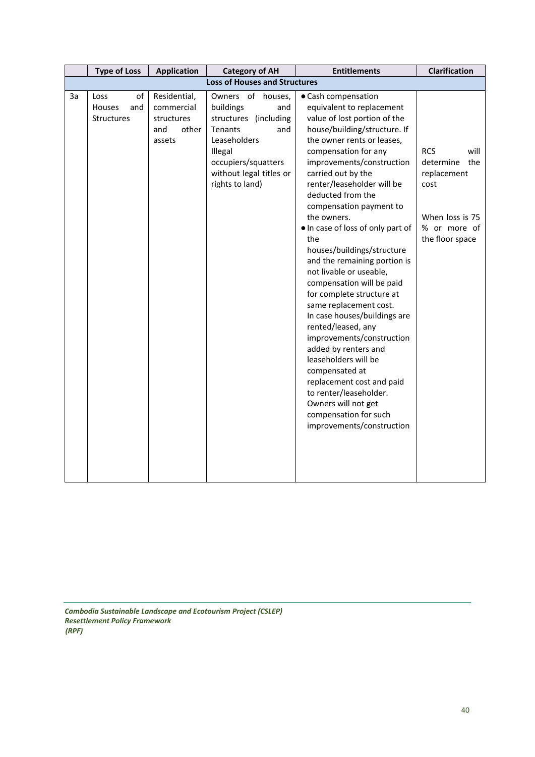|                                      | <b>Type of Loss</b><br><b>Application</b><br><b>Category of AH</b> |                                                                    | <b>Entitlements</b>                                                                                                                                                              | Clarification                                                                                                                                                                                                                                                                                                                                                                                                                                                                                                                                                                                                                                                                                                                                                                                                                            |                                                                                                                     |  |  |  |
|--------------------------------------|--------------------------------------------------------------------|--------------------------------------------------------------------|----------------------------------------------------------------------------------------------------------------------------------------------------------------------------------|------------------------------------------------------------------------------------------------------------------------------------------------------------------------------------------------------------------------------------------------------------------------------------------------------------------------------------------------------------------------------------------------------------------------------------------------------------------------------------------------------------------------------------------------------------------------------------------------------------------------------------------------------------------------------------------------------------------------------------------------------------------------------------------------------------------------------------------|---------------------------------------------------------------------------------------------------------------------|--|--|--|
| <b>Loss of Houses and Structures</b> |                                                                    |                                                                    |                                                                                                                                                                                  |                                                                                                                                                                                                                                                                                                                                                                                                                                                                                                                                                                                                                                                                                                                                                                                                                                          |                                                                                                                     |  |  |  |
| За                                   | of<br>Loss<br>Houses<br>and<br>Structures                          | Residential,<br>commercial<br>structures<br>and<br>other<br>assets | Owners of houses,<br>buildings<br>and<br>structures (including<br>Tenants<br>and<br>Leaseholders<br>Illegal<br>occupiers/squatters<br>without legal titles or<br>rights to land) | • Cash compensation<br>equivalent to replacement<br>value of lost portion of the<br>house/building/structure. If<br>the owner rents or leases,<br>compensation for any<br>improvements/construction<br>carried out by the<br>renter/leaseholder will be<br>deducted from the<br>compensation payment to<br>the owners.<br>. In case of loss of only part of<br>the<br>houses/buildings/structure<br>and the remaining portion is<br>not livable or useable,<br>compensation will be paid<br>for complete structure at<br>same replacement cost.<br>In case houses/buildings are<br>rented/leased, any<br>improvements/construction<br>added by renters and<br>leaseholders will be<br>compensated at<br>replacement cost and paid<br>to renter/leaseholder.<br>Owners will not get<br>compensation for such<br>improvements/construction | <b>RCS</b><br>will<br>determine<br>the<br>replacement<br>cost<br>When loss is 75<br>% or more of<br>the floor space |  |  |  |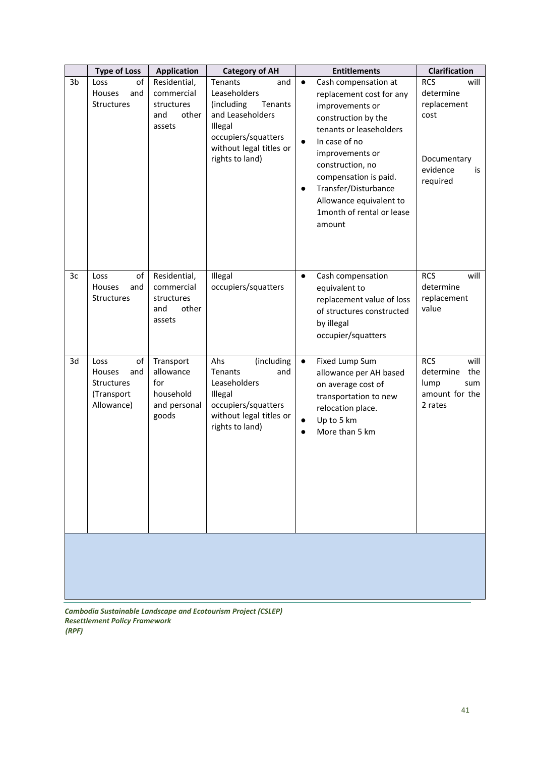|    | <b>Type of Loss</b><br><b>Application</b><br><b>Category of AH</b>    |                                                                     | <b>Entitlements</b><br><b>Clarification</b>                                                                                                                        |                                                                                                                                                                                                                                                                                                                                         |                                                                                                     |  |
|----|-----------------------------------------------------------------------|---------------------------------------------------------------------|--------------------------------------------------------------------------------------------------------------------------------------------------------------------|-----------------------------------------------------------------------------------------------------------------------------------------------------------------------------------------------------------------------------------------------------------------------------------------------------------------------------------------|-----------------------------------------------------------------------------------------------------|--|
| 3b | of<br>Loss<br>and<br>Houses<br>Structures                             | Residential,<br>commercial<br>structures<br>and<br>other<br>assets  | <b>Tenants</b><br>and<br>Leaseholders<br>(including<br>Tenants<br>and Leaseholders<br>Illegal<br>occupiers/squatters<br>without legal titles or<br>rights to land) | Cash compensation at<br>$\bullet$<br>replacement cost for any<br>improvements or<br>construction by the<br>tenants or leaseholders<br>In case of no<br>$\bullet$<br>improvements or<br>construction, no<br>compensation is paid.<br>Transfer/Disturbance<br>$\bullet$<br>Allowance equivalent to<br>1month of rental or lease<br>amount | <b>RCS</b><br>will<br>determine<br>replacement<br>cost<br>Documentary<br>evidence<br>is<br>required |  |
| 3c | Loss<br>of<br>Houses<br>and<br>Structures                             | Residential,<br>commercial<br>structures<br>and<br>other<br>assets  | Illegal<br>occupiers/squatters                                                                                                                                     | Cash compensation<br>$\bullet$<br>equivalent to<br>replacement value of loss<br>of structures constructed<br>by illegal<br>occupier/squatters                                                                                                                                                                                           | <b>RCS</b><br>will<br>determine<br>replacement<br>value                                             |  |
| 3d | Loss<br>of<br>Houses<br>and<br>Structures<br>(Transport<br>Allowance) | Transport<br>allowance<br>for<br>household<br>and personal<br>goods | Ahs<br>(including<br><b>Tenants</b><br>and<br>Leaseholders<br>Illegal<br>occupiers/squatters<br>without legal titles or<br>rights to land)                         | Fixed Lump Sum<br>$\bullet$<br>allowance per AH based<br>on average cost of<br>transportation to new<br>relocation place.<br>Up to 5 km<br>$\bullet$<br>More than 5 km<br>$\bullet$                                                                                                                                                     | <b>RCS</b><br>will<br>the<br>determine<br>lump<br>sum<br>amount for the<br>2 rates                  |  |
|    |                                                                       |                                                                     |                                                                                                                                                                    |                                                                                                                                                                                                                                                                                                                                         |                                                                                                     |  |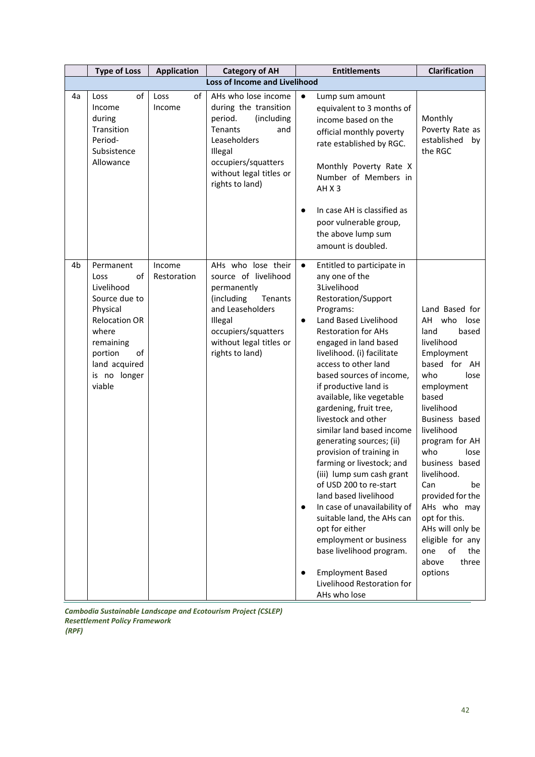|                | <b>Type of Loss</b>                                                                                                                                                          | <b>Application</b>    | <b>Category of AH</b>                                                                                                                                                                          | <b>Entitlements</b>                                                                                                                                                                                                                                                                                                                                                                                                                                                                                                                                                                                                                                                                                                                                                                                                              | <b>Clarification</b>                                                                                                                                                                                                                                                                                                                                                                                       |  |  |  |
|----------------|------------------------------------------------------------------------------------------------------------------------------------------------------------------------------|-----------------------|------------------------------------------------------------------------------------------------------------------------------------------------------------------------------------------------|----------------------------------------------------------------------------------------------------------------------------------------------------------------------------------------------------------------------------------------------------------------------------------------------------------------------------------------------------------------------------------------------------------------------------------------------------------------------------------------------------------------------------------------------------------------------------------------------------------------------------------------------------------------------------------------------------------------------------------------------------------------------------------------------------------------------------------|------------------------------------------------------------------------------------------------------------------------------------------------------------------------------------------------------------------------------------------------------------------------------------------------------------------------------------------------------------------------------------------------------------|--|--|--|
|                | <b>Loss of Income and Livelihood</b>                                                                                                                                         |                       |                                                                                                                                                                                                |                                                                                                                                                                                                                                                                                                                                                                                                                                                                                                                                                                                                                                                                                                                                                                                                                                  |                                                                                                                                                                                                                                                                                                                                                                                                            |  |  |  |
| 4a             | of<br>Loss<br>Income<br>during<br>Transition<br>Period-<br>Subsistence<br>Allowance                                                                                          | of<br>Loss<br>Income  | AHs who lose income<br>during the transition<br>(including<br>period.<br><b>Tenants</b><br>and<br>Leaseholders<br>Illegal<br>occupiers/squatters<br>without legal titles or<br>rights to land) | $\bullet$<br>Lump sum amount<br>equivalent to 3 months of<br>income based on the<br>official monthly poverty<br>rate established by RGC.<br>Monthly Poverty Rate X<br>Number of Members in<br>AHX3<br>In case AH is classified as<br>$\bullet$<br>poor vulnerable group,<br>the above lump sum<br>amount is doubled.                                                                                                                                                                                                                                                                                                                                                                                                                                                                                                             | Monthly<br>Poverty Rate as<br>established<br>by<br>the RGC                                                                                                                                                                                                                                                                                                                                                 |  |  |  |
| 4 <sub>b</sub> | Permanent<br>of<br>Loss<br>Livelihood<br>Source due to<br>Physical<br><b>Relocation OR</b><br>where<br>remaining<br>of<br>portion<br>land acquired<br>is no longer<br>viable | Income<br>Restoration | AHs who lose their<br>source of livelihood<br>permanently<br>(including<br>Tenants<br>and Leaseholders<br>Illegal<br>occupiers/squatters<br>without legal titles or<br>rights to land)         | Entitled to participate in<br>$\bullet$<br>any one of the<br>3Livelihood<br>Restoration/Support<br>Programs:<br>Land Based Livelihood<br>$\bullet$<br><b>Restoration for AHs</b><br>engaged in land based<br>livelihood. (i) facilitate<br>access to other land<br>based sources of income,<br>if productive land is<br>available, like vegetable<br>gardening, fruit tree,<br>livestock and other<br>similar land based income<br>generating sources; (ii)<br>provision of training in<br>farming or livestock; and<br>(iii) lump sum cash grant<br>of USD 200 to re-start<br>land based livelihood<br>In case of unavailability of<br>$\bullet$<br>suitable land, the AHs can<br>opt for either<br>employment or business<br>base livelihood program.<br><b>Employment Based</b><br>Livelihood Restoration for<br>AHs who lose | Land Based for<br>AH who lose<br>land<br>based<br>livelihood<br>Employment<br>based for AH<br>who<br>lose<br>employment<br>based<br>livelihood<br>Business based<br>livelihood<br>program for AH<br>who<br>lose<br>business based<br>livelihood.<br>Can<br>be<br>provided for the<br>AHs who may<br>opt for this.<br>AHs will only be<br>eligible for any<br>one<br>of<br>the<br>above<br>three<br>options |  |  |  |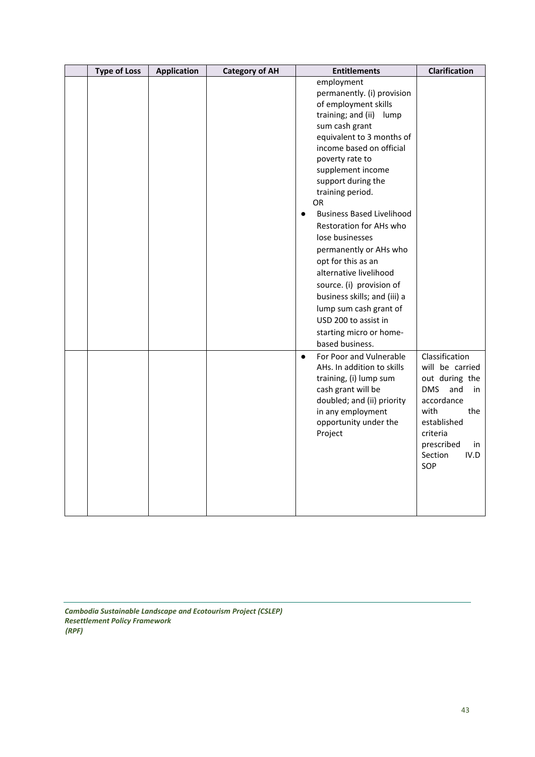| <b>Type of Loss</b> | <b>Application</b> | <b>Category of AH</b> | <b>Entitlements</b>                                                                                                                                                                                                                                                                                                                                                                                                                                                                                                                                                                                     | Clarification                                                                                                                                                                        |
|---------------------|--------------------|-----------------------|---------------------------------------------------------------------------------------------------------------------------------------------------------------------------------------------------------------------------------------------------------------------------------------------------------------------------------------------------------------------------------------------------------------------------------------------------------------------------------------------------------------------------------------------------------------------------------------------------------|--------------------------------------------------------------------------------------------------------------------------------------------------------------------------------------|
|                     |                    |                       | employment<br>permanently. (i) provision<br>of employment skills<br>training; and (ii)<br>lump<br>sum cash grant<br>equivalent to 3 months of<br>income based on official<br>poverty rate to<br>supplement income<br>support during the<br>training period.<br>OR.<br><b>Business Based Livelihood</b><br>$\bullet$<br>Restoration for AHs who<br>lose businesses<br>permanently or AHs who<br>opt for this as an<br>alternative livelihood<br>source. (i) provision of<br>business skills; and (iii) a<br>lump sum cash grant of<br>USD 200 to assist in<br>starting micro or home-<br>based business. |                                                                                                                                                                                      |
|                     |                    |                       | For Poor and Vulnerable<br>$\bullet$<br>AHs. In addition to skills<br>training, (i) lump sum<br>cash grant will be<br>doubled; and (ii) priority<br>in any employment<br>opportunity under the<br>Project                                                                                                                                                                                                                                                                                                                                                                                               | Classification<br>will be carried<br>out during the<br><b>DMS</b><br>and<br>in<br>accordance<br>with<br>the<br>established<br>criteria<br>prescribed<br>in<br>Section<br>IV.D<br>SOP |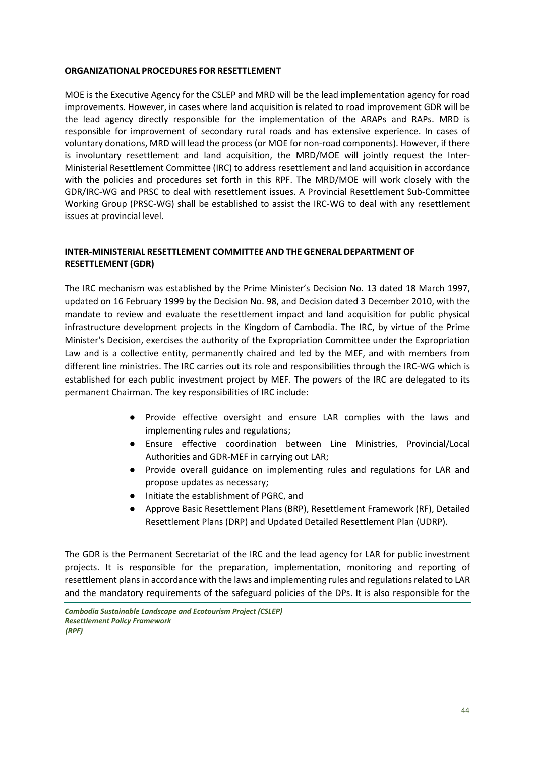#### <span id="page-43-0"></span>**ORGANIZATIONAL PROCEDURES FOR RESETTLEMENT**

MOE is the Executive Agency for the CSLEP and MRD will be the lead implementation agency for road improvements. However, in cases where land acquisition is related to road improvement GDR will be the lead agency directly responsible for the implementation of the ARAPs and RAPs. MRD is responsible for improvement of secondary rural roads and has extensive experience. In cases of voluntary donations, MRD will lead the process (or MOE for non-road components). However, if there is involuntary resettlement and land acquisition, the MRD/MOE will jointly request the Inter-Ministerial Resettlement Committee (IRC) to address resettlement and land acquisition in accordance with the policies and procedures set forth in this RPF. The MRD/MOE will work closely with the GDR/IRC-WG and PRSC to deal with resettlement issues. A Provincial Resettlement Sub-Committee Working Group (PRSC-WG) shall be established to assist the IRC-WG to deal with any resettlement issues at provincial level.

#### <span id="page-43-1"></span>**INTER-MINISTERIAL RESETTLEMENT COMMITTEE AND THE GENERAL DEPARTMENT OF RESETTLEMENT (GDR)**

The IRC mechanism was established by the Prime Minister's Decision No. 13 dated 18 March 1997, updated on 16 February 1999 by the Decision No. 98, and Decision dated 3 December 2010, with the mandate to review and evaluate the resettlement impact and land acquisition for public physical infrastructure development projects in the Kingdom of Cambodia. The IRC, by virtue of the Prime Minister's Decision, exercises the authority of the Expropriation Committee under the Expropriation Law and is a collective entity, permanently chaired and led by the MEF, and with members from different line ministries. The IRC carries out its role and responsibilities through the IRC-WG which is established for each public investment project by MEF. The powers of the IRC are delegated to its permanent Chairman. The key responsibilities of IRC include:

- Provide effective oversight and ensure LAR complies with the laws and implementing rules and regulations;
- Ensure effective coordination between Line Ministries, Provincial/Local Authorities and GDR-MEF in carrying out LAR;
- Provide overall guidance on implementing rules and regulations for LAR and propose updates as necessary;
- Initiate the establishment of PGRC, and
- Approve Basic Resettlement Plans (BRP), Resettlement Framework (RF), Detailed Resettlement Plans (DRP) and Updated Detailed Resettlement Plan (UDRP).

The GDR is the Permanent Secretariat of the IRC and the lead agency for LAR for public investment projects. It is responsible for the preparation, implementation, monitoring and reporting of resettlement plans in accordance with the laws and implementing rules and regulations related to LAR and the mandatory requirements of the safeguard policies of the DPs. It is also responsible for the

*Cambodia Sustainable Landscape and Ecotourism Project (CSLEP) Resettlement Policy Framework (RPF)*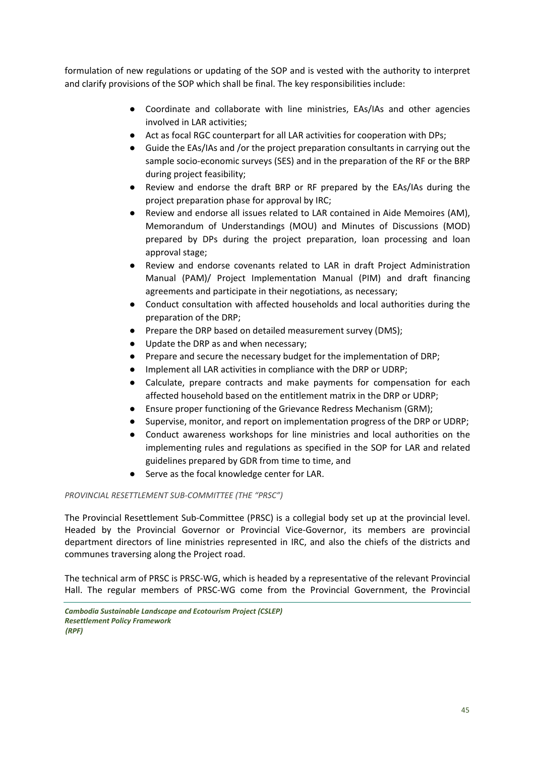formulation of new regulations or updating of the SOP and is vested with the authority to interpret and clarify provisions of the SOP which shall be final. The key responsibilities include:

- Coordinate and collaborate with line ministries, EAs/IAs and other agencies involved in LAR activities;
- Act as focal RGC counterpart for all LAR activities for cooperation with DPs;
- Guide the EAs/IAs and /or the project preparation consultants in carrying out the sample socio-economic surveys (SES) and in the preparation of the RF or the BRP during project feasibility;
- Review and endorse the draft BRP or RF prepared by the EAs/IAs during the project preparation phase for approval by IRC;
- Review and endorse all issues related to LAR contained in Aide Memoires (AM), Memorandum of Understandings (MOU) and Minutes of Discussions (MOD) prepared by DPs during the project preparation, loan processing and loan approval stage;
- Review and endorse covenants related to LAR in draft Project Administration Manual (PAM)/ Project Implementation Manual (PIM) and draft financing agreements and participate in their negotiations, as necessary;
- Conduct consultation with affected households and local authorities during the preparation of the DRP;
- Prepare the DRP based on detailed measurement survey (DMS);
- Update the DRP as and when necessary;
- Prepare and secure the necessary budget for the implementation of DRP;
- Implement all LAR activities in compliance with the DRP or UDRP;
- Calculate, prepare contracts and make payments for compensation for each affected household based on the entitlement matrix in the DRP or UDRP;
- Ensure proper functioning of the Grievance Redress Mechanism (GRM);
- Supervise, monitor, and report on implementation progress of the DRP or UDRP;
- Conduct awareness workshops for line ministries and local authorities on the implementing rules and regulations as specified in the SOP for LAR and related guidelines prepared by GDR from time to time, and
- Serve as the focal knowledge center for LAR.

#### <span id="page-44-0"></span>*PROVINCIAL RESETTLEMENT SUB-COMMITTEE (THE "PRSC")*

The Provincial Resettlement Sub-Committee (PRSC) is a collegial body set up at the provincial level. Headed by the Provincial Governor or Provincial Vice-Governor, its members are provincial department directors of line ministries represented in IRC, and also the chiefs of the districts and communes traversing along the Project road.

The technical arm of PRSC is PRSC-WG, which is headed by a representative of the relevant Provincial Hall. The regular members of PRSC-WG come from the Provincial Government, the Provincial

*Cambodia Sustainable Landscape and Ecotourism Project (CSLEP) Resettlement Policy Framework (RPF)*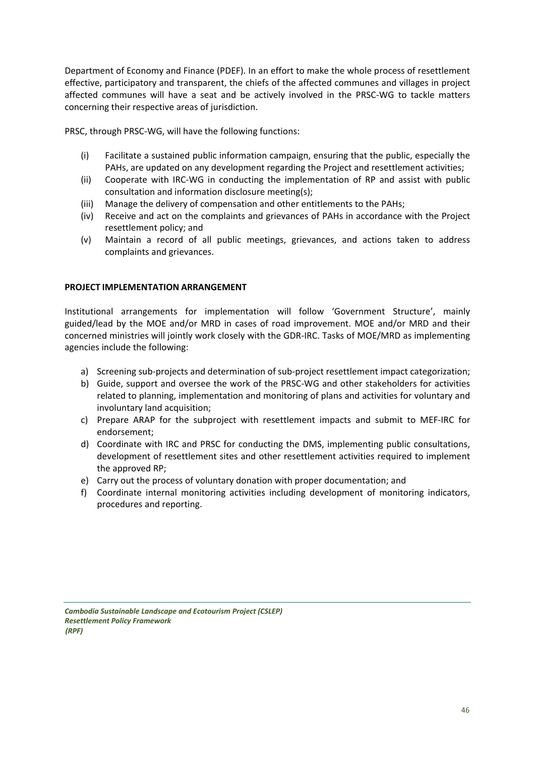Department of Economy and Finance (PDEF). In an effort to make the whole process of resettlement effective, participatory and transparent, the chiefs of the affected communes and villages in project affected communes will have a seat and be actively involved in the PRSC-WG to tackle matters concerning their respective areas of jurisdiction.

PRSC, through PRSC-WG, will have the following functions:

- (i) Facilitate a sustained public information campaign, ensuring that the public, especially the PAHs, are updated on any development regarding the Project and resettlement activities;
- (ii) Cooperate with IRC-WG in conducting the implementation of RP and assist with public consultation and information disclosure meeting(s);
- (iii) Manage the delivery of compensation and other entitlements to the PAHs;
- (iv) Receive and act on the complaints and grievances of PAHs in accordance with the Project resettlement policy; and
- (v) Maintain a record of all public meetings, grievances, and actions taken to address complaints and grievances.

#### <span id="page-45-0"></span>**PROJECT IMPLEMENTATION ARRANGEMENT**

Institutional arrangements for implementation will follow 'Government Structure', mainly guided/lead by the MOE and/or MRD in cases of road improvement. MOE and/or MRD and their concerned ministries will jointly work closely with the GDR-IRC. Tasks of MOE/MRD as implementing agencies include the following:

- a) Screening sub-projects and determination of sub-project resettlement impact categorization;
- b) Guide, support and oversee the work of the PRSC-WG and other stakeholders for activities related to planning, implementation and monitoring of plans and activities for voluntary and involuntary land acquisition;
- c) Prepare ARAP for the subproject with resettlement impacts and submit to MEF-IRC for endorsement;
- d) Coordinate with IRC and PRSC for conducting the DMS, implementing public consultations, development of resettlement sites and other resettlement activities required to implement the approved RP;
- e) Carry out the process of voluntary donation with proper documentation; and
- f) Coordinate internal monitoring activities including development of monitoring indicators, procedures and reporting.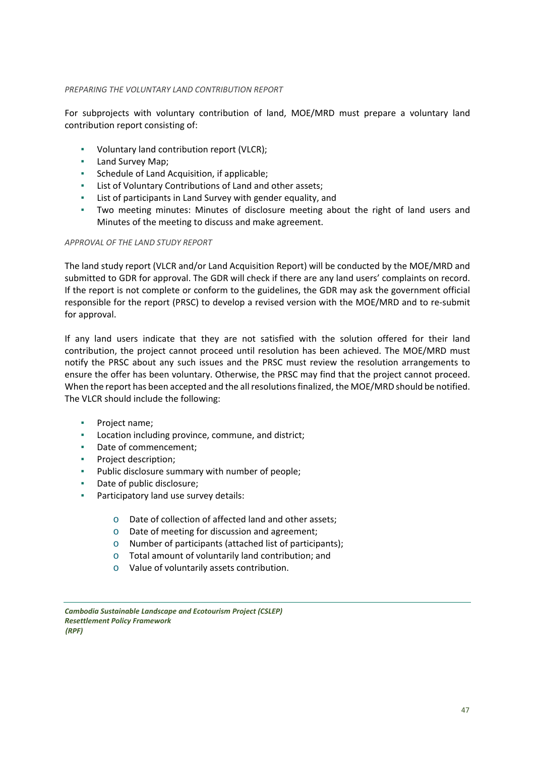#### <span id="page-46-0"></span>*PREPARING THE VOLUNTARY LAND CONTRIBUTION REPORT*

For subprojects with voluntary contribution of land, MOE/MRD must prepare a voluntary land contribution report consisting of:

- Voluntary land contribution report (VLCR);
- Land Survey Map;
- Schedule of Land Acquisition, if applicable;
- List of Voluntary Contributions of Land and other assets;
- List of participants in Land Survey with gender equality, and
- Two meeting minutes: Minutes of disclosure meeting about the right of land users and Minutes of the meeting to discuss and make agreement.

#### <span id="page-46-1"></span>*APPROVAL OF THE LAND STUDY REPORT*

The land study report (VLCR and/or Land Acquisition Report) will be conducted by the MOE/MRD and submitted to GDR for approval. The GDR will check if there are any land users' complaints on record. If the report is not complete or conform to the guidelines, the GDR may ask the government official responsible for the report (PRSC) to develop a revised version with the MOE/MRD and to re-submit for approval.

If any land users indicate that they are not satisfied with the solution offered for their land contribution, the project cannot proceed until resolution has been achieved. The MOE/MRD must notify the PRSC about any such issues and the PRSC must review the resolution arrangements to ensure the offer has been voluntary. Otherwise, the PRSC may find that the project cannot proceed. When the report has been accepted and the all resolutions finalized, the MOE/MRD should be notified. The VLCR should include the following:

- Project name;
- Location including province, commune, and district;
- Date of commencement;
- Project description;
- Public disclosure summary with number of people;
- Date of public disclosure;
- Participatory land use survey details:
	- o Date of collection of affected land and other assets;
	- o Date of meeting for discussion and agreement;
	- o Number of participants (attached list of participants);
	- o Total amount of voluntarily land contribution; and
	- o Value of voluntarily assets contribution.

*Cambodia Sustainable Landscape and Ecotourism Project (CSLEP) Resettlement Policy Framework (RPF)*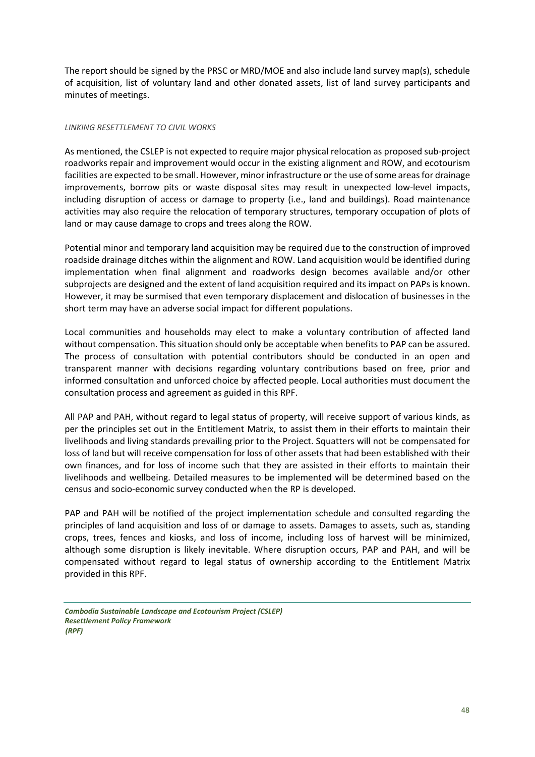The report should be signed by the PRSC or MRD/MOE and also include land survey map(s), schedule of acquisition, list of voluntary land and other donated assets, list of land survey participants and minutes of meetings.

#### <span id="page-47-0"></span>*LINKING RESETTLEMENT TO CIVIL WORKS*

As mentioned, the CSLEP is not expected to require major physical relocation as proposed sub-project roadworks repair and improvement would occur in the existing alignment and ROW, and ecotourism facilities are expected to be small. However, minor infrastructure or the use of some areas for drainage improvements, borrow pits or waste disposal sites may result in unexpected low-level impacts, including disruption of access or damage to property (i.e., land and buildings). Road maintenance activities may also require the relocation of temporary structures, temporary occupation of plots of land or may cause damage to crops and trees along the ROW.

Potential minor and temporary land acquisition may be required due to the construction of improved roadside drainage ditches within the alignment and ROW. Land acquisition would be identified during implementation when final alignment and roadworks design becomes available and/or other subprojects are designed and the extent of land acquisition required and its impact on PAPs is known. However, it may be surmised that even temporary displacement and dislocation of businesses in the short term may have an adverse social impact for different populations.

Local communities and households may elect to make a voluntary contribution of affected land without compensation. This situation should only be acceptable when benefits to PAP can be assured. The process of consultation with potential contributors should be conducted in an open and transparent manner with decisions regarding voluntary contributions based on free, prior and informed consultation and unforced choice by affected people. Local authorities must document the consultation process and agreement as guided in this RPF.

All PAP and PAH, without regard to legal status of property, will receive support of various kinds, as per the principles set out in the Entitlement Matrix, to assist them in their efforts to maintain their livelihoods and living standards prevailing prior to the Project. Squatters will not be compensated for loss of land but will receive compensation for loss of other assets that had been established with their own finances, and for loss of income such that they are assisted in their efforts to maintain their livelihoods and wellbeing. Detailed measures to be implemented will be determined based on the census and socio-economic survey conducted when the RP is developed.

PAP and PAH will be notified of the project implementation schedule and consulted regarding the principles of land acquisition and loss of or damage to assets. Damages to assets, such as, standing crops, trees, fences and kiosks, and loss of income, including loss of harvest will be minimized, although some disruption is likely inevitable. Where disruption occurs, PAP and PAH, and will be compensated without regard to legal status of ownership according to the Entitlement Matrix provided in this RPF.

*Cambodia Sustainable Landscape and Ecotourism Project (CSLEP) Resettlement Policy Framework (RPF)*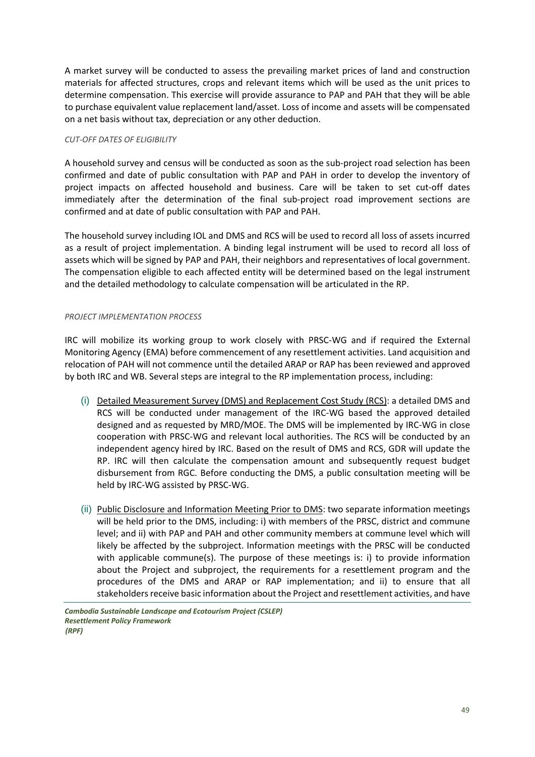A market survey will be conducted to assess the prevailing market prices of land and construction materials for affected structures, crops and relevant items which will be used as the unit prices to determine compensation. This exercise will provide assurance to PAP and PAH that they will be able to purchase equivalent value replacement land/asset. Loss of income and assets will be compensated on a net basis without tax, depreciation or any other deduction.

#### <span id="page-48-0"></span>*CUT-OFF DATES OF ELIGIBILITY*

A household survey and census will be conducted as soon as the sub-project road selection has been confirmed and date of public consultation with PAP and PAH in order to develop the inventory of project impacts on affected household and business. Care will be taken to set cut-off dates immediately after the determination of the final sub-project road improvement sections are confirmed and at date of public consultation with PAP and PAH.

The household survey including IOL and DMS and RCS will be used to record all loss of assets incurred as a result of project implementation. A binding legal instrument will be used to record all loss of assets which will be signed by PAP and PAH, their neighbors and representatives of local government. The compensation eligible to each affected entity will be determined based on the legal instrument and the detailed methodology to calculate compensation will be articulated in the RP.

#### <span id="page-48-1"></span>*PROJECT IMPLEMENTATION PROCESS*

IRC will mobilize its working group to work closely with PRSC-WG and if required the External Monitoring Agency (EMA) before commencement of any resettlement activities. Land acquisition and relocation of PAH will not commence until the detailed ARAP or RAP has been reviewed and approved by both IRC and WB. Several steps are integral to the RP implementation process, including:

- (i) Detailed Measurement Survey (DMS) and Replacement Cost Study (RCS): a detailed DMS and RCS will be conducted under management of the IRC-WG based the approved detailed designed and as requested by MRD/MOE. The DMS will be implemented by IRC-WG in close cooperation with PRSC-WG and relevant local authorities. The RCS will be conducted by an independent agency hired by IRC. Based on the result of DMS and RCS, GDR will update the RP. IRC will then calculate the compensation amount and subsequently request budget disbursement from RGC. Before conducting the DMS, a public consultation meeting will be held by IRC-WG assisted by PRSC-WG.
- (ii) Public Disclosure and Information Meeting Prior to DMS: two separate information meetings will be held prior to the DMS, including: i) with members of the PRSC, district and commune level; and ii) with PAP and PAH and other community members at commune level which will likely be affected by the subproject. Information meetings with the PRSC will be conducted with applicable commune(s). The purpose of these meetings is: i) to provide information about the Project and subproject, the requirements for a resettlement program and the procedures of the DMS and ARAP or RAP implementation; and ii) to ensure that all stakeholders receive basic information about the Project and resettlement activities, and have
- *Cambodia Sustainable Landscape and Ecotourism Project (CSLEP) Resettlement Policy Framework (RPF)*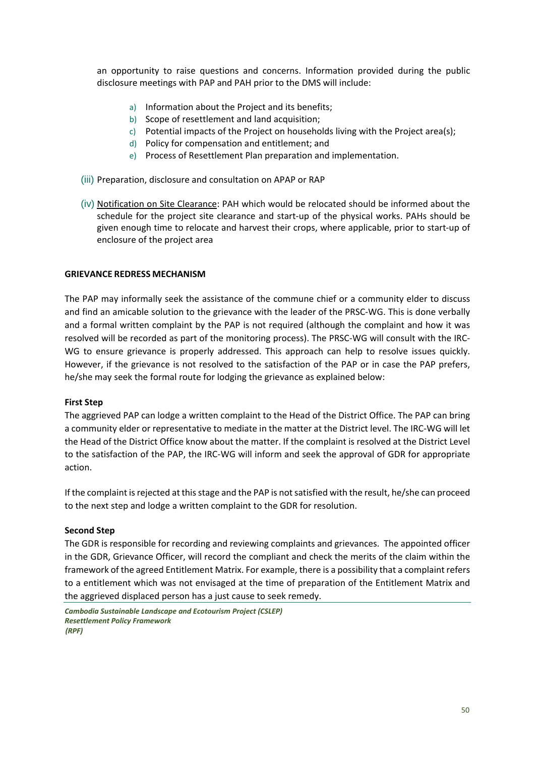an opportunity to raise questions and concerns. Information provided during the public disclosure meetings with PAP and PAH prior to the DMS will include:

- a) Information about the Project and its benefits;
- b) Scope of resettlement and land acquisition;
- c) Potential impacts of the Project on households living with the Project area(s);
- d) Policy for compensation and entitlement; and
- e) Process of Resettlement Plan preparation and implementation.
- (iii) Preparation, disclosure and consultation on APAP or RAP
- (iv) Notification on Site Clearance: PAH which would be relocated should be informed about the schedule for the project site clearance and start-up of the physical works. PAHs should be given enough time to relocate and harvest their crops, where applicable, prior to start-up of enclosure of the project area

#### <span id="page-49-0"></span>**GRIEVANCE REDRESS MECHANISM**

The PAP may informally seek the assistance of the commune chief or a community elder to discuss and find an amicable solution to the grievance with the leader of the PRSC-WG. This is done verbally and a formal written complaint by the PAP is not required (although the complaint and how it was resolved will be recorded as part of the monitoring process). The PRSC-WG will consult with the IRC-WG to ensure grievance is properly addressed. This approach can help to resolve issues quickly. However, if the grievance is not resolved to the satisfaction of the PAP or in case the PAP prefers, he/she may seek the formal route for lodging the grievance as explained below:

#### **First Step**

The aggrieved PAP can lodge a written complaint to the Head of the District Office. The PAP can bring a community elder or representative to mediate in the matter at the District level. The IRC-WG will let the Head of the District Office know about the matter. If the complaint is resolved at the District Level to the satisfaction of the PAP, the IRC-WG will inform and seek the approval of GDR for appropriate action.

If the complaint is rejected at this stage and the PAP is not satisfied with the result, he/she can proceed to the next step and lodge a written complaint to the GDR for resolution.

#### **Second Step**

The GDR is responsible for recording and reviewing complaints and grievances. The appointed officer in the GDR, Grievance Officer, will record the compliant and check the merits of the claim within the framework of the agreed Entitlement Matrix. For example, there is a possibility that a complaint refers to a entitlement which was not envisaged at the time of preparation of the Entitlement Matrix and the aggrieved displaced person has a just cause to seek remedy.

*Cambodia Sustainable Landscape and Ecotourism Project (CSLEP) Resettlement Policy Framework (RPF)*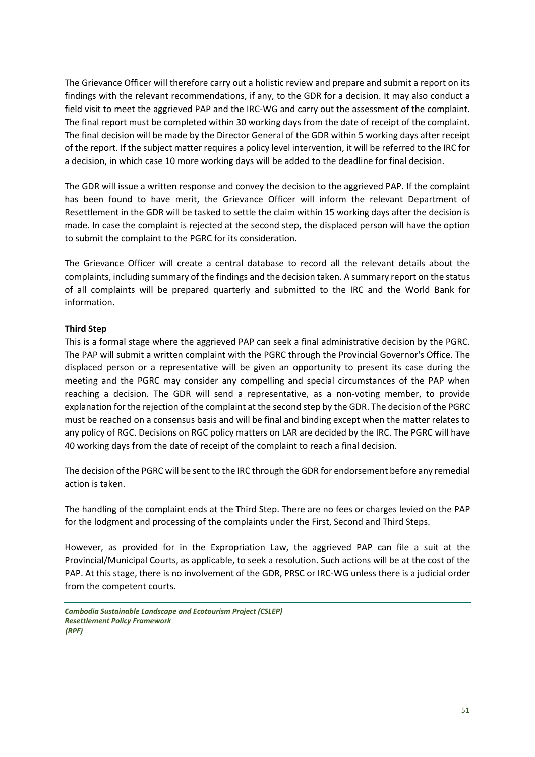The Grievance Officer will therefore carry out a holistic review and prepare and submit a report on its findings with the relevant recommendations, if any, to the GDR for a decision. It may also conduct a field visit to meet the aggrieved PAP and the IRC-WG and carry out the assessment of the complaint. The final report must be completed within 30 working days from the date of receipt of the complaint. The final decision will be made by the Director General of the GDR within 5 working days after receipt of the report. If the subject matter requires a policy level intervention, it will be referred to the IRC for a decision, in which case 10 more working days will be added to the deadline for final decision.

The GDR will issue a written response and convey the decision to the aggrieved PAP. If the complaint has been found to have merit, the Grievance Officer will inform the relevant Department of Resettlement in the GDR will be tasked to settle the claim within 15 working days after the decision is made. In case the complaint is rejected at the second step, the displaced person will have the option to submit the complaint to the PGRC for its consideration.

The Grievance Officer will create a central database to record all the relevant details about the complaints, including summary of the findings and the decision taken. A summary report on the status of all complaints will be prepared quarterly and submitted to the IRC and the World Bank for information.

#### **Third Step**

This is a formal stage where the aggrieved PAP can seek a final administrative decision by the PGRC. The PAP will submit a written complaint with the PGRC through the Provincial Governor's Office. The displaced person or a representative will be given an opportunity to present its case during the meeting and the PGRC may consider any compelling and special circumstances of the PAP when reaching a decision. The GDR will send a representative, as a non-voting member, to provide explanation for the rejection of the complaint at the second step by the GDR. The decision of the PGRC must be reached on a consensus basis and will be final and binding except when the matter relates to any policy of RGC. Decisions on RGC policy matters on LAR are decided by the IRC. The PGRC will have 40 working days from the date of receipt of the complaint to reach a final decision.

The decision of the PGRC will be sent to the IRC through the GDR for endorsement before any remedial action is taken.

The handling of the complaint ends at the Third Step. There are no fees or charges levied on the PAP for the lodgment and processing of the complaints under the First, Second and Third Steps.

However, as provided for in the Expropriation Law, the aggrieved PAP can file a suit at the Provincial/Municipal Courts, as applicable, to seek a resolution. Such actions will be at the cost of the PAP. At this stage, there is no involvement of the GDR, PRSC or IRC-WG unless there is a judicial order from the competent courts.

*Cambodia Sustainable Landscape and Ecotourism Project (CSLEP) Resettlement Policy Framework (RPF)*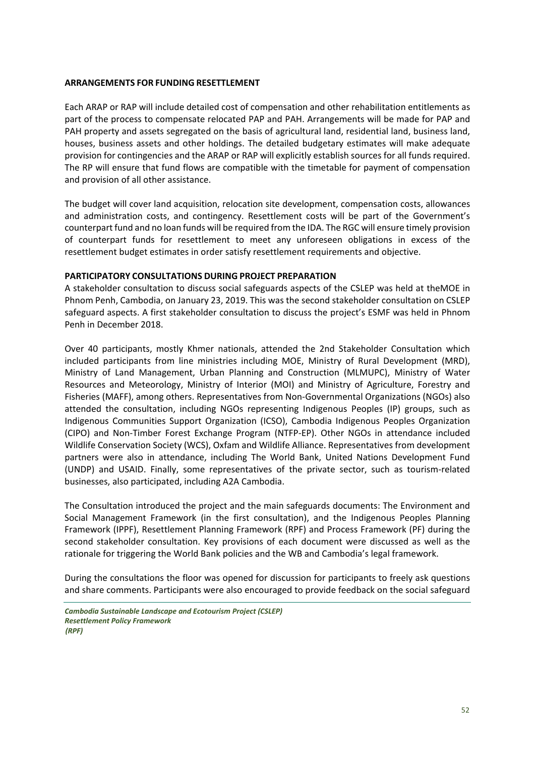#### <span id="page-51-0"></span>**ARRANGEMENTS FOR FUNDING RESETTLEMENT**

Each ARAP or RAP will include detailed cost of compensation and other rehabilitation entitlements as part of the process to compensate relocated PAP and PAH. Arrangements will be made for PAP and PAH property and assets segregated on the basis of agricultural land, residential land, business land, houses, business assets and other holdings. The detailed budgetary estimates will make adequate provision for contingencies and the ARAP or RAP will explicitly establish sources for all funds required. The RP will ensure that fund flows are compatible with the timetable for payment of compensation and provision of all other assistance.

The budget will cover land acquisition, relocation site development, compensation costs, allowances and administration costs, and contingency. Resettlement costs will be part of the Government's counterpart fund and no loan funds will be required from the IDA. The RGC will ensure timely provision of counterpart funds for resettlement to meet any unforeseen obligations in excess of the resettlement budget estimates in order satisfy resettlement requirements and objective.

#### <span id="page-51-1"></span>**PARTICIPATORY CONSULTATIONS DURING PROJECT PREPARATION**

A stakeholder consultation to discuss social safeguards aspects of the CSLEP was held at theMOE in Phnom Penh, Cambodia, on January 23, 2019. This was the second stakeholder consultation on CSLEP safeguard aspects. A first stakeholder consultation to discuss the project's ESMF was held in Phnom Penh in December 2018.

Over 40 participants, mostly Khmer nationals, attended the 2nd Stakeholder Consultation which included participants from line ministries including MOE, Ministry of Rural Development (MRD), Ministry of Land Management, Urban Planning and Construction (MLMUPC), Ministry of Water Resources and Meteorology, Ministry of Interior (MOI) and Ministry of Agriculture, Forestry and Fisheries (MAFF), among others. Representatives from Non-Governmental Organizations (NGOs) also attended the consultation, including NGOs representing Indigenous Peoples (IP) groups, such as Indigenous Communities Support Organization (ICSO), Cambodia Indigenous Peoples Organization (CIPO) and Non-Timber Forest Exchange Program (NTFP-EP). Other NGOs in attendance included Wildlife Conservation Society (WCS), Oxfam and Wildlife Alliance. Representatives from development partners were also in attendance, including The World Bank, United Nations Development Fund (UNDP) and USAID. Finally, some representatives of the private sector, such as tourism-related businesses, also participated, including A2A Cambodia.

The Consultation introduced the project and the main safeguards documents: The Environment and Social Management Framework (in the first consultation), and the Indigenous Peoples Planning Framework (IPPF), Resettlement Planning Framework (RPF) and Process Framework (PF) during the second stakeholder consultation. Key provisions of each document were discussed as well as the rationale for triggering the World Bank policies and the WB and Cambodia's legal framework.

During the consultations the floor was opened for discussion for participants to freely ask questions and share comments. Participants were also encouraged to provide feedback on the social safeguard

*Cambodia Sustainable Landscape and Ecotourism Project (CSLEP) Resettlement Policy Framework (RPF)*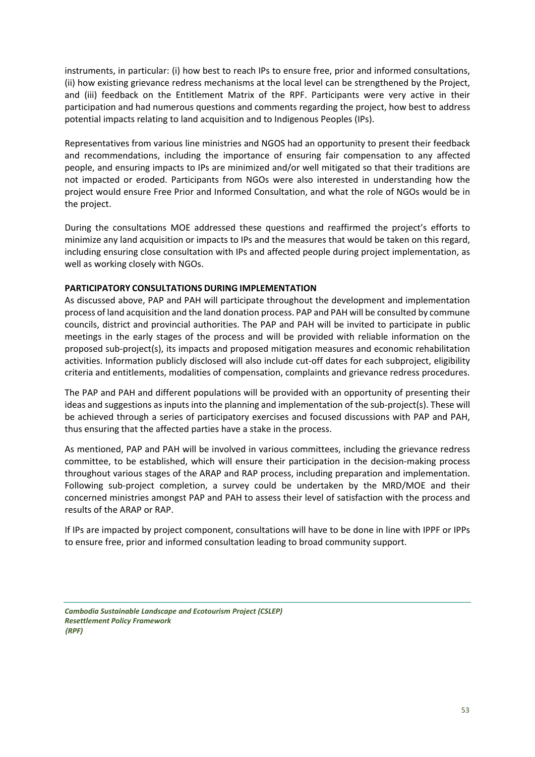instruments, in particular: (i) how best to reach IPs to ensure free, prior and informed consultations, (ii) how existing grievance redress mechanisms at the local level can be strengthened by the Project, and (iii) feedback on the Entitlement Matrix of the RPF. Participants were very active in their participation and had numerous questions and comments regarding the project, how best to address potential impacts relating to land acquisition and to Indigenous Peoples (IPs).

Representatives from various line ministries and NGOS had an opportunity to present their feedback and recommendations, including the importance of ensuring fair compensation to any affected people, and ensuring impacts to IPs are minimized and/or well mitigated so that their traditions are not impacted or eroded. Participants from NGOs were also interested in understanding how the project would ensure Free Prior and Informed Consultation, and what the role of NGOs would be in the project.

During the consultations MOE addressed these questions and reaffirmed the project's efforts to minimize any land acquisition or impacts to IPs and the measures that would be taken on this regard, including ensuring close consultation with IPs and affected people during project implementation, as well as working closely with NGOs.

#### <span id="page-52-0"></span>**PARTICIPATORY CONSULTATIONS DURING IMPLEMENTATION**

As discussed above, PAP and PAH will participate throughout the development and implementation process of land acquisition and the land donation process. PAP and PAH will be consulted by commune councils, district and provincial authorities. The PAP and PAH will be invited to participate in public meetings in the early stages of the process and will be provided with reliable information on the proposed sub-project(s), its impacts and proposed mitigation measures and economic rehabilitation activities. Information publicly disclosed will also include cut-off dates for each subproject, eligibility criteria and entitlements, modalities of compensation, complaints and grievance redress procedures.

The PAP and PAH and different populations will be provided with an opportunity of presenting their ideas and suggestions as inputs into the planning and implementation of the sub-project(s). These will be achieved through a series of participatory exercises and focused discussions with PAP and PAH, thus ensuring that the affected parties have a stake in the process.

As mentioned, PAP and PAH will be involved in various committees, including the grievance redress committee, to be established, which will ensure their participation in the decision-making process throughout various stages of the ARAP and RAP process, including preparation and implementation. Following sub-project completion, a survey could be undertaken by the MRD/MOE and their concerned ministries amongst PAP and PAH to assess their level of satisfaction with the process and results of the ARAP or RAP.

If IPs are impacted by project component, consultations will have to be done in line with IPPF or IPPs to ensure free, prior and informed consultation leading to broad community support.

*Cambodia Sustainable Landscape and Ecotourism Project (CSLEP) Resettlement Policy Framework (RPF)*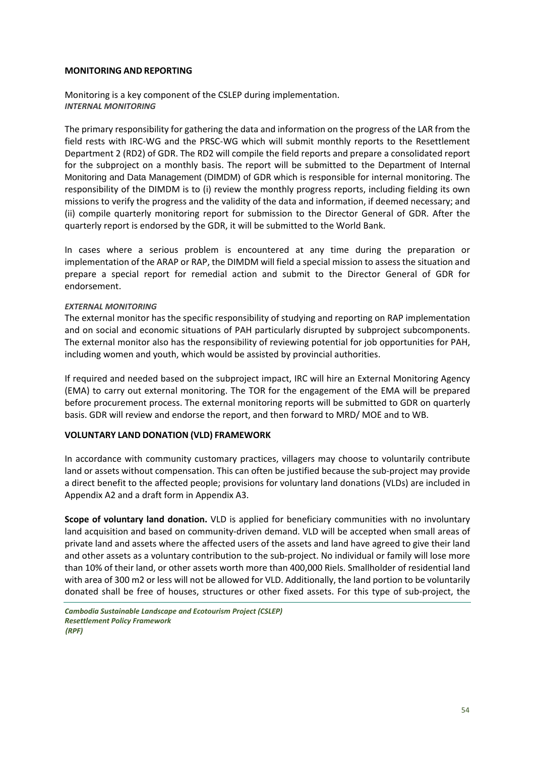#### <span id="page-53-0"></span>**MONITORING AND REPORTING**

<span id="page-53-1"></span>Monitoring is a key component of the CSLEP during implementation. *INTERNAL MONITORING*

The primary responsibility for gathering the data and information on the progress of the LAR from the field rests with IRC-WG and the PRSC-WG which will submit monthly reports to the Resettlement Department 2 (RD2) of GDR. The RD2 will compile the field reports and prepare a consolidated report for the subproject on a monthly basis. The report will be submitted to the Department of Internal Monitoring and Data Management (DIMDM) of GDR which is responsible for internal monitoring. The responsibility of the DIMDM is to (i) review the monthly progress reports, including fielding its own missions to verify the progress and the validity of the data and information, if deemed necessary; and (ii) compile quarterly monitoring report for submission to the Director General of GDR. After the quarterly report is endorsed by the GDR, it will be submitted to the World Bank.

In cases where a serious problem is encountered at any time during the preparation or implementation of the ARAP or RAP, the DIMDM will field a special mission to assess the situation and prepare a special report for remedial action and submit to the Director General of GDR for endorsement.

#### <span id="page-53-2"></span>*EXTERNAL MONITORING*

The external monitor has the specific responsibility of studying and reporting on RAP implementation and on social and economic situations of PAH particularly disrupted by subproject subcomponents. The external monitor also has the responsibility of reviewing potential for job opportunities for PAH, including women and youth, which would be assisted by provincial authorities.

If required and needed based on the subproject impact, IRC will hire an External Monitoring Agency (EMA) to carry out external monitoring. The TOR for the engagement of the EMA will be prepared before procurement process. The external monitoring reports will be submitted to GDR on quarterly basis. GDR will review and endorse the report, and then forward to MRD/ MOE and to WB.

#### <span id="page-53-3"></span>**VOLUNTARY LAND DONATION (VLD) FRAMEWORK**

In accordance with community customary practices, villagers may choose to voluntarily contribute land or assets without compensation. This can often be justified because the sub-project may provide a direct benefit to the affected people; provisions for voluntary land donations (VLDs) are included in Appendix A2 and a draft form in Appendix A3.

**Scope of voluntary land donation.** VLD is applied for beneficiary communities with no involuntary land acquisition and based on community-driven demand. VLD will be accepted when small areas of private land and assets where the affected users of the assets and land have agreed to give their land and other assets as a voluntary contribution to the sub-project. No individual or family will lose more than 10% of their land, or other assets worth more than 400,000 Riels. Smallholder of residential land with area of 300 m2 or less will not be allowed for VLD. Additionally, the land portion to be voluntarily donated shall be free of houses, structures or other fixed assets. For this type of sub-project, the

*Cambodia Sustainable Landscape and Ecotourism Project (CSLEP) Resettlement Policy Framework (RPF)*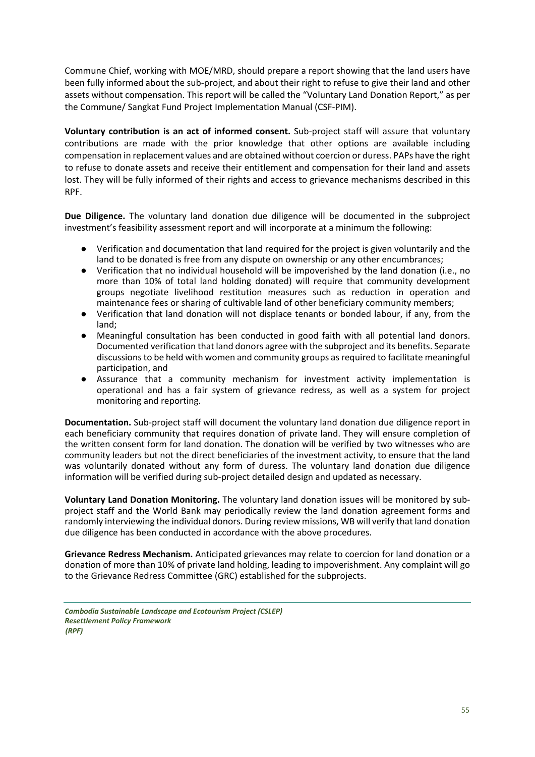Commune Chief, working with MOE/MRD, should prepare a report showing that the land users have been fully informed about the sub-project, and about their right to refuse to give their land and other assets without compensation. This report will be called the "Voluntary Land Donation Report," as per the Commune/ Sangkat Fund Project Implementation Manual (CSF-PIM).

**Voluntary contribution is an act of informed consent.** Sub-project staff will assure that voluntary contributions are made with the prior knowledge that other options are available including compensation in replacement values and are obtained without coercion or duress. PAPs have the right to refuse to donate assets and receive their entitlement and compensation for their land and assets lost. They will be fully informed of their rights and access to grievance mechanisms described in this RPF.

**Due Diligence.** The voluntary land donation due diligence will be documented in the subproject investment's feasibility assessment report and will incorporate at a minimum the following:

- Verification and documentation that land required for the project is given voluntarily and the land to be donated is free from any dispute on ownership or any other encumbrances;
- Verification that no individual household will be impoverished by the land donation (i.e., no more than 10% of total land holding donated) will require that community development groups negotiate livelihood restitution measures such as reduction in operation and maintenance fees or sharing of cultivable land of other beneficiary community members;
- Verification that land donation will not displace tenants or bonded labour, if any, from the land;
- Meaningful consultation has been conducted in good faith with all potential land donors. Documented verification that land donors agree with the subproject and its benefits. Separate discussions to be held with women and community groups as required to facilitate meaningful participation, and
- Assurance that a community mechanism for investment activity implementation is operational and has a fair system of grievance redress, as well as a system for project monitoring and reporting.

**Documentation.** Sub-project staff will document the voluntary land donation due diligence report in each beneficiary community that requires donation of private land. They will ensure completion of the written consent form for land donation. The donation will be verified by two witnesses who are community leaders but not the direct beneficiaries of the investment activity, to ensure that the land was voluntarily donated without any form of duress. The voluntary land donation due diligence information will be verified during sub-project detailed design and updated as necessary.

**Voluntary Land Donation Monitoring.** The voluntary land donation issues will be monitored by subproject staff and the World Bank may periodically review the land donation agreement forms and randomly interviewing the individual donors. During review missions, WB will verify that land donation due diligence has been conducted in accordance with the above procedures.

**Grievance Redress Mechanism.** Anticipated grievances may relate to coercion for land donation or a donation of more than 10% of private land holding, leading to impoverishment. Any complaint will go to the Grievance Redress Committee (GRC) established for the subprojects.

*Cambodia Sustainable Landscape and Ecotourism Project (CSLEP) Resettlement Policy Framework (RPF)*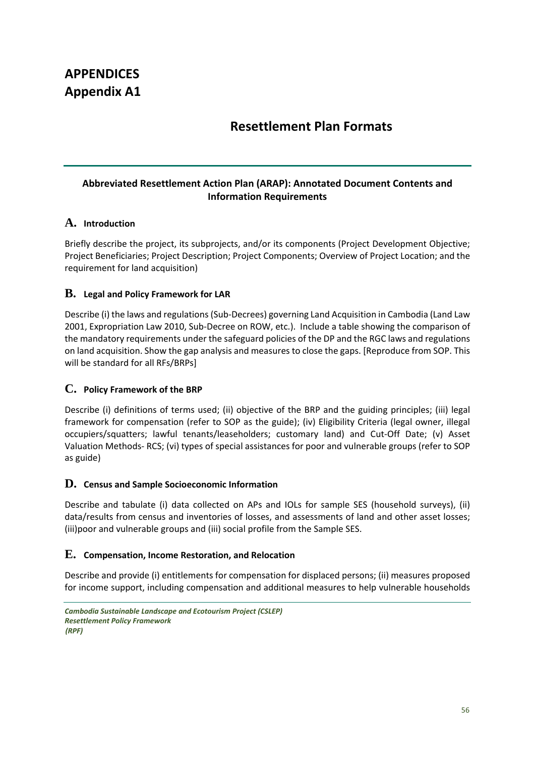## **APPENDICES Appendix A1**

## **Resettlement Plan Formats**

## **Abbreviated Resettlement Action Plan (ARAP): Annotated Document Contents and Information Requirements**

## **A. Introduction**

Briefly describe the project, its subprojects, and/or its components (Project Development Objective; Project Beneficiaries; Project Description; Project Components; Overview of Project Location; and the requirement for land acquisition)

## **B. Legal and Policy Framework for LAR**

Describe (i) the laws and regulations (Sub-Decrees) governing Land Acquisition in Cambodia (Land Law 2001, Expropriation Law 2010, Sub-Decree on ROW, etc.). Include a table showing the comparison of the mandatory requirements under the safeguard policies of the DP and the RGC laws and regulations on land acquisition. Show the gap analysis and measures to close the gaps. [Reproduce from SOP. This will be standard for all RFs/BRPs]

## **C. Policy Framework of the BRP**

Describe (i) definitions of terms used; (ii) objective of the BRP and the guiding principles; (iii) legal framework for compensation (refer to SOP as the guide); (iv) Eligibility Criteria (legal owner, illegal occupiers/squatters; lawful tenants/leaseholders; customary land) and Cut-Off Date; (v) Asset Valuation Methods- RCS; (vi) types of special assistances for poor and vulnerable groups (refer to SOP as guide)

## **D. Census and Sample Socioeconomic Information**

Describe and tabulate (i) data collected on APs and IOLs for sample SES (household surveys), (ii) data/results from census and inventories of losses, and assessments of land and other asset losses; (iii)poor and vulnerable groups and (iii) social profile from the Sample SES.

## **E. Compensation, Income Restoration, and Relocation**

Describe and provide (i) entitlements for compensation for displaced persons; (ii) measures proposed for income support, including compensation and additional measures to help vulnerable households

```
Cambodia Sustainable Landscape and Ecotourism Project (CSLEP)
Resettlement Policy Framework 
(RPF)
```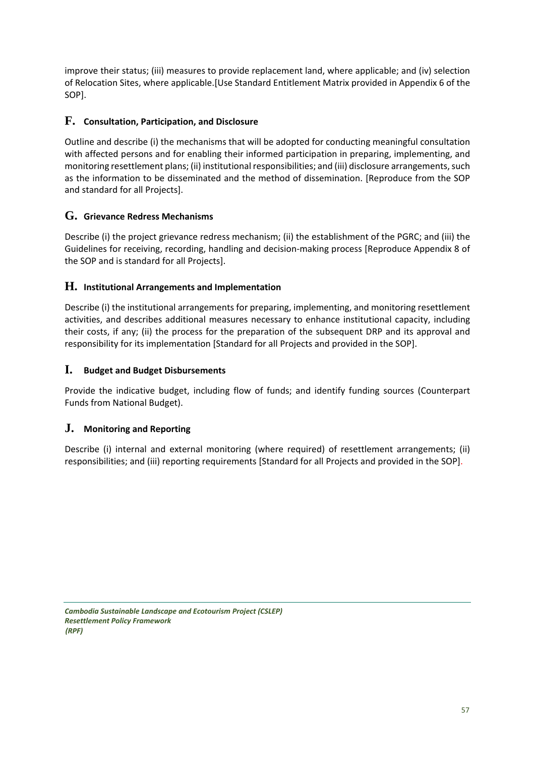improve their status; (iii) measures to provide replacement land, where applicable; and (iv) selection of Relocation Sites, where applicable.[Use Standard Entitlement Matrix provided in Appendix 6 of the SOP].

## **F. Consultation, Participation, and Disclosure**

Outline and describe (i) the mechanisms that will be adopted for conducting meaningful consultation with affected persons and for enabling their informed participation in preparing, implementing, and monitoring resettlement plans; (ii) institutional responsibilities; and (iii) disclosure arrangements, such as the information to be disseminated and the method of dissemination. [Reproduce from the SOP and standard for all Projects].

## **G. Grievance Redress Mechanisms**

Describe (i) the project grievance redress mechanism; (ii) the establishment of the PGRC; and (iii) the Guidelines for receiving, recording, handling and decision-making process [Reproduce Appendix 8 of the SOP and is standard for all Projects].

## **H. Institutional Arrangements and Implementation**

Describe (i) the institutional arrangements for preparing, implementing, and monitoring resettlement activities, and describes additional measures necessary to enhance institutional capacity, including their costs, if any; (ii) the process for the preparation of the subsequent DRP and its approval and responsibility for its implementation [Standard for all Projects and provided in the SOP].

## **I. Budget and Budget Disbursements**

Provide the indicative budget, including flow of funds; and identify funding sources (Counterpart Funds from National Budget).

## **J. Monitoring and Reporting**

Describe (i) internal and external monitoring (where required) of resettlement arrangements; (ii) responsibilities; and (iii) reporting requirements [Standard for all Projects and provided in the SOP].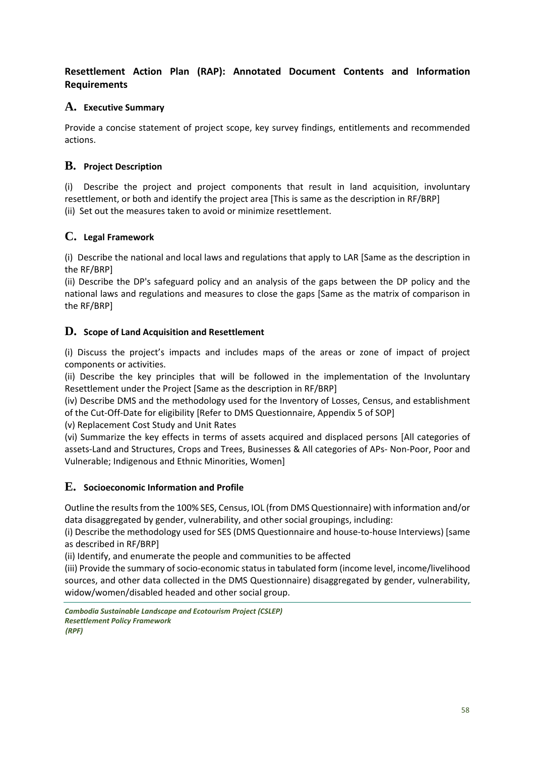## **Resettlement Action Plan (RAP): Annotated Document Contents and Information Requirements**

## **A. Executive Summary**

Provide a concise statement of project scope, key survey findings, entitlements and recommended actions.

## **B. Project Description**

(i) Describe the project and project components that result in land acquisition, involuntary resettlement, or both and identify the project area [This is same as the description in RF/BRP] (ii) Set out the measures taken to avoid or minimize resettlement.

## **C. Legal Framework**

(i) Describe the national and local laws and regulations that apply to LAR [Same as the description in the RF/BRP]

(ii) Describe the DP's safeguard policy and an analysis of the gaps between the DP policy and the national laws and regulations and measures to close the gaps [Same as the matrix of comparison in the RF/BRP]

## **D. Scope of Land Acquisition and Resettlement**

(i) Discuss the project's impacts and includes maps of the areas or zone of impact of project components or activities.

(ii) Describe the key principles that will be followed in the implementation of the Involuntary Resettlement under the Project [Same as the description in RF/BRP]

(iv) Describe DMS and the methodology used for the Inventory of Losses, Census, and establishment of the Cut-Off-Date for eligibility [Refer to DMS Questionnaire, Appendix 5 of SOP]

(v) Replacement Cost Study and Unit Rates

(vi) Summarize the key effects in terms of assets acquired and displaced persons [All categories of assets-Land and Structures, Crops and Trees, Businesses & All categories of APs- Non-Poor, Poor and Vulnerable; Indigenous and Ethnic Minorities, Women]

## **E. Socioeconomic Information and Profile**

Outline the results from the 100% SES, Census, IOL (from DMS Questionnaire) with information and/or data disaggregated by gender, vulnerability, and other social groupings, including:

(i) Describe the methodology used for SES (DMS Questionnaire and house-to-house Interviews) [same as described in RF/BRP]

(ii) Identify, and enumerate the people and communities to be affected

(iii) Provide the summary of socio-economic status in tabulated form (income level, income/livelihood sources, and other data collected in the DMS Questionnaire) disaggregated by gender, vulnerability, widow/women/disabled headed and other social group.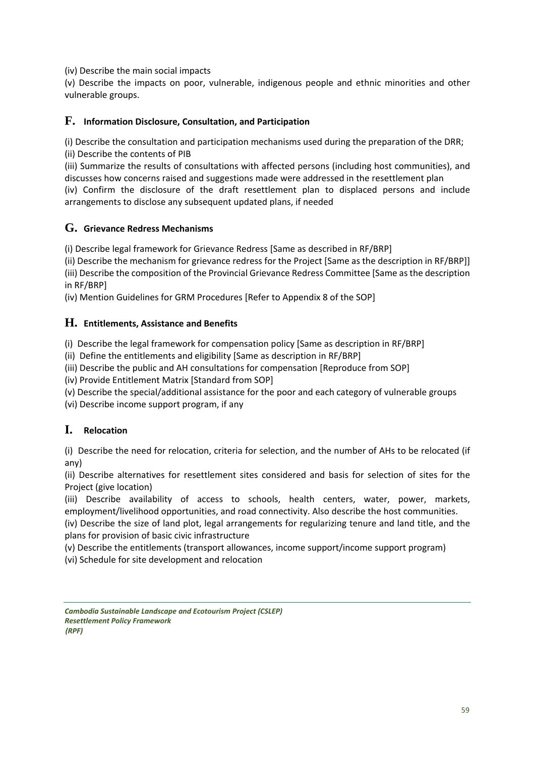(iv) Describe the main social impacts

(v) Describe the impacts on poor, vulnerable, indigenous people and ethnic minorities and other vulnerable groups.

### **F. Information Disclosure, Consultation, and Participation**

(i) Describe the consultation and participation mechanisms used during the preparation of the DRR; (ii) Describe the contents of PIB

(iii) Summarize the results of consultations with affected persons (including host communities), and discusses how concerns raised and suggestions made were addressed in the resettlement plan

(iv) Confirm the disclosure of the draft resettlement plan to displaced persons and include arrangements to disclose any subsequent updated plans, if needed

## **G. Grievance Redress Mechanisms**

(i) Describe legal framework for Grievance Redress [Same as described in RF/BRP]

(ii) Describe the mechanism for grievance redress for the Project [Same as the description in RF/BRP]] (iii) Describe the composition of the Provincial Grievance Redress Committee [Same as the description in RF/BRP]

(iv) Mention Guidelines for GRM Procedures [Refer to Appendix 8 of the SOP]

## **H. Entitlements, Assistance and Benefits**

(i) Describe the legal framework for compensation policy [Same as description in RF/BRP]

(ii) Define the entitlements and eligibility [Same as description in RF/BRP]

(iii) Describe the public and AH consultations for compensation [Reproduce from SOP]

(iv) Provide Entitlement Matrix [Standard from SOP]

(v) Describe the special/additional assistance for the poor and each category of vulnerable groups

(vi) Describe income support program, if any

## **I. Relocation**

(i) Describe the need for relocation, criteria for selection, and the number of AHs to be relocated (if any)

(ii) Describe alternatives for resettlement sites considered and basis for selection of sites for the Project (give location)

(iii) Describe availability of access to schools, health centers, water, power, markets, employment/livelihood opportunities, and road connectivity. Also describe the host communities.

(iv) Describe the size of land plot, legal arrangements for regularizing tenure and land title, and the plans for provision of basic civic infrastructure

(v) Describe the entitlements (transport allowances, income support/income support program)

(vi) Schedule for site development and relocation

*Cambodia Sustainable Landscape and Ecotourism Project (CSLEP) Resettlement Policy Framework (RPF)*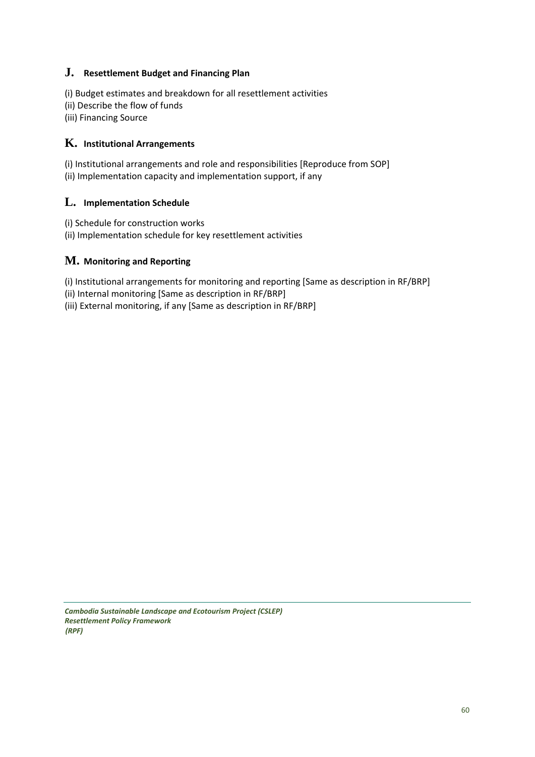## **J. Resettlement Budget and Financing Plan**

(i) Budget estimates and breakdown for all resettlement activities

- (ii) Describe the flow of funds
- (iii) Financing Source

## **K. Institutional Arrangements**

(i) Institutional arrangements and role and responsibilities [Reproduce from SOP] (ii) Implementation capacity and implementation support, if any

## **L. Implementation Schedule**

(i) Schedule for construction works (ii) Implementation schedule for key resettlement activities

## **M. Monitoring and Reporting**

(i) Institutional arrangements for monitoring and reporting [Same as description in RF/BRP]

(ii) Internal monitoring [Same as description in RF/BRP]

(iii) External monitoring, if any [Same as description in RF/BRP]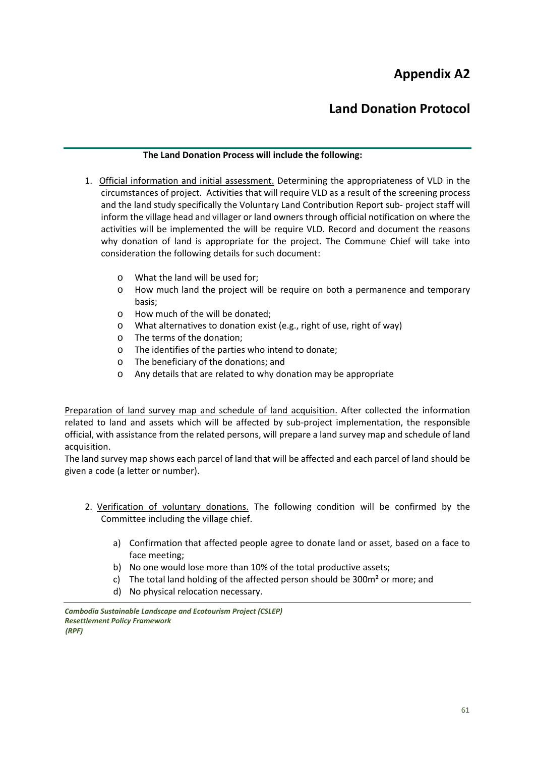## **Appendix A2**

## **Land Donation Protocol**

#### **The Land Donation Process will include the following:**

- 1. Official information and initial assessment. Determining the appropriateness of VLD in the circumstances of project. Activities that will require VLD as a result of the screening process and the land study specifically the Voluntary Land Contribution Report sub- project staff will inform the village head and villager or land owners through official notification on where the activities will be implemented the will be require VLD. Record and document the reasons why donation of land is appropriate for the project. The Commune Chief will take into consideration the following details for such document:
	- o What the land will be used for;
	- o How much land the project will be require on both a permanence and temporary basis;
	- o How much of the will be donated;
	- o What alternatives to donation exist (e.g., right of use, right of way)
	- o The terms of the donation;
	- o The identifies of the parties who intend to donate;
	- o The beneficiary of the donations; and
	- o Any details that are related to why donation may be appropriate

Preparation of land survey map and schedule of land acquisition. After collected the information related to land and assets which will be affected by sub-project implementation, the responsible official, with assistance from the related persons, will prepare a land survey map and schedule of land acquisition.

The land survey map shows each parcel of land that will be affected and each parcel of land should be given a code (a letter or number).

- 2. Verification of voluntary donations. The following condition will be confirmed by the Committee including the village chief.
	- a) Confirmation that affected people agree to donate land or asset, based on a face to face meeting;
	- b) No one would lose more than 10% of the total productive assets;
	- c) The total land holding of the affected person should be 300m² or more; and
	- d) No physical relocation necessary.

*Cambodia Sustainable Landscape and Ecotourism Project (CSLEP) Resettlement Policy Framework (RPF)*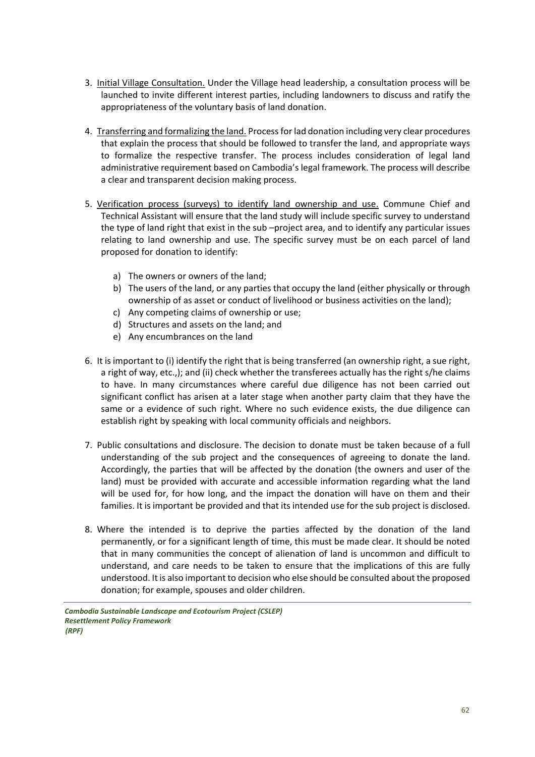- 3. Initial Village Consultation. Under the Village head leadership, a consultation process will be launched to invite different interest parties, including landowners to discuss and ratify the appropriateness of the voluntary basis of land donation.
- 4. Transferring and formalizing the land. Process for lad donation including very clear procedures that explain the process that should be followed to transfer the land, and appropriate ways to formalize the respective transfer. The process includes consideration of legal land administrative requirement based on Cambodia's legal framework. The process will describe a clear and transparent decision making process.
- 5. Verification process (surveys) to identify land ownership and use. Commune Chief and Technical Assistant will ensure that the land study will include specific survey to understand the type of land right that exist in the sub –project area, and to identify any particular issues relating to land ownership and use. The specific survey must be on each parcel of land proposed for donation to identify:
	- a) The owners or owners of the land;
	- b) The users of the land, or any parties that occupy the land (either physically or through ownership of as asset or conduct of livelihood or business activities on the land);
	- c) Any competing claims of ownership or use;
	- d) Structures and assets on the land; and
	- e) Any encumbrances on the land
- 6. It is important to (i) identify the right that is being transferred (an ownership right, a sue right, a right of way, etc.,); and (ii) check whether the transferees actually has the right s/he claims to have. In many circumstances where careful due diligence has not been carried out significant conflict has arisen at a later stage when another party claim that they have the same or a evidence of such right. Where no such evidence exists, the due diligence can establish right by speaking with local community officials and neighbors.
- 7. Public consultations and disclosure. The decision to donate must be taken because of a full understanding of the sub project and the consequences of agreeing to donate the land. Accordingly, the parties that will be affected by the donation (the owners and user of the land) must be provided with accurate and accessible information regarding what the land will be used for, for how long, and the impact the donation will have on them and their families. It is important be provided and that its intended use for the sub project is disclosed.
- 8. Where the intended is to deprive the parties affected by the donation of the land permanently, or for a significant length of time, this must be made clear. It should be noted that in many communities the concept of alienation of land is uncommon and difficult to understand, and care needs to be taken to ensure that the implications of this are fully understood. It is also important to decision who else should be consulted about the proposed donation; for example, spouses and older children.

*Cambodia Sustainable Landscape and Ecotourism Project (CSLEP) Resettlement Policy Framework (RPF)*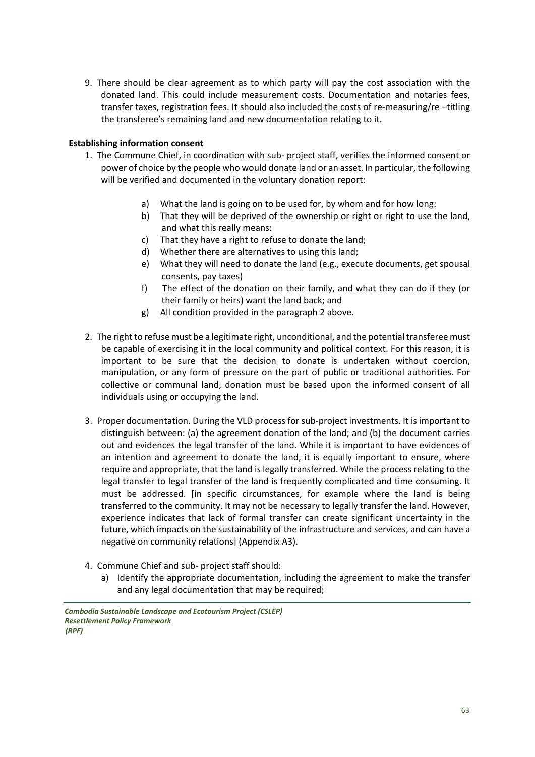9. There should be clear agreement as to which party will pay the cost association with the donated land. This could include measurement costs. Documentation and notaries fees, transfer taxes, registration fees. It should also included the costs of re-measuring/re –titling the transferee's remaining land and new documentation relating to it.

#### **Establishing information consent**

- 1. The Commune Chief, in coordination with sub- project staff, verifies the informed consent or power of choice by the people who would donate land or an asset. In particular, the following will be verified and documented in the voluntary donation report:
	- a) What the land is going on to be used for, by whom and for how long:
	- b) That they will be deprived of the ownership or right or right to use the land, and what this really means:
	- c) That they have a right to refuse to donate the land;
	- d) Whether there are alternatives to using this land;
	- e) What they will need to donate the land (e.g., execute documents, get spousal consents, pay taxes)
	- f) The effect of the donation on their family, and what they can do if they (or their family or heirs) want the land back; and
	- g) All condition provided in the paragraph 2 above.
- 2. The right to refuse must be a legitimate right, unconditional, and the potential transferee must be capable of exercising it in the local community and political context. For this reason, it is important to be sure that the decision to donate is undertaken without coercion, manipulation, or any form of pressure on the part of public or traditional authorities. For collective or communal land, donation must be based upon the informed consent of all individuals using or occupying the land.
- 3. Proper documentation. During the VLD process for sub-project investments. It is important to distinguish between: (a) the agreement donation of the land; and (b) the document carries out and evidences the legal transfer of the land. While it is important to have evidences of an intention and agreement to donate the land, it is equally important to ensure, where require and appropriate, that the land is legally transferred. While the process relating to the legal transfer to legal transfer of the land is frequently complicated and time consuming. It must be addressed. [in specific circumstances, for example where the land is being transferred to the community. It may not be necessary to legally transfer the land. However, experience indicates that lack of formal transfer can create significant uncertainty in the future, which impacts on the sustainability of the infrastructure and services, and can have a negative on community relations] (Appendix A3).
- 4. Commune Chief and sub- project staff should:
	- a) Identify the appropriate documentation, including the agreement to make the transfer and any legal documentation that may be required;

*Cambodia Sustainable Landscape and Ecotourism Project (CSLEP) Resettlement Policy Framework (RPF)*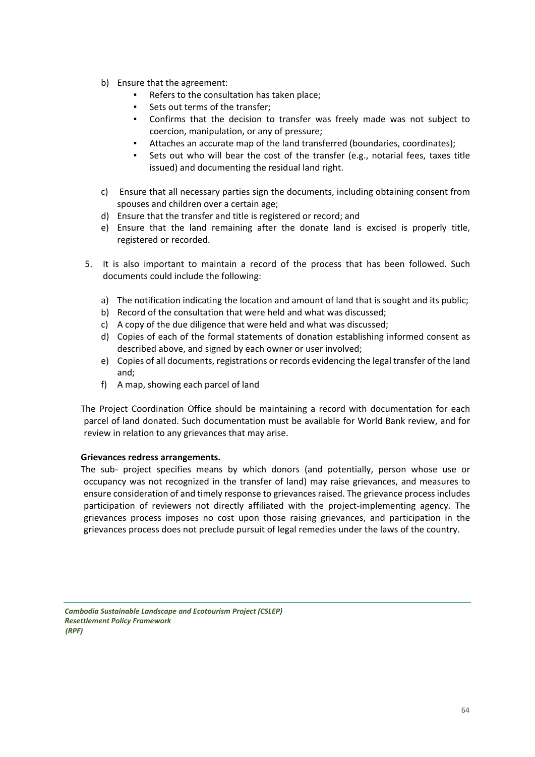- b) Ensure that the agreement:
	- Refers to the consultation has taken place;
	- Sets out terms of the transfer;
	- Confirms that the decision to transfer was freely made was not subject to coercion, manipulation, or any of pressure;
	- Attaches an accurate map of the land transferred (boundaries, coordinates);
	- Sets out who will bear the cost of the transfer (e.g., notarial fees, taxes title issued) and documenting the residual land right.
- c) Ensure that all necessary parties sign the documents, including obtaining consent from spouses and children over a certain age;
- d) Ensure that the transfer and title is registered or record; and
- e) Ensure that the land remaining after the donate land is excised is properly title, registered or recorded.
- 5. It is also important to maintain a record of the process that has been followed. Such documents could include the following:
	- a) The notification indicating the location and amount of land that is sought and its public;
	- b) Record of the consultation that were held and what was discussed;
	- c) A copy of the due diligence that were held and what was discussed;
	- d) Copies of each of the formal statements of donation establishing informed consent as described above, and signed by each owner or user involved;
	- e) Copies of all documents, registrations or records evidencing the legal transfer of the land and;
	- f) A map, showing each parcel of land

The Project Coordination Office should be maintaining a record with documentation for each parcel of land donated. Such documentation must be available for World Bank review, and for review in relation to any grievances that may arise.

#### **Grievances redress arrangements.**

The sub- project specifies means by which donors (and potentially, person whose use or occupancy was not recognized in the transfer of land) may raise grievances, and measures to ensure consideration of and timely response to grievances raised. The grievance process includes participation of reviewers not directly affiliated with the project-implementing agency. The grievances process imposes no cost upon those raising grievances, and participation in the grievances process does not preclude pursuit of legal remedies under the laws of the country.